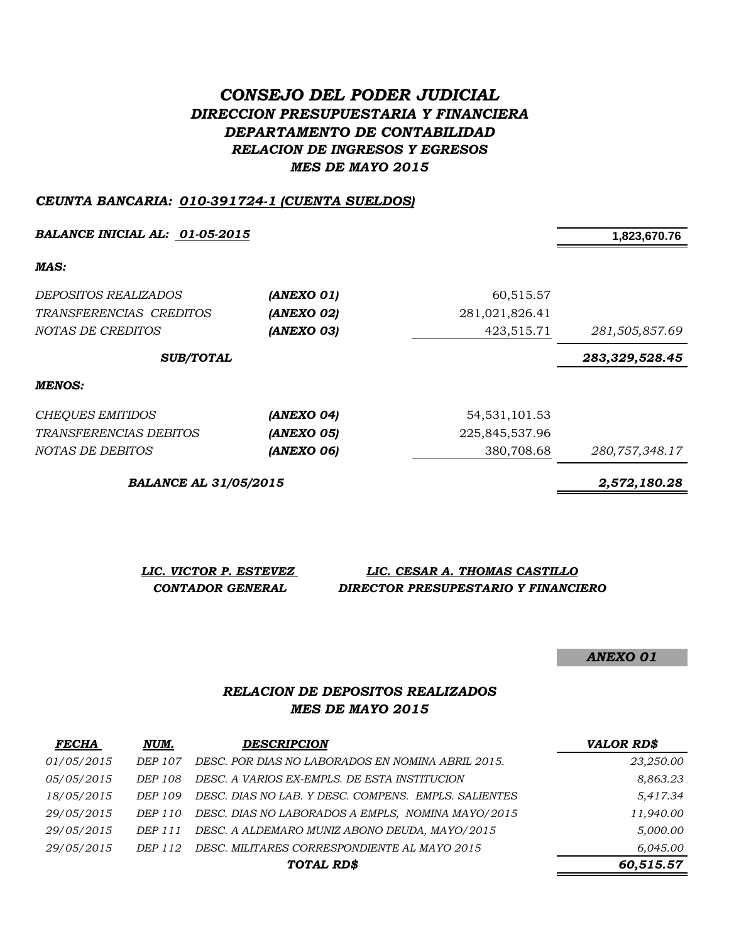# *CONSEJO DEL PODER JUDICIAL DIRECCION PRESUPUESTARIA Y FINANCIERA DEPARTAMENTO DE CONTABILIDAD RELACION DE INGRESOS Y EGRESOS MES DE MAYO 2015*

### *CEUNTA BANCARIA: 010-391724-1 (CUENTA SUELDOS)*

**BALANCE INICIAL AL:** <u>01-05-2015</u> 1,823,670.76

*MAS:*

| <i>DEPOSITOS REALIZADOS</i><br>TRANSFERENCIAS CREDITOS<br>NOTAS DE CREDITOS | (ANEXO 01)<br>(ANEXO 02)<br>(ANEXO 03) | 60,515.57<br>281,021,826.41<br>423,515.71 | 281,505,857.69 |
|-----------------------------------------------------------------------------|----------------------------------------|-------------------------------------------|----------------|
| <b>SUB/TOTAL</b>                                                            |                                        |                                           | 283,329,528.45 |
| MENOS:                                                                      |                                        |                                           |                |
| <b>CHEQUES EMITIDOS</b>                                                     | (ANEXO 04)                             | 54, 531, 101. 53                          |                |
| <i>TRANSFERENCIAS DEBITOS</i>                                               | (ANEXO 05)                             | 225,845,537.96                            |                |
| NOTAS DE DEBITOS                                                            | (ANEXO 06)                             | 380,708.68                                | 280,757,348.17 |

*BALANCE AL 31/05/2015 2,572,180.28*

| LIC. VICTOR P. ESTEVEZ  | LIC. CESAR A. THOMAS CASTILLO       |
|-------------------------|-------------------------------------|
| <b>CONTADOR GENERAL</b> | DIRECTOR PRESUPESTARIO Y FINANCIERO |

*ANEXO 01*

## *RELACION DE DEPOSITOS REALIZADOS MES DE MAYO 2015*

| <b>FECHA</b> | NUM.    | <b>DESCRIPCION</b>                                   | <b>VALOR RD\$</b> |
|--------------|---------|------------------------------------------------------|-------------------|
| 01/05/2015   | DEP 107 | DESC. POR DIAS NO LABORADOS EN NOMINA ABRIL 2015.    | 23,250.00         |
| 05/05/2015   | DEP 108 | DESC. A VARIOS EX-EMPLS. DE ESTA INSTITUCION         | 8,863.23          |
| 18/05/2015   | DEP 109 | DESC. DIAS NO LAB. Y DESC. COMPENS. EMPLS. SALIENTES | 5,417.34          |
| 29/05/2015   | DEP 110 | DESC. DIAS NO LABORADOS A EMPLS, NOMINA MAYO/2015    | 11,940.00         |
| 29/05/2015   | DEP 111 | DESC. A ALDEMARO MUNIZ ABONO DEUDA, MAYO/2015        | 5,000.00          |
| 29/05/2015   | DEP 112 | DESC. MILITARES CORRESPONDIENTE AL MAYO 2015         | 6,045.00          |
|              |         | TOTAL RD\$                                           | 60,515.57         |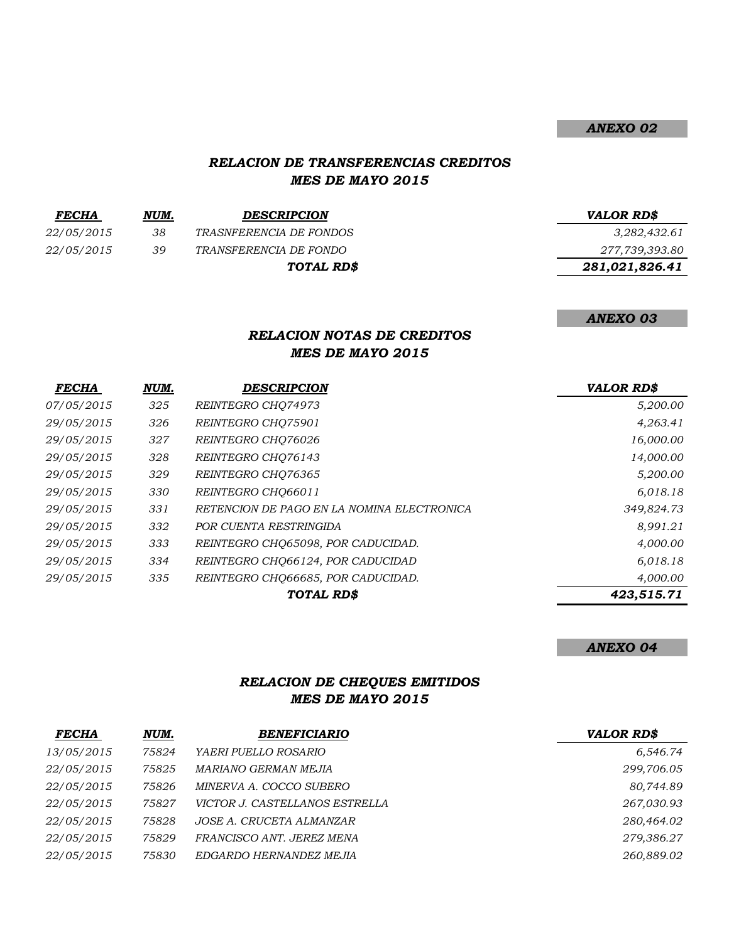### *ANEXO 02*

### *RELACION DE TRANSFERENCIAS CREDITOS MES DE MAYO 2015*

| <b>FECHA</b>      | NUM. | <b>DESCRIPCION</b>            | <b>VALOR RDS</b> |
|-------------------|------|-------------------------------|------------------|
| <i>22/05/2015</i> | 38   | TRASNFERENCIA DE FONDOS       | 3,282,432.61     |
| <i>22/05/2015</i> | 39   | <i>TRANSFERENCIA DE FONDO</i> | 277,739,393.80   |
|                   |      | TOTAL RD\$                    | 281,021,826.41   |
|                   |      |                               |                  |

#### *ANEXO 03*

## *RELACION NOTAS DE CREDITOS MES DE MAYO 2015*

| <b>FECHA</b> | NUM. | <b>DESCRIPCION</b>                         | <b>VALOR RD\$</b> |
|--------------|------|--------------------------------------------|-------------------|
| 07/05/2015   | 325  | REINTEGRO CHO74973                         | 5,200.00          |
| 29/05/2015   | 326  | REINTEGRO CHO75901                         | 4,263.41          |
| 29/05/2015   | 327  | REINTEGRO CHO76026                         | 16,000.00         |
| 29/05/2015   | 328  | REINTEGRO CHO76143                         | 14,000.00         |
| 29/05/2015   | 329  | REINTEGRO CHO76365                         | 5,200.00          |
| 29/05/2015   | 330  | REINTEGRO CHO66011                         | 6,018.18          |
| 29/05/2015   | 331  | RETENCION DE PAGO EN LA NOMINA ELECTRONICA | 349,824.73        |
| 29/05/2015   | 332  | POR CUENTA RESTRINGIDA                     | 8,991.21          |
| 29/05/2015   | 333  | REINTEGRO CHO65098, POR CADUCIDAD.         | 4,000.00          |
| 29/05/2015   | 334  | REINTEGRO CHO66124, POR CADUCIDAD          | 6,018.18          |
| 29/05/2015   | 335  | REINTEGRO CHQ66685, POR CADUCIDAD.         | 4,000.00          |
|              |      | TOTAL RD\$                                 | 423,515.71        |

#### *ANEXO 04*

## *RELACION DE CHEQUES EMITIDOS MES DE MAYO 2015*

| <b>FECHA</b> | NUM.  | <b>BENEFICIARIO</b>            | <b>VALOR RD\$</b> |
|--------------|-------|--------------------------------|-------------------|
| 13/05/2015   | 75824 | YAERI PUELLO ROSARIO           | 6,546.74          |
| 22/05/2015   | 75825 | MARIANO GERMAN MEJIA           | 299,706.05        |
| 22/05/2015   | 75826 | MINERVA A. COCCO SUBERO        | 80,744.89         |
| 22/05/2015   | 75827 | VICTOR J. CASTELLANOS ESTRELLA | 267,030.93        |
| 22/05/2015   | 75828 | JOSE A. CRUCETA ALMANZAR       | 280,464.02        |
| 22/05/2015   | 75829 | FRANCISCO ANT. JEREZ MENA      | 279,386.27        |
| 22/05/2015   | 75830 | EDGARDO HERNANDEZ MEJIA        | 260,889.02        |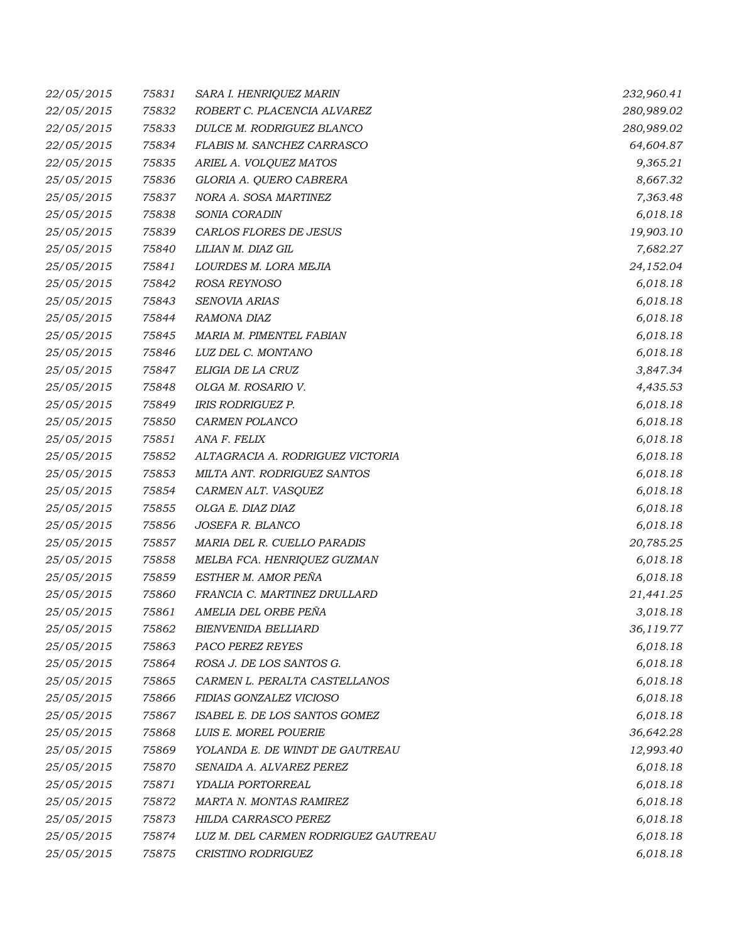| 22/05/2015 | 75831 | SARA I. HENRIQUEZ MARIN              | 232,960.41 |
|------------|-------|--------------------------------------|------------|
| 22/05/2015 | 75832 | ROBERT C. PLACENCIA ALVAREZ          | 280,989.02 |
| 22/05/2015 | 75833 | DULCE M. RODRIGUEZ BLANCO            | 280,989.02 |
| 22/05/2015 | 75834 | FLABIS M. SANCHEZ CARRASCO           | 64,604.87  |
| 22/05/2015 | 75835 | ARIEL A. VOLQUEZ MATOS               | 9,365.21   |
| 25/05/2015 | 75836 | GLORIA A. QUERO CABRERA              | 8,667.32   |
| 25/05/2015 | 75837 | NORA A. SOSA MARTINEZ                | 7,363.48   |
| 25/05/2015 | 75838 | SONIA CORADIN                        | 6,018.18   |
| 25/05/2015 | 75839 | CARLOS FLORES DE JESUS               | 19,903.10  |
| 25/05/2015 | 75840 | LILIAN M. DIAZ GIL                   | 7,682.27   |
| 25/05/2015 | 75841 | LOURDES M. LORA MEJIA                | 24,152.04  |
| 25/05/2015 | 75842 | ROSA REYNOSO                         | 6,018.18   |
| 25/05/2015 | 75843 | SENOVIA ARIAS                        | 6,018.18   |
| 25/05/2015 | 75844 | RAMONA DIAZ                          | 6,018.18   |
| 25/05/2015 | 75845 | MARIA M. PIMENTEL FABIAN             | 6,018.18   |
| 25/05/2015 | 75846 | LUZ DEL C. MONTANO                   | 6,018.18   |
| 25/05/2015 | 75847 | ELIGIA DE LA CRUZ                    | 3,847.34   |
| 25/05/2015 | 75848 | OLGA M. ROSARIO V.                   | 4,435.53   |
| 25/05/2015 | 75849 | <b>IRIS RODRIGUEZ P.</b>             | 6,018.18   |
| 25/05/2015 | 75850 | CARMEN POLANCO                       | 6,018.18   |
| 25/05/2015 | 75851 | ANA F. FELIX                         | 6,018.18   |
| 25/05/2015 | 75852 | ALTAGRACIA A. RODRIGUEZ VICTORIA     | 6,018.18   |
| 25/05/2015 | 75853 | MILTA ANT. RODRIGUEZ SANTOS          | 6,018.18   |
| 25/05/2015 | 75854 | CARMEN ALT. VASQUEZ                  | 6,018.18   |
| 25/05/2015 | 75855 | OLGA E. DIAZ DIAZ                    | 6,018.18   |
| 25/05/2015 | 75856 | JOSEFA R. BLANCO                     | 6,018.18   |
| 25/05/2015 | 75857 | MARIA DEL R. CUELLO PARADIS          | 20,785.25  |
| 25/05/2015 | 75858 | MELBA FCA. HENRIQUEZ GUZMAN          | 6,018.18   |
| 25/05/2015 | 75859 | ESTHER M. AMOR PEÑA                  | 6,018.18   |
| 25/05/2015 | 75860 | FRANCIA C. MARTINEZ DRULLARD         | 21,441.25  |
| 25/05/2015 | 75861 | AMELIA DEL ORBE PEÑA                 | 3,018.18   |
| 25/05/2015 | 75862 | BIENVENIDA BELLIARD                  | 36,119.77  |
| 25/05/2015 | 75863 | PACO PEREZ REYES                     | 6,018.18   |
| 25/05/2015 | 75864 | ROSA J. DE LOS SANTOS G.             | 6,018.18   |
| 25/05/2015 | 75865 | CARMEN L. PERALTA CASTELLANOS        | 6,018.18   |
| 25/05/2015 | 75866 | FIDIAS GONZALEZ VICIOSO              | 6,018.18   |
| 25/05/2015 | 75867 | ISABEL E. DE LOS SANTOS GOMEZ        | 6,018.18   |
| 25/05/2015 | 75868 | LUIS E. MOREL POUERIE                | 36,642.28  |
| 25/05/2015 | 75869 | YOLANDA E. DE WINDT DE GAUTREAU      | 12,993.40  |
| 25/05/2015 | 75870 | SENAIDA A. ALVAREZ PEREZ             | 6,018.18   |
| 25/05/2015 | 75871 | YDALIA PORTORREAL                    | 6,018.18   |
| 25/05/2015 | 75872 | MARTA N. MONTAS RAMIREZ              | 6,018.18   |
| 25/05/2015 | 75873 | HILDA CARRASCO PEREZ                 | 6,018.18   |
| 25/05/2015 | 75874 | LUZ M. DEL CARMEN RODRIGUEZ GAUTREAU | 6,018.18   |
| 25/05/2015 | 75875 | CRISTINO RODRIGUEZ                   | 6,018.18   |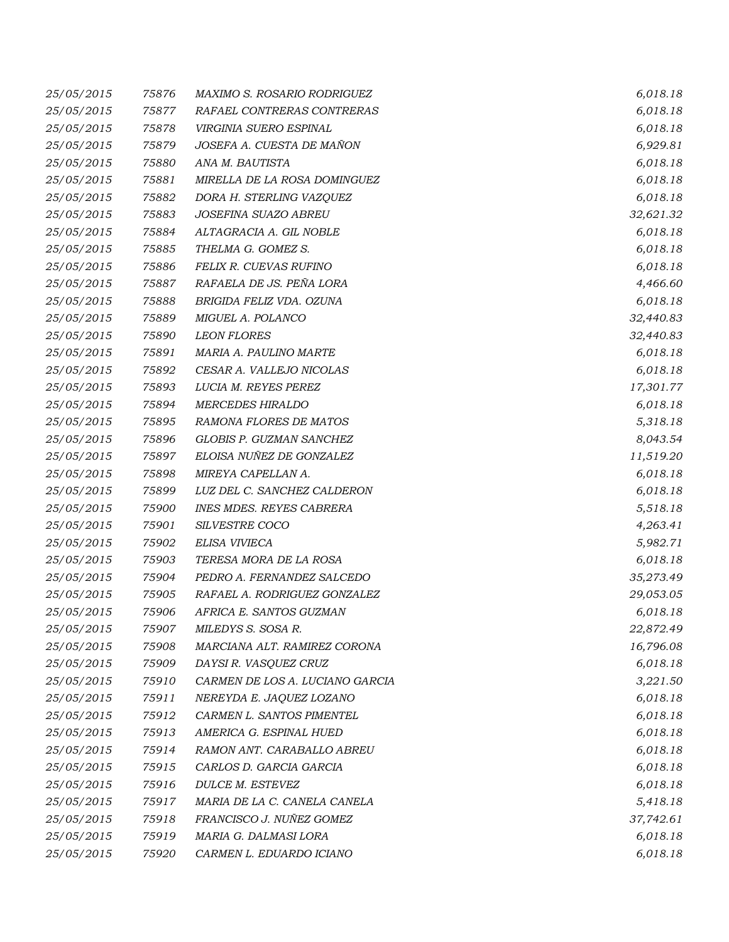| 25/05/2015 | 75876 | MAXIMO S. ROSARIO RODRIGUEZ     | 6,018.18  |
|------------|-------|---------------------------------|-----------|
| 25/05/2015 | 75877 | RAFAEL CONTRERAS CONTRERAS      | 6,018.18  |
| 25/05/2015 | 75878 | VIRGINIA SUERO ESPINAL          | 6,018.18  |
| 25/05/2015 | 75879 | JOSEFA A. CUESTA DE MAÑON       | 6,929.81  |
| 25/05/2015 | 75880 | ANA M. BAUTISTA                 | 6,018.18  |
| 25/05/2015 | 75881 | MIRELLA DE LA ROSA DOMINGUEZ    | 6,018.18  |
| 25/05/2015 | 75882 | DORA H. STERLING VAZQUEZ        | 6,018.18  |
| 25/05/2015 | 75883 | JOSEFINA SUAZO ABREU            | 32,621.32 |
| 25/05/2015 | 75884 | ALTAGRACIA A. GIL NOBLE         | 6,018.18  |
| 25/05/2015 | 75885 | THELMA G. GOMEZ S.              | 6,018.18  |
| 25/05/2015 | 75886 | FELIX R. CUEVAS RUFINO          | 6,018.18  |
| 25/05/2015 | 75887 | RAFAELA DE JS. PEÑA LORA        | 4,466.60  |
| 25/05/2015 | 75888 | BRIGIDA FELIZ VDA. OZUNA        | 6,018.18  |
| 25/05/2015 | 75889 | MIGUEL A. POLANCO               | 32,440.83 |
| 25/05/2015 | 75890 | <b>LEON FLORES</b>              | 32,440.83 |
| 25/05/2015 | 75891 | MARIA A. PAULINO MARTE          | 6,018.18  |
| 25/05/2015 | 75892 | CESAR A. VALLEJO NICOLAS        | 6,018.18  |
| 25/05/2015 | 75893 | LUCIA M. REYES PEREZ            | 17,301.77 |
| 25/05/2015 | 75894 | <b>MERCEDES HIRALDO</b>         | 6,018.18  |
| 25/05/2015 | 75895 | RAMONA FLORES DE MATOS          | 5,318.18  |
| 25/05/2015 | 75896 | GLOBIS P. GUZMAN SANCHEZ        | 8,043.54  |
| 25/05/2015 | 75897 | ELOISA NUÑEZ DE GONZALEZ        | 11,519.20 |
| 25/05/2015 | 75898 | MIREYA CAPELLAN A.              | 6,018.18  |
| 25/05/2015 | 75899 | LUZ DEL C. SANCHEZ CALDERON     | 6,018.18  |
| 25/05/2015 | 75900 | <b>INES MDES. REYES CABRERA</b> | 5,518.18  |
| 25/05/2015 | 75901 | SILVESTRE COCO                  | 4,263.41  |
| 25/05/2015 | 75902 | ELISA VIVIECA                   | 5,982.71  |
| 25/05/2015 | 75903 | TERESA MORA DE LA ROSA          | 6,018.18  |
| 25/05/2015 | 75904 | PEDRO A. FERNANDEZ SALCEDO      | 35,273.49 |
| 25/05/2015 | 75905 | RAFAEL A. RODRIGUEZ GONZALEZ    | 29,053.05 |
| 25/05/2015 | 75906 | AFRICA E. SANTOS GUZMAN         | 6,018.18  |
| 25/05/2015 | 75907 | MILEDYS S. SOSA R.              | 22,872.49 |
| 25/05/2015 | 75908 | MARCIANA ALT. RAMIREZ CORONA    | 16,796.08 |
| 25/05/2015 | 75909 | DAYSI R. VASQUEZ CRUZ           | 6,018.18  |
| 25/05/2015 | 75910 | CARMEN DE LOS A. LUCIANO GARCIA | 3,221.50  |
| 25/05/2015 | 75911 | NEREYDA E. JAQUEZ LOZANO        | 6,018.18  |
| 25/05/2015 | 75912 | CARMEN L. SANTOS PIMENTEL       | 6,018.18  |
| 25/05/2015 | 75913 | AMERICA G. ESPINAL HUED         | 6,018.18  |
| 25/05/2015 | 75914 | RAMON ANT. CARABALLO ABREU      | 6,018.18  |
| 25/05/2015 | 75915 | CARLOS D. GARCIA GARCIA         | 6,018.18  |
| 25/05/2015 | 75916 | DULCE M. ESTEVEZ                | 6,018.18  |
| 25/05/2015 | 75917 | MARIA DE LA C. CANELA CANELA    | 5,418.18  |
| 25/05/2015 | 75918 | FRANCISCO J. NUÑEZ GOMEZ        | 37,742.61 |
| 25/05/2015 | 75919 | MARIA G. DALMASI LORA           | 6,018.18  |
| 25/05/2015 | 75920 | CARMEN L. EDUARDO ICIANO        | 6,018.18  |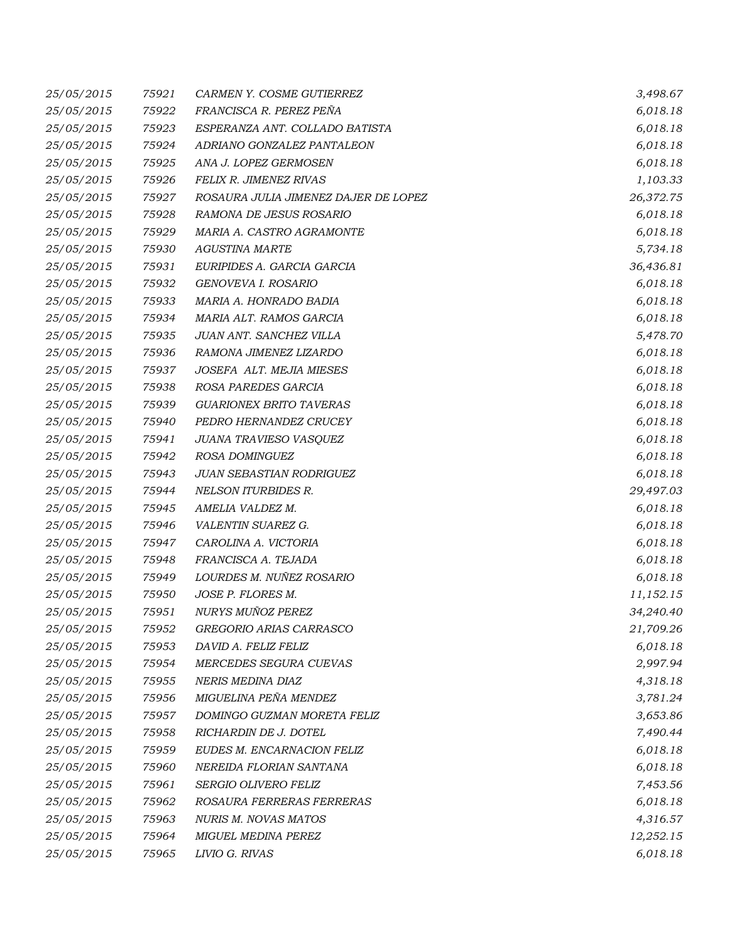| 25/05/2015 | 75921 | CARMEN Y. COSME GUTIERREZ            | 3,498.67  |
|------------|-------|--------------------------------------|-----------|
| 25/05/2015 | 75922 | FRANCISCA R. PEREZ PEÑA              | 6,018.18  |
| 25/05/2015 | 75923 | ESPERANZA ANT. COLLADO BATISTA       | 6,018.18  |
| 25/05/2015 | 75924 | ADRIANO GONZALEZ PANTALEON           | 6,018.18  |
| 25/05/2015 | 75925 | ANA J. LOPEZ GERMOSEN                | 6,018.18  |
| 25/05/2015 | 75926 | FELIX R. JIMENEZ RIVAS               | 1,103.33  |
| 25/05/2015 | 75927 | ROSAURA JULIA JIMENEZ DAJER DE LOPEZ | 26,372.75 |
| 25/05/2015 | 75928 | RAMONA DE JESUS ROSARIO              | 6,018.18  |
| 25/05/2015 | 75929 | MARIA A. CASTRO AGRAMONTE            | 6,018.18  |
| 25/05/2015 | 75930 | <b>AGUSTINA MARTE</b>                | 5,734.18  |
| 25/05/2015 | 75931 | EURIPIDES A. GARCIA GARCIA           | 36,436.81 |
| 25/05/2015 | 75932 | GENOVEVA I. ROSARIO                  | 6,018.18  |
| 25/05/2015 | 75933 | MARIA A. HONRADO BADIA               | 6,018.18  |
| 25/05/2015 | 75934 | MARIA ALT. RAMOS GARCIA              | 6,018.18  |
| 25/05/2015 | 75935 | JUAN ANT. SANCHEZ VILLA              | 5,478.70  |
| 25/05/2015 | 75936 | RAMONA JIMENEZ LIZARDO               | 6,018.18  |
| 25/05/2015 | 75937 | JOSEFA ALT. MEJIA MIESES             | 6,018.18  |
| 25/05/2015 | 75938 | ROSA PAREDES GARCIA                  | 6,018.18  |
| 25/05/2015 | 75939 | <b>GUARIONEX BRITO TAVERAS</b>       | 6,018.18  |
| 25/05/2015 | 75940 | PEDRO HERNANDEZ CRUCEY               | 6,018.18  |
| 25/05/2015 | 75941 | JUANA TRAVIESO VASQUEZ               | 6,018.18  |
| 25/05/2015 | 75942 | ROSA DOMINGUEZ                       | 6,018.18  |
| 25/05/2015 | 75943 | JUAN SEBASTIAN RODRIGUEZ             | 6,018.18  |
| 25/05/2015 | 75944 | NELSON ITURBIDES R.                  | 29,497.03 |
| 25/05/2015 | 75945 | AMELIA VALDEZ M.                     | 6,018.18  |
| 25/05/2015 | 75946 | VALENTIN SUAREZ G.                   | 6,018.18  |
| 25/05/2015 | 75947 | CAROLINA A. VICTORIA                 | 6,018.18  |
| 25/05/2015 | 75948 | FRANCISCA A. TEJADA                  | 6,018.18  |
| 25/05/2015 | 75949 | LOURDES M. NUÑEZ ROSARIO             | 6,018.18  |
| 25/05/2015 | 75950 | JOSE P. FLORES M.                    | 11,152.15 |
| 25/05/2015 | 75951 | NURYS MUÑOZ PEREZ                    | 34,240.40 |
| 25/05/2015 | 75952 | GREGORIO ARIAS CARRASCO              | 21,709.26 |
| 25/05/2015 | 75953 | DAVID A. FELIZ FELIZ                 | 6,018.18  |
| 25/05/2015 | 75954 | MERCEDES SEGURA CUEVAS               | 2,997.94  |
| 25/05/2015 | 75955 | NERIS MEDINA DIAZ                    | 4,318.18  |
| 25/05/2015 | 75956 | MIGUELINA PEÑA MENDEZ                | 3,781.24  |
| 25/05/2015 | 75957 | DOMINGO GUZMAN MORETA FELIZ          | 3,653.86  |
| 25/05/2015 | 75958 | RICHARDIN DE J. DOTEL                | 7,490.44  |
| 25/05/2015 | 75959 | EUDES M. ENCARNACION FELIZ           | 6,018.18  |
| 25/05/2015 | 75960 | NEREIDA FLORIAN SANTANA              | 6,018.18  |
| 25/05/2015 | 75961 | SERGIO OLIVERO FELIZ                 | 7,453.56  |
| 25/05/2015 | 75962 | ROSAURA FERRERAS FERRERAS            | 6,018.18  |
| 25/05/2015 | 75963 | <b>NURIS M. NOVAS MATOS</b>          | 4,316.57  |
| 25/05/2015 | 75964 | MIGUEL MEDINA PEREZ                  | 12,252.15 |
| 25/05/2015 | 75965 | LIVIO G. RIVAS                       | 6,018.18  |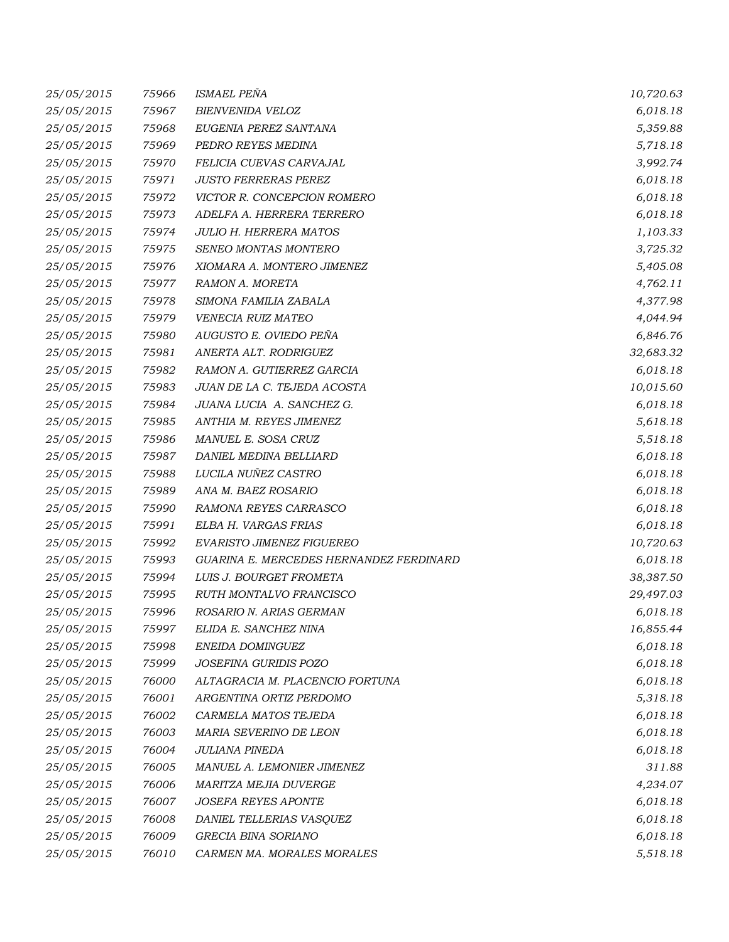| 25/05/2015 | 75966 | ISMAEL PEÑA                             | 10,720.63 |
|------------|-------|-----------------------------------------|-----------|
| 25/05/2015 | 75967 | <b>BIENVENIDA VELOZ</b>                 | 6,018.18  |
| 25/05/2015 | 75968 | EUGENIA PEREZ SANTANA                   | 5,359.88  |
| 25/05/2015 | 75969 | PEDRO REYES MEDINA                      | 5,718.18  |
| 25/05/2015 | 75970 | FELICIA CUEVAS CARVAJAL                 | 3,992.74  |
| 25/05/2015 | 75971 | <b>JUSTO FERRERAS PEREZ</b>             | 6,018.18  |
| 25/05/2015 | 75972 | VICTOR R. CONCEPCION ROMERO             | 6,018.18  |
| 25/05/2015 | 75973 | ADELFA A. HERRERA TERRERO               | 6,018.18  |
| 25/05/2015 | 75974 | <b>JULIO H. HERRERA MATOS</b>           | 1,103.33  |
| 25/05/2015 | 75975 | SENEO MONTAS MONTERO                    | 3,725.32  |
| 25/05/2015 | 75976 | XIOMARA A. MONTERO JIMENEZ              | 5,405.08  |
| 25/05/2015 | 75977 | RAMON A. MORETA                         | 4,762.11  |
| 25/05/2015 | 75978 | SIMONA FAMILIA ZABALA                   | 4,377.98  |
| 25/05/2015 | 75979 | VENECIA RUIZ MATEO                      | 4,044.94  |
| 25/05/2015 | 75980 | AUGUSTO E. OVIEDO PEÑA                  | 6,846.76  |
| 25/05/2015 | 75981 | ANERTA ALT. RODRIGUEZ                   | 32,683.32 |
| 25/05/2015 | 75982 | RAMON A. GUTIERREZ GARCIA               | 6,018.18  |
| 25/05/2015 | 75983 | JUAN DE LA C. TEJEDA ACOSTA             | 10,015.60 |
| 25/05/2015 | 75984 | JUANA LUCIA A. SANCHEZ G.               | 6,018.18  |
| 25/05/2015 | 75985 | ANTHIA M. REYES JIMENEZ                 | 5,618.18  |
| 25/05/2015 | 75986 | MANUEL E. SOSA CRUZ                     | 5,518.18  |
| 25/05/2015 | 75987 | DANIEL MEDINA BELLIARD                  | 6,018.18  |
| 25/05/2015 | 75988 | LUCILA NUÑEZ CASTRO                     | 6,018.18  |
| 25/05/2015 | 75989 | ANA M. BAEZ ROSARIO                     | 6,018.18  |
| 25/05/2015 | 75990 | RAMONA REYES CARRASCO                   | 6,018.18  |
| 25/05/2015 | 75991 | ELBA H. VARGAS FRIAS                    | 6,018.18  |
| 25/05/2015 | 75992 | EVARISTO JIMENEZ FIGUEREO               | 10,720.63 |
| 25/05/2015 | 75993 | GUARINA E. MERCEDES HERNANDEZ FERDINARD | 6,018.18  |
| 25/05/2015 | 75994 | LUIS J. BOURGET FROMETA                 | 38,387.50 |
| 25/05/2015 | 75995 | <b>RUTH MONTALVO FRANCISCO</b>          | 29,497.03 |
| 25/05/2015 | 75996 | ROSARIO N. ARIAS GERMAN                 | 6,018.18  |
| 25/05/2015 | 75997 | ELIDA E. SANCHEZ NINA                   | 16,855.44 |
| 25/05/2015 | 75998 | ENEIDA DOMINGUEZ                        | 6,018.18  |
| 25/05/2015 | 75999 | JOSEFINA GURIDIS POZO                   | 6,018.18  |
| 25/05/2015 | 76000 | ALTAGRACIA M. PLACENCIO FORTUNA         | 6,018.18  |
| 25/05/2015 | 76001 | ARGENTINA ORTIZ PERDOMO                 | 5,318.18  |
| 25/05/2015 | 76002 | CARMELA MATOS TEJEDA                    | 6,018.18  |
| 25/05/2015 | 76003 | MARIA SEVERINO DE LEON                  | 6,018.18  |
| 25/05/2015 | 76004 | JULIANA PINEDA                          | 6,018.18  |
| 25/05/2015 | 76005 | MANUEL A. LEMONIER JIMENEZ              | 311.88    |
| 25/05/2015 | 76006 | MARITZA MEJIA DUVERGE                   | 4,234.07  |
| 25/05/2015 | 76007 | <b>JOSEFA REYES APONTE</b>              | 6,018.18  |
| 25/05/2015 | 76008 | DANIEL TELLERIAS VASQUEZ                | 6,018.18  |
| 25/05/2015 | 76009 | GRECIA BINA SORIANO                     | 6,018.18  |
| 25/05/2015 | 76010 | CARMEN MA. MORALES MORALES              | 5,518.18  |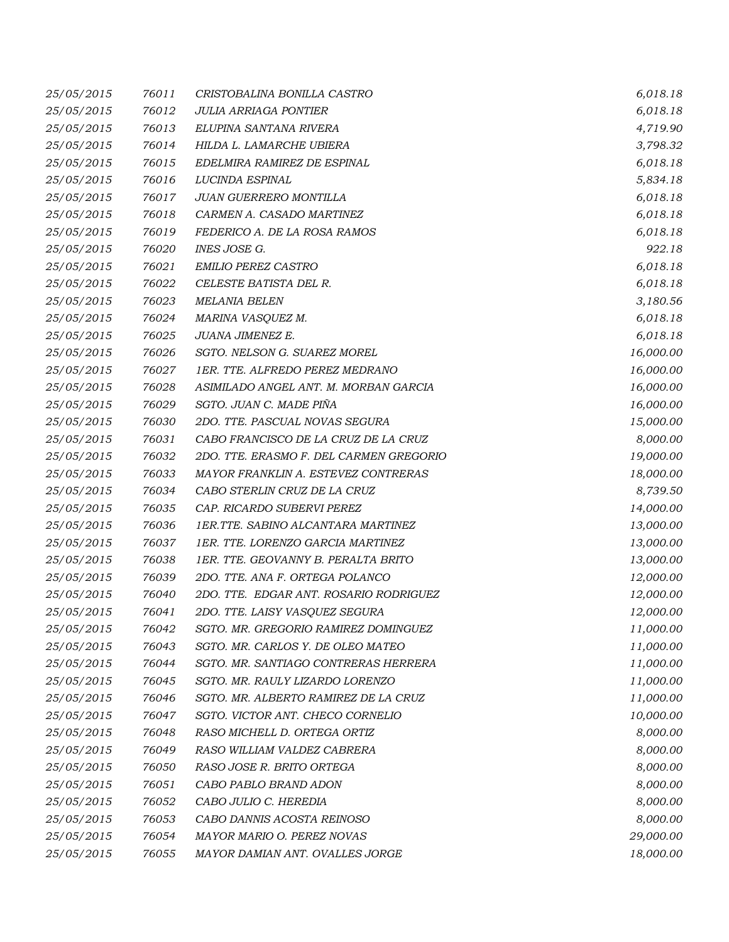| 25/05/2015 | 76011 | CRISTOBALINA BONILLA CASTRO             | 6,018.18  |
|------------|-------|-----------------------------------------|-----------|
| 25/05/2015 | 76012 | <b>JULIA ARRIAGA PONTIER</b>            | 6,018.18  |
| 25/05/2015 | 76013 | ELUPINA SANTANA RIVERA                  | 4,719.90  |
| 25/05/2015 | 76014 | HILDA L. LAMARCHE UBIERA                | 3,798.32  |
| 25/05/2015 | 76015 | EDELMIRA RAMIREZ DE ESPINAL             | 6,018.18  |
| 25/05/2015 | 76016 | LUCINDA ESPINAL                         | 5,834.18  |
| 25/05/2015 | 76017 | JUAN GUERRERO MONTILLA                  | 6,018.18  |
| 25/05/2015 | 76018 | CARMEN A. CASADO MARTINEZ               | 6,018.18  |
| 25/05/2015 | 76019 | FEDERICO A. DE LA ROSA RAMOS            | 6,018.18  |
| 25/05/2015 | 76020 | INES JOSE G.                            | 922.18    |
| 25/05/2015 | 76021 | <b>EMILIO PEREZ CASTRO</b>              | 6,018.18  |
| 25/05/2015 | 76022 | CELESTE BATISTA DEL R.                  | 6,018.18  |
| 25/05/2015 | 76023 | <b>MELANIA BELEN</b>                    | 3,180.56  |
| 25/05/2015 | 76024 | MARINA VASQUEZ M.                       | 6,018.18  |
| 25/05/2015 | 76025 | JUANA JIMENEZ E.                        | 6,018.18  |
| 25/05/2015 | 76026 | SGTO. NELSON G. SUAREZ MOREL            | 16,000.00 |
| 25/05/2015 | 76027 | 1ER. TTE. ALFREDO PEREZ MEDRANO         | 16,000.00 |
| 25/05/2015 | 76028 | ASIMILADO ANGEL ANT. M. MORBAN GARCIA   | 16,000.00 |
| 25/05/2015 | 76029 | SGTO. JUAN C. MADE PIÑA                 | 16,000.00 |
| 25/05/2015 | 76030 | 2DO. TTE. PASCUAL NOVAS SEGURA          | 15,000.00 |
| 25/05/2015 | 76031 | CABO FRANCISCO DE LA CRUZ DE LA CRUZ    | 8,000.00  |
| 25/05/2015 | 76032 | 2DO. TTE. ERASMO F. DEL CARMEN GREGORIO | 19,000.00 |
| 25/05/2015 | 76033 | MAYOR FRANKLIN A. ESTEVEZ CONTRERAS     | 18,000.00 |
| 25/05/2015 | 76034 | CABO STERLIN CRUZ DE LA CRUZ            | 8,739.50  |
| 25/05/2015 | 76035 | CAP. RICARDO SUBERVI PEREZ              | 14,000.00 |
| 25/05/2015 | 76036 | 1ER.TTE. SABINO ALCANTARA MARTINEZ      | 13,000.00 |
| 25/05/2015 | 76037 | 1ER. TTE. LORENZO GARCIA MARTINEZ       | 13,000.00 |
| 25/05/2015 | 76038 | 1ER. TTE. GEOVANNY B. PERALTA BRITO     | 13,000.00 |
| 25/05/2015 | 76039 | 2DO. TTE. ANA F. ORTEGA POLANCO         | 12,000.00 |
| 25/05/2015 | 76040 | 2DO. TTE. EDGAR ANT. ROSARIO RODRIGUEZ  | 12,000.00 |
| 25/05/2015 | 76041 | 2DO. TTE. LAISY VASQUEZ SEGURA          | 12,000.00 |
| 25/05/2015 | 76042 | SGTO. MR. GREGORIO RAMIREZ DOMINGUEZ    | 11,000.00 |
| 25/05/2015 | 76043 | SGTO. MR. CARLOS Y. DE OLEO MATEO       | 11,000.00 |
| 25/05/2015 | 76044 | SGTO. MR. SANTIAGO CONTRERAS HERRERA    | 11,000.00 |
| 25/05/2015 | 76045 | SGTO. MR. RAULY LIZARDO LORENZO         | 11,000.00 |
| 25/05/2015 | 76046 | SGTO. MR. ALBERTO RAMIREZ DE LA CRUZ    | 11,000.00 |
| 25/05/2015 | 76047 | SGTO. VICTOR ANT. CHECO CORNELIO        | 10,000.00 |
| 25/05/2015 | 76048 | RASO MICHELL D. ORTEGA ORTIZ            | 8,000.00  |
| 25/05/2015 | 76049 | RASO WILLIAM VALDEZ CABRERA             | 8,000.00  |
| 25/05/2015 | 76050 | RASO JOSE R. BRITO ORTEGA               | 8,000.00  |
| 25/05/2015 | 76051 | CABO PABLO BRAND ADON                   | 8,000.00  |
| 25/05/2015 | 76052 | CABO JULIO C. HEREDIA                   | 8,000.00  |
| 25/05/2015 | 76053 | CABO DANNIS ACOSTA REINOSO              | 8,000.00  |
| 25/05/2015 | 76054 | MAYOR MARIO O. PEREZ NOVAS              | 29,000.00 |
| 25/05/2015 | 76055 | MAYOR DAMIAN ANT. OVALLES JORGE         | 18,000.00 |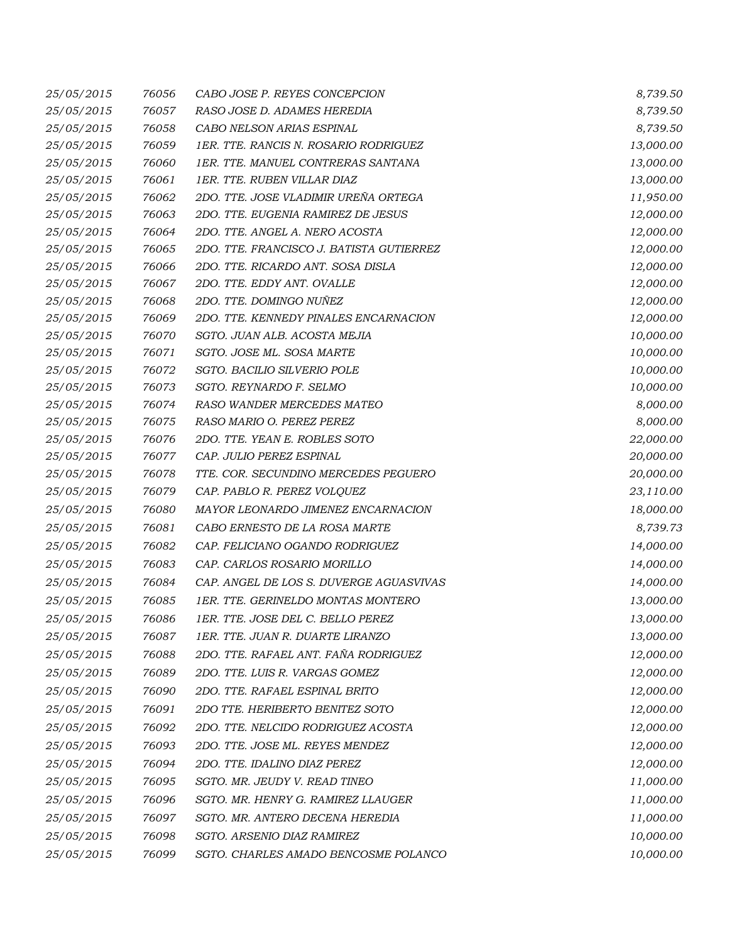| 25/05/2015 | 76056 | CABO JOSE P. REYES CONCEPCION            | 8,739.50  |
|------------|-------|------------------------------------------|-----------|
| 25/05/2015 | 76057 | RASO JOSE D. ADAMES HEREDIA              | 8,739.50  |
| 25/05/2015 | 76058 | CABO NELSON ARIAS ESPINAL                | 8,739.50  |
| 25/05/2015 | 76059 | 1ER. TTE. RANCIS N. ROSARIO RODRIGUEZ    | 13,000.00 |
| 25/05/2015 | 76060 | 1ER. TTE. MANUEL CONTRERAS SANTANA       | 13,000.00 |
| 25/05/2015 | 76061 | 1ER. TTE. RUBEN VILLAR DIAZ              | 13,000.00 |
| 25/05/2015 | 76062 | 2DO. TTE. JOSE VLADIMIR UREÑA ORTEGA     | 11,950.00 |
| 25/05/2015 | 76063 | 2DO. TTE. EUGENIA RAMIREZ DE JESUS       | 12,000.00 |
| 25/05/2015 | 76064 | 2DO. TTE. ANGEL A. NERO ACOSTA           | 12,000.00 |
| 25/05/2015 | 76065 | 2DO. TTE. FRANCISCO J. BATISTA GUTIERREZ | 12,000.00 |
| 25/05/2015 | 76066 | 2DO. TTE. RICARDO ANT. SOSA DISLA        | 12,000.00 |
| 25/05/2015 | 76067 | 2DO. TTE. EDDY ANT. OVALLE               | 12,000.00 |
| 25/05/2015 | 76068 | 2DO. TTE. DOMINGO NUÑEZ                  | 12,000.00 |
| 25/05/2015 | 76069 | 2DO. TTE. KENNEDY PINALES ENCARNACION    | 12,000.00 |
| 25/05/2015 | 76070 | SGTO. JUAN ALB. ACOSTA MEJIA             | 10,000.00 |
| 25/05/2015 | 76071 | SGTO. JOSE ML. SOSA MARTE                | 10,000.00 |
| 25/05/2015 | 76072 | SGTO. BACILIO SILVERIO POLE              | 10,000.00 |
| 25/05/2015 | 76073 | SGTO. REYNARDO F. SELMO                  | 10,000.00 |
| 25/05/2015 | 76074 | RASO WANDER MERCEDES MATEO               | 8,000.00  |
| 25/05/2015 | 76075 | RASO MARIO O. PEREZ PEREZ                | 8,000.00  |
| 25/05/2015 | 76076 | 2DO. TTE. YEAN E. ROBLES SOTO            | 22,000.00 |
| 25/05/2015 | 76077 | CAP. JULIO PEREZ ESPINAL                 | 20,000.00 |
| 25/05/2015 | 76078 | TTE. COR. SECUNDINO MERCEDES PEGUERO     | 20,000.00 |
| 25/05/2015 | 76079 | CAP. PABLO R. PEREZ VOLQUEZ              | 23,110.00 |
| 25/05/2015 | 76080 | MAYOR LEONARDO JIMENEZ ENCARNACION       | 18,000.00 |
| 25/05/2015 | 76081 | CABO ERNESTO DE LA ROSA MARTE            | 8,739.73  |
| 25/05/2015 | 76082 | CAP. FELICIANO OGANDO RODRIGUEZ          | 14,000.00 |
| 25/05/2015 | 76083 | CAP. CARLOS ROSARIO MORILLO              | 14,000.00 |
| 25/05/2015 | 76084 | CAP. ANGEL DE LOS S. DUVERGE AGUASVIVAS  | 14,000.00 |
| 25/05/2015 | 76085 | 1ER. TTE. GERINELDO MONTAS MONTERO       | 13,000.00 |
| 25/05/2015 | 76086 | 1ER. TTE. JOSE DEL C. BELLO PEREZ        | 13,000.00 |
| 25/05/2015 | 76087 | 1ER. TTE. JUAN R. DUARTE LIRANZO         | 13,000.00 |
| 25/05/2015 | 76088 | 2DO. TTE. RAFAEL ANT. FAÑA RODRIGUEZ     | 12,000.00 |
| 25/05/2015 | 76089 | 2DO. TTE. LUIS R. VARGAS GOMEZ           | 12,000.00 |
| 25/05/2015 | 76090 | 2DO. TTE. RAFAEL ESPINAL BRITO           | 12,000.00 |
| 25/05/2015 | 76091 | 2DO TTE. HERIBERTO BENITEZ SOTO          | 12,000.00 |
| 25/05/2015 | 76092 | 2DO. TTE. NELCIDO RODRIGUEZ ACOSTA       | 12,000.00 |
| 25/05/2015 | 76093 | 2DO. TTE. JOSE ML. REYES MENDEZ          | 12,000.00 |
| 25/05/2015 | 76094 | 2DO. TTE. IDALINO DIAZ PEREZ             | 12,000.00 |
| 25/05/2015 | 76095 | SGTO. MR. JEUDY V. READ TINEO            | 11,000.00 |
| 25/05/2015 | 76096 | SGTO. MR. HENRY G. RAMIREZ LLAUGER       | 11,000.00 |
| 25/05/2015 | 76097 | SGTO. MR. ANTERO DECENA HEREDIA          | 11,000.00 |
| 25/05/2015 | 76098 | SGTO. ARSENIO DIAZ RAMIREZ               | 10,000.00 |
|            |       |                                          |           |
| 25/05/2015 | 76099 | SGTO. CHARLES AMADO BENCOSME POLANCO     | 10,000.00 |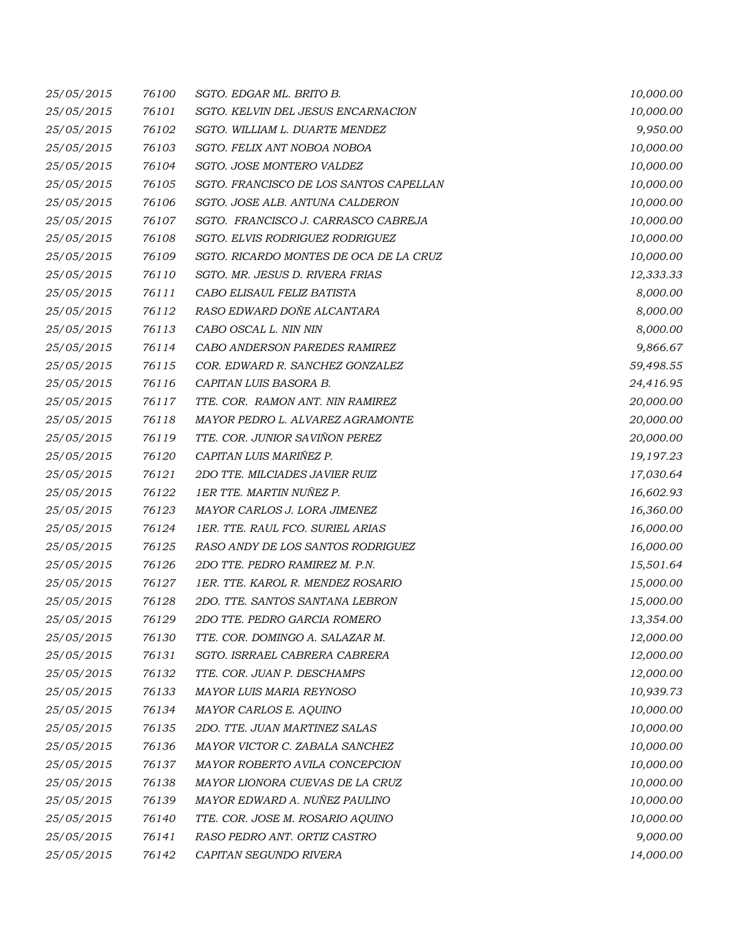| 25/05/2015 | 76100 | SGTO. EDGAR ML. BRITO B.               | 10,000.00 |
|------------|-------|----------------------------------------|-----------|
| 25/05/2015 | 76101 | SGTO. KELVIN DEL JESUS ENCARNACION     | 10,000.00 |
| 25/05/2015 | 76102 | SGTO. WILLIAM L. DUARTE MENDEZ         | 9,950.00  |
| 25/05/2015 | 76103 | SGTO. FELIX ANT NOBOA NOBOA            | 10,000.00 |
| 25/05/2015 | 76104 | SGTO. JOSE MONTERO VALDEZ              | 10,000.00 |
| 25/05/2015 | 76105 | SGTO. FRANCISCO DE LOS SANTOS CAPELLAN | 10,000.00 |
| 25/05/2015 | 76106 | SGTO. JOSE ALB. ANTUNA CALDERON        | 10,000.00 |
| 25/05/2015 | 76107 | SGTO. FRANCISCO J. CARRASCO CABREJA    | 10,000.00 |
| 25/05/2015 | 76108 | SGTO. ELVIS RODRIGUEZ RODRIGUEZ        | 10,000.00 |
| 25/05/2015 | 76109 | SGTO. RICARDO MONTES DE OCA DE LA CRUZ | 10,000.00 |
| 25/05/2015 | 76110 | SGTO. MR. JESUS D. RIVERA FRIAS        | 12,333.33 |
| 25/05/2015 | 76111 | CABO ELISAUL FELIZ BATISTA             | 8,000.00  |
| 25/05/2015 | 76112 | RASO EDWARD DOÑE ALCANTARA             | 8,000.00  |
| 25/05/2015 | 76113 | CABO OSCAL L. NIN NIN                  | 8,000.00  |
| 25/05/2015 | 76114 | CABO ANDERSON PAREDES RAMIREZ          | 9,866.67  |
| 25/05/2015 | 76115 | COR. EDWARD R. SANCHEZ GONZALEZ        | 59,498.55 |
| 25/05/2015 | 76116 | CAPITAN LUIS BASORA B.                 | 24,416.95 |
| 25/05/2015 | 76117 | TTE. COR. RAMON ANT. NIN RAMIREZ       | 20,000.00 |
| 25/05/2015 | 76118 | MAYOR PEDRO L. ALVAREZ AGRAMONTE       | 20,000.00 |
| 25/05/2015 | 76119 | TTE. COR. JUNIOR SAVIÑON PEREZ         | 20,000.00 |
| 25/05/2015 | 76120 | CAPITAN LUIS MARIÑEZ P.                | 19,197.23 |
| 25/05/2015 | 76121 | 2DO TTE. MILCIADES JAVIER RUIZ         | 17,030.64 |
| 25/05/2015 | 76122 | 1ER TTE. MARTIN NUÑEZ P.               | 16,602.93 |
| 25/05/2015 | 76123 | MAYOR CARLOS J. LORA JIMENEZ           | 16,360.00 |
| 25/05/2015 | 76124 | 1ER. TTE. RAUL FCO. SURIEL ARIAS       | 16,000.00 |
| 25/05/2015 | 76125 | RASO ANDY DE LOS SANTOS RODRIGUEZ      | 16,000.00 |
| 25/05/2015 | 76126 | 2DO TTE, PEDRO RAMIREZ M, P.N.         | 15,501.64 |
| 25/05/2015 | 76127 | 1ER. TTE. KAROL R. MENDEZ ROSARIO      | 15,000.00 |
| 25/05/2015 | 76128 | 2DO. TTE. SANTOS SANTANA LEBRON        | 15,000.00 |
| 25/05/2015 | 76129 | 2DO TTE. PEDRO GARCIA ROMERO           | 13,354.00 |
| 25/05/2015 | 76130 | TTE. COR. DOMINGO A. SALAZAR M.        | 12,000.00 |
| 25/05/2015 | 76131 | SGTO. ISRRAEL CABRERA CABRERA          | 12,000.00 |
| 25/05/2015 | 76132 | TTE. COR. JUAN P. DESCHAMPS            | 12,000.00 |
| 25/05/2015 | 76133 | <b>MAYOR LUIS MARIA REYNOSO</b>        | 10,939.73 |
| 25/05/2015 | 76134 | MAYOR CARLOS E. AQUINO                 | 10,000.00 |
| 25/05/2015 | 76135 | 2DO. TTE. JUAN MARTINEZ SALAS          | 10,000.00 |
| 25/05/2015 | 76136 | MAYOR VICTOR C. ZABALA SANCHEZ         | 10,000.00 |
| 25/05/2015 | 76137 | MAYOR ROBERTO AVILA CONCEPCION         | 10,000.00 |
| 25/05/2015 | 76138 | MAYOR LIONORA CUEVAS DE LA CRUZ        | 10,000.00 |
| 25/05/2015 | 76139 | MAYOR EDWARD A. NUÑEZ PAULINO          | 10,000.00 |
| 25/05/2015 | 76140 | TTE. COR. JOSE M. ROSARIO AQUINO       | 10,000.00 |
| 25/05/2015 | 76141 | RASO PEDRO ANT. ORTIZ CASTRO           | 9,000.00  |
| 25/05/2015 | 76142 | CAPITAN SEGUNDO RIVERA                 | 14,000.00 |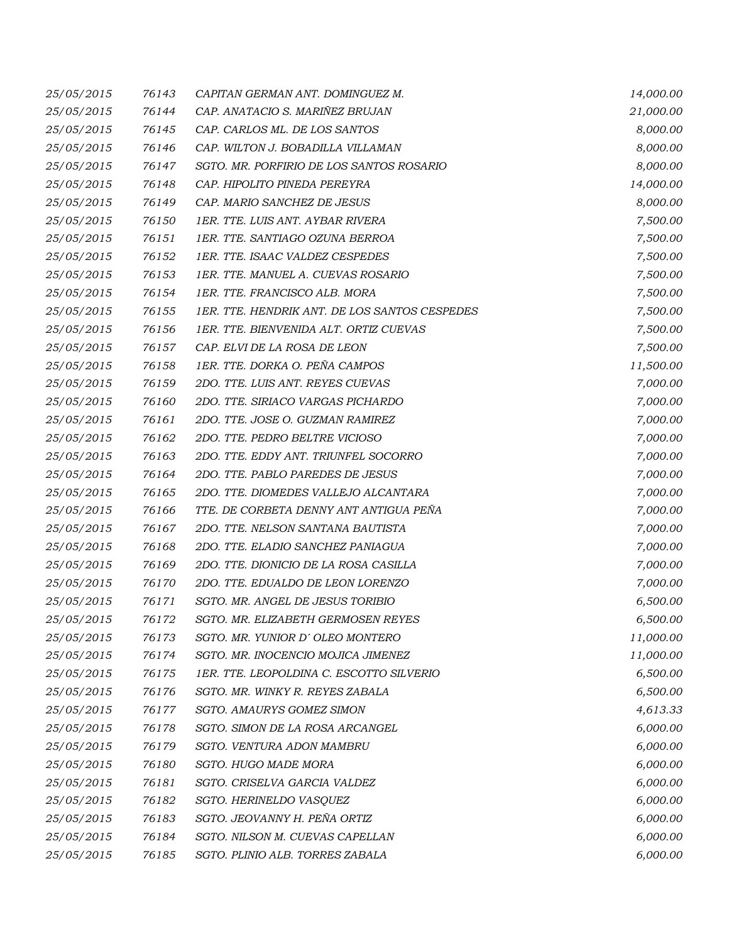| 25/05/2015 | 76143 | CAPITAN GERMAN ANT. DOMINGUEZ M.              | 14,000.00 |
|------------|-------|-----------------------------------------------|-----------|
| 25/05/2015 | 76144 | CAP. ANATACIO S. MARIÑEZ BRUJAN               | 21,000.00 |
| 25/05/2015 | 76145 | CAP. CARLOS ML. DE LOS SANTOS                 | 8,000.00  |
| 25/05/2015 | 76146 | CAP. WILTON J. BOBADILLA VILLAMAN             | 8,000.00  |
| 25/05/2015 | 76147 | SGTO. MR. PORFIRIO DE LOS SANTOS ROSARIO      | 8,000.00  |
| 25/05/2015 | 76148 | CAP. HIPOLITO PINEDA PEREYRA                  | 14,000.00 |
| 25/05/2015 | 76149 | CAP. MARIO SANCHEZ DE JESUS                   | 8,000.00  |
| 25/05/2015 | 76150 | 1ER. TTE. LUIS ANT. AYBAR RIVERA              | 7,500.00  |
| 25/05/2015 | 76151 | 1ER. TTE. SANTIAGO OZUNA BERROA               | 7,500.00  |
| 25/05/2015 | 76152 | 1ER. TTE. ISAAC VALDEZ CESPEDES               | 7,500.00  |
| 25/05/2015 | 76153 | 1ER. TTE. MANUEL A. CUEVAS ROSARIO            | 7,500.00  |
| 25/05/2015 | 76154 | 1ER. TTE. FRANCISCO ALB. MORA                 | 7,500.00  |
| 25/05/2015 | 76155 | 1ER. TTE. HENDRIK ANT. DE LOS SANTOS CESPEDES | 7,500.00  |
| 25/05/2015 | 76156 | 1ER. TTE. BIENVENIDA ALT. ORTIZ CUEVAS        | 7,500.00  |
| 25/05/2015 | 76157 | CAP. ELVI DE LA ROSA DE LEON                  | 7,500.00  |
| 25/05/2015 | 76158 | 1ER. TTE. DORKA O. PEÑA CAMPOS                | 11,500.00 |
| 25/05/2015 | 76159 | 2DO. TTE. LUIS ANT. REYES CUEVAS              | 7,000.00  |
| 25/05/2015 | 76160 | 2DO. TTE. SIRIACO VARGAS PICHARDO             | 7,000.00  |
| 25/05/2015 | 76161 | 2DO. TTE. JOSE O. GUZMAN RAMIREZ              | 7,000.00  |
| 25/05/2015 | 76162 | 2DO. TTE. PEDRO BELTRE VICIOSO                | 7,000.00  |
| 25/05/2015 | 76163 | 2DO. TTE. EDDY ANT. TRIUNFEL SOCORRO          | 7,000.00  |
| 25/05/2015 | 76164 | 2DO. TTE. PABLO PAREDES DE JESUS              | 7,000.00  |
| 25/05/2015 | 76165 | 2DO. TTE. DIOMEDES VALLEJO ALCANTARA          | 7,000.00  |
| 25/05/2015 | 76166 | TTE. DE CORBETA DENNY ANT ANTIGUA PEÑA        | 7,000.00  |
| 25/05/2015 | 76167 | 2DO. TTE. NELSON SANTANA BAUTISTA             | 7,000.00  |
| 25/05/2015 | 76168 | 2DO. TTE. ELADIO SANCHEZ PANIAGUA             | 7,000.00  |
| 25/05/2015 | 76169 | 2DO. TTE. DIONICIO DE LA ROSA CASILLA         | 7,000.00  |
| 25/05/2015 | 76170 | 2DO. TTE. EDUALDO DE LEON LORENZO             | 7,000.00  |
| 25/05/2015 | 76171 | SGTO. MR. ANGEL DE JESUS TORIBIO              | 6,500.00  |
| 25/05/2015 | 76172 | SGTO. MR. ELIZABETH GERMOSEN REYES            | 6,500.00  |
| 25/05/2015 | 76173 | SGTO. MR. YUNIOR D'OLEO MONTERO               | 11,000.00 |
| 25/05/2015 | 76174 | SGTO. MR. INOCENCIO MOJICA JIMENEZ            | 11,000.00 |
| 25/05/2015 | 76175 | 1ER. TTE. LEOPOLDINA C. ESCOTTO SILVERIO      | 6,500.00  |
| 25/05/2015 | 76176 | SGTO. MR. WINKY R. REYES ZABALA               | 6,500.00  |
| 25/05/2015 | 76177 | SGTO. AMAURYS GOMEZ SIMON                     | 4,613.33  |
| 25/05/2015 | 76178 | SGTO. SIMON DE LA ROSA ARCANGEL               | 6,000.00  |
| 25/05/2015 | 76179 | SGTO. VENTURA ADON MAMBRU                     | 6,000.00  |
| 25/05/2015 | 76180 | SGTO. HUGO MADE MORA                          | 6,000.00  |
| 25/05/2015 | 76181 | SGTO. CRISELVA GARCIA VALDEZ                  | 6,000.00  |
| 25/05/2015 | 76182 | SGTO. HERINELDO VASQUEZ                       | 6,000.00  |
| 25/05/2015 | 76183 | SGTO. JEOVANNY H. PEÑA ORTIZ                  | 6,000.00  |
| 25/05/2015 | 76184 | SGTO. NILSON M. CUEVAS CAPELLAN               | 6,000.00  |
| 25/05/2015 | 76185 | SGTO. PLINIO ALB. TORRES ZABALA               | 6,000.00  |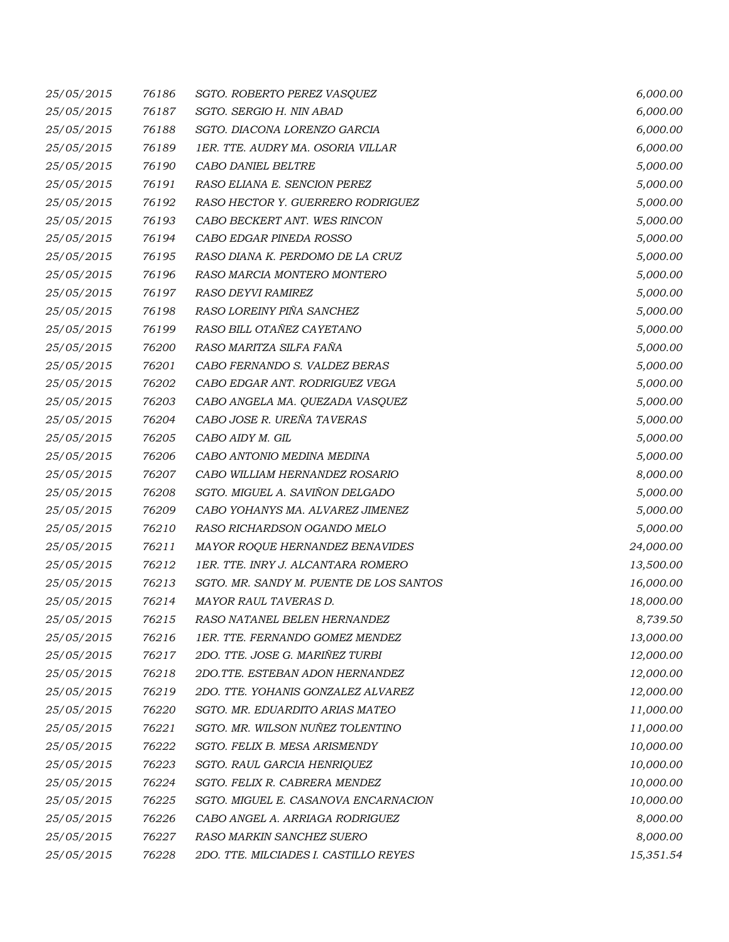| 25/05/2015 | 76186 | SGTO. ROBERTO PEREZ VASQUEZ             | 6,000.00  |
|------------|-------|-----------------------------------------|-----------|
| 25/05/2015 | 76187 | SGTO. SERGIO H. NIN ABAD                | 6,000.00  |
| 25/05/2015 | 76188 | SGTO. DIACONA LORENZO GARCIA            | 6,000.00  |
| 25/05/2015 | 76189 | 1ER. TTE. AUDRY MA. OSORIA VILLAR       | 6,000.00  |
| 25/05/2015 | 76190 | CABO DANIEL BELTRE                      | 5,000.00  |
| 25/05/2015 | 76191 | RASO ELIANA E. SENCION PEREZ            | 5,000.00  |
| 25/05/2015 | 76192 | RASO HECTOR Y. GUERRERO RODRIGUEZ       | 5,000.00  |
| 25/05/2015 | 76193 | CABO BECKERT ANT. WES RINCON            | 5,000.00  |
| 25/05/2015 | 76194 | CABO EDGAR PINEDA ROSSO                 | 5,000.00  |
| 25/05/2015 | 76195 | RASO DIANA K. PERDOMO DE LA CRUZ        | 5,000.00  |
| 25/05/2015 | 76196 | RASO MARCIA MONTERO MONTERO             | 5,000.00  |
| 25/05/2015 | 76197 | RASO DEYVI RAMIREZ                      | 5,000.00  |
| 25/05/2015 | 76198 | RASO LOREINY PIÑA SANCHEZ               | 5,000.00  |
| 25/05/2015 | 76199 | RASO BILL OTAÑEZ CAYETANO               | 5,000.00  |
| 25/05/2015 | 76200 | RASO MARITZA SILFA FAÑA                 | 5,000.00  |
| 25/05/2015 | 76201 | CABO FERNANDO S. VALDEZ BERAS           | 5,000.00  |
| 25/05/2015 | 76202 | CABO EDGAR ANT. RODRIGUEZ VEGA          | 5,000.00  |
| 25/05/2015 | 76203 | CABO ANGELA MA. QUEZADA VASQUEZ         | 5,000.00  |
| 25/05/2015 | 76204 | CABO JOSE R. UREÑA TAVERAS              | 5,000.00  |
| 25/05/2015 | 76205 | CABO AIDY M. GIL                        | 5,000.00  |
| 25/05/2015 | 76206 | CABO ANTONIO MEDINA MEDINA              | 5,000.00  |
| 25/05/2015 | 76207 | CABO WILLIAM HERNANDEZ ROSARIO          | 8,000.00  |
| 25/05/2015 | 76208 | SGTO. MIGUEL A. SAVIÑON DELGADO         | 5,000.00  |
| 25/05/2015 | 76209 | CABO YOHANYS MA. ALVAREZ JIMENEZ        | 5,000.00  |
| 25/05/2015 | 76210 | RASO RICHARDSON OGANDO MELO             | 5,000.00  |
| 25/05/2015 | 76211 | MAYOR ROQUE HERNANDEZ BENAVIDES         | 24,000.00 |
| 25/05/2015 | 76212 | 1ER. TTE. INRY J. ALCANTARA ROMERO      | 13,500.00 |
| 25/05/2015 | 76213 | SGTO. MR. SANDY M. PUENTE DE LOS SANTOS | 16,000.00 |
| 25/05/2015 | 76214 | MAYOR RAUL TAVERAS D.                   | 18,000.00 |
| 25/05/2015 | 76215 | RASO NATANEL BELEN HERNANDEZ            | 8,739.50  |
| 25/05/2015 | 76216 | 1ER. TTE. FERNANDO GOMEZ MENDEZ         | 13,000.00 |
| 25/05/2015 | 76217 | 2DO. TTE. JOSE G. MARIÑEZ TURBI         | 12,000.00 |
| 25/05/2015 | 76218 | 2DO.TTE. ESTEBAN ADON HERNANDEZ         | 12,000.00 |
| 25/05/2015 | 76219 | 2DO. TTE. YOHANIS GONZALEZ ALVAREZ      | 12,000.00 |
| 25/05/2015 | 76220 | SGTO. MR. EDUARDITO ARIAS MATEO         | 11,000.00 |
| 25/05/2015 | 76221 | SGTO. MR. WILSON NUÑEZ TOLENTINO        | 11,000.00 |
| 25/05/2015 | 76222 | SGTO. FELIX B. MESA ARISMENDY           | 10,000.00 |
| 25/05/2015 | 76223 | SGTO. RAUL GARCIA HENRIQUEZ             | 10,000.00 |
| 25/05/2015 | 76224 | SGTO. FELIX R. CABRERA MENDEZ           | 10,000.00 |
| 25/05/2015 | 76225 | SGTO. MIGUEL E. CASANOVA ENCARNACION    | 10,000.00 |
| 25/05/2015 | 76226 | CABO ANGEL A. ARRIAGA RODRIGUEZ         | 8,000.00  |
| 25/05/2015 | 76227 | RASO MARKIN SANCHEZ SUERO               | 8,000.00  |
| 25/05/2015 | 76228 | 2DO. TTE. MILCIADES I. CASTILLO REYES   | 15,351.54 |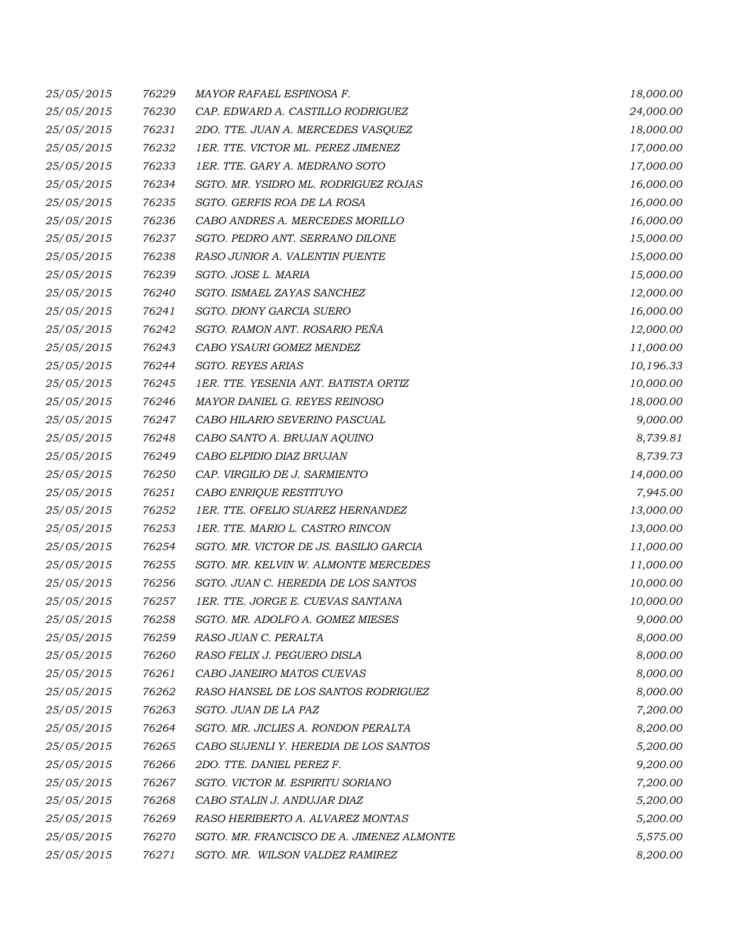| 25/05/2015 | 76229 | MAYOR RAFAEL ESPINOSA F.                  | 18,000.00 |
|------------|-------|-------------------------------------------|-----------|
| 25/05/2015 | 76230 | CAP. EDWARD A. CASTILLO RODRIGUEZ         | 24,000.00 |
| 25/05/2015 | 76231 | 2DO. TTE. JUAN A. MERCEDES VASQUEZ        | 18,000.00 |
| 25/05/2015 | 76232 | 1ER. TTE. VICTOR ML. PEREZ JIMENEZ        | 17,000.00 |
| 25/05/2015 | 76233 | 1ER. TTE. GARY A. MEDRANO SOTO            | 17,000.00 |
| 25/05/2015 | 76234 | SGTO. MR. YSIDRO ML. RODRIGUEZ ROJAS      | 16,000.00 |
| 25/05/2015 | 76235 | SGTO. GERFIS ROA DE LA ROSA               | 16,000.00 |
| 25/05/2015 | 76236 | CABO ANDRES A. MERCEDES MORILLO           | 16,000.00 |
| 25/05/2015 | 76237 | SGTO. PEDRO ANT. SERRANO DILONE           | 15,000.00 |
| 25/05/2015 | 76238 | RASO JUNIOR A. VALENTIN PUENTE            | 15,000.00 |
| 25/05/2015 | 76239 | SGTO. JOSE L. MARIA                       | 15,000.00 |
| 25/05/2015 | 76240 | SGTO. ISMAEL ZAYAS SANCHEZ                | 12,000.00 |
| 25/05/2015 | 76241 | SGTO. DIONY GARCIA SUERO                  | 16,000.00 |
| 25/05/2015 | 76242 | SGTO. RAMON ANT. ROSARIO PEÑA             | 12,000.00 |
| 25/05/2015 | 76243 | CABO YSAURI GOMEZ MENDEZ                  | 11,000.00 |
| 25/05/2015 | 76244 | <b>SGTO. REYES ARIAS</b>                  | 10,196.33 |
| 25/05/2015 | 76245 | 1ER. TTE. YESENIA ANT. BATISTA ORTIZ      | 10,000.00 |
| 25/05/2015 | 76246 | MAYOR DANIEL G. REYES REINOSO             | 18,000.00 |
| 25/05/2015 | 76247 | CABO HILARIO SEVERINO PASCUAL             | 9,000.00  |
| 25/05/2015 | 76248 | CABO SANTO A. BRUJAN AQUINO               | 8,739.81  |
| 25/05/2015 | 76249 | CABO ELPIDIO DIAZ BRUJAN                  | 8,739.73  |
| 25/05/2015 | 76250 | CAP. VIRGILIO DE J. SARMIENTO             | 14,000.00 |
| 25/05/2015 | 76251 | CABO ENRIQUE RESTITUYO                    | 7,945.00  |
| 25/05/2015 | 76252 | 1ER. TTE. OFELIO SUAREZ HERNANDEZ         | 13,000.00 |
| 25/05/2015 | 76253 | 1ER. TTE. MARIO L. CASTRO RINCON          | 13,000.00 |
| 25/05/2015 | 76254 | SGTO. MR. VICTOR DE JS. BASILIO GARCIA    | 11,000.00 |
| 25/05/2015 | 76255 | SGTO. MR. KELVIN W. ALMONTE MERCEDES      | 11,000.00 |
| 25/05/2015 | 76256 | SGTO. JUAN C. HEREDIA DE LOS SANTOS       | 10,000.00 |
| 25/05/2015 | 76257 | 1ER. TTE. JORGE E. CUEVAS SANTANA         | 10,000.00 |
| 25/05/2015 | 76258 | SGTO. MR. ADOLFO A. GOMEZ MIESES          | 9,000.00  |
| 25/05/2015 | 76259 | RASO JUAN C. PERALTA                      | 8,000.00  |
| 25/05/2015 | 76260 | RASO FELIX J. PEGUERO DISLA               | 8,000.00  |
| 25/05/2015 | 76261 | CABO JANEIRO MATOS CUEVAS                 | 8,000.00  |
| 25/05/2015 | 76262 | RASO HANSEL DE LOS SANTOS RODRIGUEZ       | 8,000.00  |
| 25/05/2015 | 76263 | SGTO. JUAN DE LA PAZ                      | 7,200.00  |
| 25/05/2015 | 76264 | SGTO. MR. JICLIES A. RONDON PERALTA       | 8,200.00  |
| 25/05/2015 | 76265 | CABO SUJENLI Y. HEREDIA DE LOS SANTOS     | 5,200.00  |
| 25/05/2015 | 76266 | 2DO. TTE. DANIEL PEREZ F.                 | 9,200.00  |
| 25/05/2015 | 76267 | SGTO. VICTOR M. ESPIRITU SORIANO          | 7,200.00  |
| 25/05/2015 | 76268 | CABO STALIN J. ANDUJAR DIAZ               | 5,200.00  |
| 25/05/2015 | 76269 | RASO HERIBERTO A. ALVAREZ MONTAS          | 5,200.00  |
| 25/05/2015 | 76270 | SGTO. MR. FRANCISCO DE A. JIMENEZ ALMONTE | 5,575.00  |
| 25/05/2015 | 76271 | SGTO. MR. WILSON VALDEZ RAMIREZ           | 8,200.00  |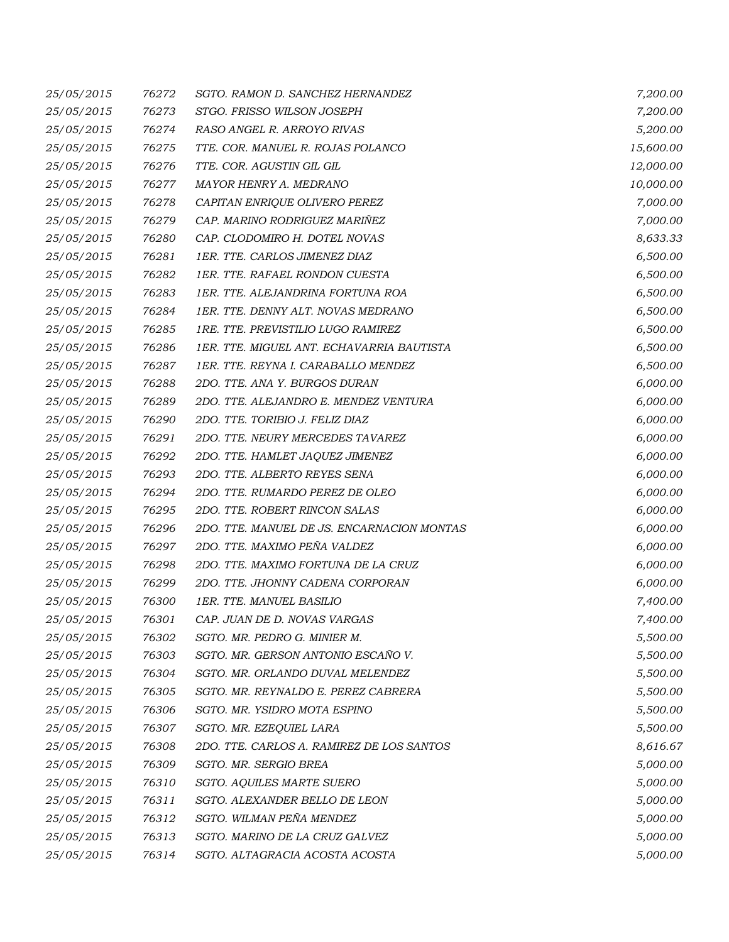| 25/05/2015 | 76272 | SGTO. RAMON D. SANCHEZ HERNANDEZ           | 7,200.00  |
|------------|-------|--------------------------------------------|-----------|
| 25/05/2015 | 76273 | STGO. FRISSO WILSON JOSEPH                 | 7,200.00  |
| 25/05/2015 | 76274 | RASO ANGEL R. ARROYO RIVAS                 | 5,200.00  |
| 25/05/2015 | 76275 | TTE. COR. MANUEL R. ROJAS POLANCO          | 15,600.00 |
| 25/05/2015 | 76276 | TTE. COR. AGUSTIN GIL GIL                  | 12,000.00 |
| 25/05/2015 | 76277 | MAYOR HENRY A. MEDRANO                     | 10,000.00 |
| 25/05/2015 | 76278 | CAPITAN ENRIQUE OLIVERO PEREZ              | 7,000.00  |
| 25/05/2015 | 76279 | CAP. MARINO RODRIGUEZ MARIÑEZ              | 7,000.00  |
| 25/05/2015 | 76280 | CAP. CLODOMIRO H. DOTEL NOVAS              | 8,633.33  |
| 25/05/2015 | 76281 | 1ER. TTE. CARLOS JIMENEZ DIAZ              | 6,500.00  |
| 25/05/2015 | 76282 | 1ER. TTE. RAFAEL RONDON CUESTA             | 6,500.00  |
| 25/05/2015 | 76283 | 1ER. TTE. ALEJANDRINA FORTUNA ROA          | 6,500.00  |
| 25/05/2015 | 76284 | 1ER. TTE. DENNY ALT. NOVAS MEDRANO         | 6,500.00  |
| 25/05/2015 | 76285 | 1RE. TTE. PREVISTILIO LUGO RAMIREZ         | 6,500.00  |
| 25/05/2015 | 76286 | 1ER. TTE. MIGUEL ANT. ECHAVARRIA BAUTISTA  | 6,500.00  |
| 25/05/2015 | 76287 | 1ER. TTE. REYNA I. CARABALLO MENDEZ        | 6,500.00  |
| 25/05/2015 | 76288 | 2DO. TTE. ANA Y. BURGOS DURAN              | 6,000.00  |
| 25/05/2015 | 76289 | 2DO. TTE. ALEJANDRO E. MENDEZ VENTURA      | 6,000.00  |
| 25/05/2015 | 76290 | 2DO. TTE. TORIBIO J. FELIZ DIAZ            | 6,000.00  |
| 25/05/2015 | 76291 | 2DO. TTE. NEURY MERCEDES TAVAREZ           | 6,000.00  |
| 25/05/2015 | 76292 | 2DO. TTE. HAMLET JAQUEZ JIMENEZ            | 6,000.00  |
| 25/05/2015 | 76293 | 2DO. TTE. ALBERTO REYES SENA               | 6,000.00  |
| 25/05/2015 | 76294 | 2DO. TTE. RUMARDO PEREZ DE OLEO            | 6,000.00  |
| 25/05/2015 | 76295 | 2DO. TTE. ROBERT RINCON SALAS              | 6,000.00  |
| 25/05/2015 | 76296 | 2DO. TTE. MANUEL DE JS. ENCARNACION MONTAS | 6,000.00  |
| 25/05/2015 | 76297 | 2DO. TTE. MAXIMO PEÑA VALDEZ               | 6,000.00  |
| 25/05/2015 | 76298 | 2DO. TTE. MAXIMO FORTUNA DE LA CRUZ        | 6,000.00  |
| 25/05/2015 | 76299 | 2DO. TTE. JHONNY CADENA CORPORAN           | 6,000.00  |
| 25/05/2015 | 76300 | 1ER. TTE. MANUEL BASILIO                   | 7,400.00  |
| 25/05/2015 | 76301 | CAP. JUAN DE D. NOVAS VARGAS               | 7,400.00  |
| 25/05/2015 | 76302 | SGTO. MR. PEDRO G. MINIER M.               | 5,500.00  |
| 25/05/2015 | 76303 | SGTO. MR. GERSON ANTONIO ESCAÑO V.         | 5,500.00  |
| 25/05/2015 | 76304 | SGTO. MR. ORLANDO DUVAL MELENDEZ           | 5,500.00  |
| 25/05/2015 | 76305 | SGTO. MR. REYNALDO E. PEREZ CABRERA        | 5,500.00  |
| 25/05/2015 | 76306 | SGTO. MR. YSIDRO MOTA ESPINO               | 5,500.00  |
| 25/05/2015 | 76307 | SGTO. MR. EZEQUIEL LARA                    | 5,500.00  |
| 25/05/2015 | 76308 | 2DO. TTE. CARLOS A. RAMIREZ DE LOS SANTOS  | 8,616.67  |
| 25/05/2015 | 76309 | SGTO. MR. SERGIO BREA                      | 5,000.00  |
| 25/05/2015 | 76310 | SGTO. AQUILES MARTE SUERO                  | 5,000.00  |
| 25/05/2015 | 76311 | SGTO. ALEXANDER BELLO DE LEON              | 5,000.00  |
| 25/05/2015 | 76312 | SGTO. WILMAN PEÑA MENDEZ                   | 5,000.00  |
| 25/05/2015 | 76313 | SGTO. MARINO DE LA CRUZ GALVEZ             | 5,000.00  |
| 25/05/2015 | 76314 | SGTO. ALTAGRACIA ACOSTA ACOSTA             | 5,000.00  |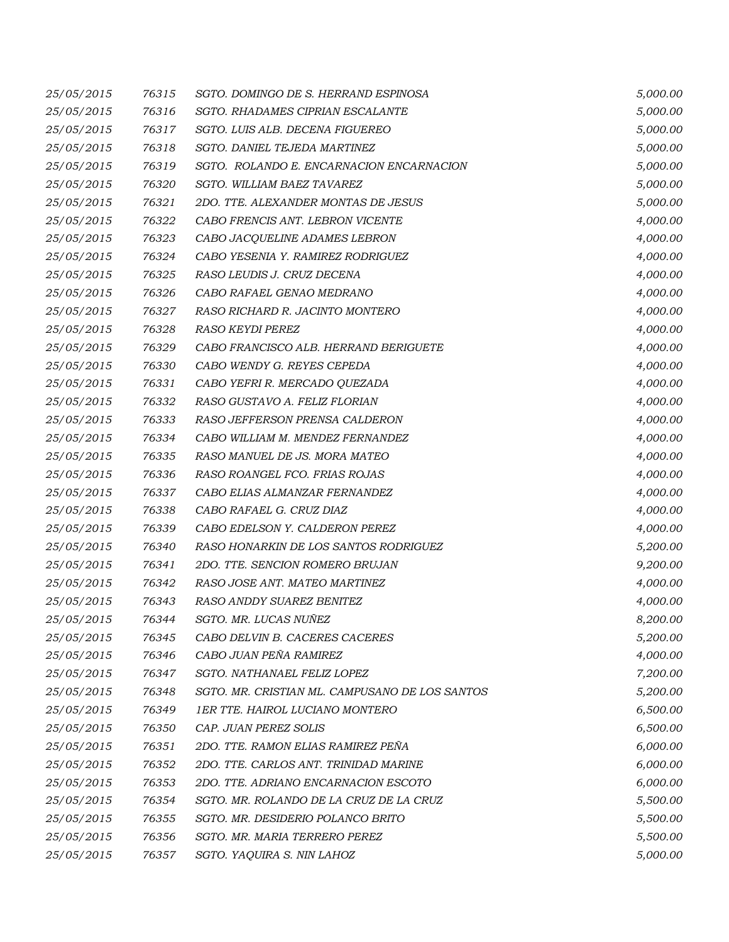| 25/05/2015 | 76315 | SGTO. DOMINGO DE S. HERRAND ESPINOSA           | 5,000.00 |
|------------|-------|------------------------------------------------|----------|
| 25/05/2015 | 76316 | SGTO. RHADAMES CIPRIAN ESCALANTE               | 5,000.00 |
| 25/05/2015 | 76317 | SGTO. LUIS ALB. DECENA FIGUEREO                | 5,000.00 |
| 25/05/2015 | 76318 | SGTO. DANIEL TEJEDA MARTINEZ                   | 5,000.00 |
| 25/05/2015 | 76319 | SGTO. ROLANDO E. ENCARNACION ENCARNACION       | 5,000.00 |
| 25/05/2015 | 76320 | SGTO. WILLIAM BAEZ TAVAREZ                     | 5,000.00 |
| 25/05/2015 | 76321 | 2DO. TTE. ALEXANDER MONTAS DE JESUS            | 5,000.00 |
| 25/05/2015 | 76322 | CABO FRENCIS ANT. LEBRON VICENTE               | 4,000.00 |
| 25/05/2015 | 76323 | CABO JACQUELINE ADAMES LEBRON                  | 4,000.00 |
| 25/05/2015 | 76324 | CABO YESENIA Y. RAMIREZ RODRIGUEZ              | 4,000.00 |
| 25/05/2015 | 76325 | RASO LEUDIS J. CRUZ DECENA                     | 4,000.00 |
| 25/05/2015 | 76326 | CABO RAFAEL GENAO MEDRANO                      | 4,000.00 |
| 25/05/2015 | 76327 | RASO RICHARD R. JACINTO MONTERO                | 4,000.00 |
| 25/05/2015 | 76328 | <b>RASO KEYDI PEREZ</b>                        | 4,000.00 |
| 25/05/2015 | 76329 | CABO FRANCISCO ALB. HERRAND BERIGUETE          | 4,000.00 |
| 25/05/2015 | 76330 | CABO WENDY G. REYES CEPEDA                     | 4,000.00 |
| 25/05/2015 | 76331 | CABO YEFRI R. MERCADO QUEZADA                  | 4,000.00 |
| 25/05/2015 | 76332 | RASO GUSTAVO A. FELIZ FLORIAN                  | 4,000.00 |
| 25/05/2015 | 76333 | RASO JEFFERSON PRENSA CALDERON                 | 4,000.00 |
| 25/05/2015 | 76334 | CABO WILLIAM M. MENDEZ FERNANDEZ               | 4,000.00 |
| 25/05/2015 | 76335 | RASO MANUEL DE JS. MORA MATEO                  | 4,000.00 |
| 25/05/2015 | 76336 | RASO ROANGEL FCO. FRIAS ROJAS                  | 4,000.00 |
| 25/05/2015 | 76337 | CABO ELIAS ALMANZAR FERNANDEZ                  | 4,000.00 |
| 25/05/2015 | 76338 | CABO RAFAEL G. CRUZ DIAZ                       | 4,000.00 |
| 25/05/2015 | 76339 | CABO EDELSON Y. CALDERON PEREZ                 | 4,000.00 |
| 25/05/2015 | 76340 | RASO HONARKIN DE LOS SANTOS RODRIGUEZ          | 5,200.00 |
| 25/05/2015 | 76341 | 2DO. TTE. SENCION ROMERO BRUJAN                | 9,200.00 |
| 25/05/2015 | 76342 | RASO JOSE ANT. MATEO MARTINEZ                  | 4,000.00 |
| 25/05/2015 | 76343 | RASO ANDDY SUAREZ BENITEZ                      | 4,000.00 |
| 25/05/2015 | 76344 | SGTO. MR. LUCAS NUÑEZ                          | 8,200.00 |
| 25/05/2015 | 76345 | CABO DELVIN B. CACERES CACERES                 | 5,200.00 |
| 25/05/2015 | 76346 | CABO JUAN PEÑA RAMIREZ                         | 4,000.00 |
| 25/05/2015 | 76347 | SGTO. NATHANAEL FELIZ LOPEZ                    | 7,200.00 |
| 25/05/2015 | 76348 | SGTO. MR. CRISTIAN ML. CAMPUSANO DE LOS SANTOS | 5,200.00 |
| 25/05/2015 | 76349 | <b>1ER TTE. HAIROL LUCIANO MONTERO</b>         | 6,500.00 |
| 25/05/2015 | 76350 | CAP. JUAN PEREZ SOLIS                          | 6,500.00 |
| 25/05/2015 | 76351 | 2DO. TTE. RAMON ELIAS RAMIREZ PEÑA             | 6,000.00 |
| 25/05/2015 | 76352 | 2DO. TTE. CARLOS ANT. TRINIDAD MARINE          | 6,000.00 |
| 25/05/2015 | 76353 | 2DO. TTE. ADRIANO ENCARNACION ESCOTO           | 6,000.00 |
| 25/05/2015 | 76354 | SGTO. MR. ROLANDO DE LA CRUZ DE LA CRUZ        | 5,500.00 |
| 25/05/2015 | 76355 | SGTO. MR. DESIDERIO POLANCO BRITO              | 5,500.00 |
| 25/05/2015 | 76356 | SGTO. MR. MARIA TERRERO PEREZ                  | 5,500.00 |
| 25/05/2015 | 76357 | SGTO. YAQUIRA S. NIN LAHOZ                     | 5,000.00 |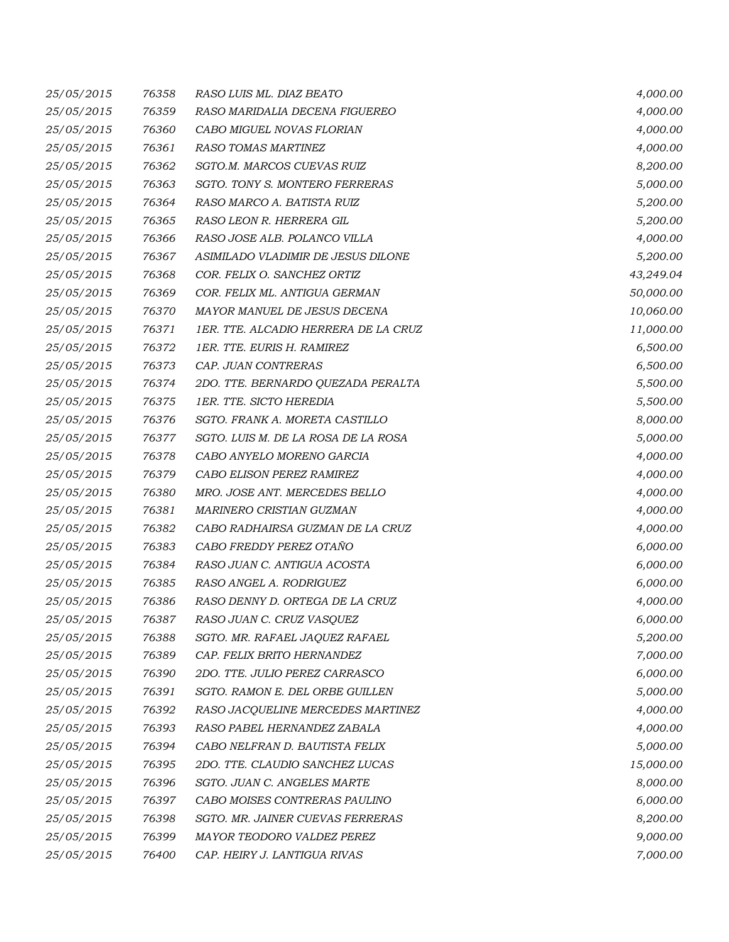| 25/05/2015 | 76358 | RASO LUIS ML. DIAZ BEATO             | 4,000.00  |
|------------|-------|--------------------------------------|-----------|
| 25/05/2015 | 76359 | RASO MARIDALIA DECENA FIGUEREO       | 4,000.00  |
| 25/05/2015 | 76360 | CABO MIGUEL NOVAS FLORIAN            | 4,000.00  |
| 25/05/2015 | 76361 | RASO TOMAS MARTINEZ                  | 4,000.00  |
| 25/05/2015 | 76362 | SGTO.M. MARCOS CUEVAS RUIZ           | 8,200.00  |
| 25/05/2015 | 76363 | SGTO. TONY S. MONTERO FERRERAS       | 5,000.00  |
| 25/05/2015 | 76364 | RASO MARCO A. BATISTA RUIZ           | 5,200.00  |
| 25/05/2015 | 76365 | RASO LEON R. HERRERA GIL             | 5,200.00  |
| 25/05/2015 | 76366 | RASO JOSE ALB. POLANCO VILLA         | 4,000.00  |
| 25/05/2015 | 76367 | ASIMILADO VLADIMIR DE JESUS DILONE   | 5,200.00  |
| 25/05/2015 | 76368 | COR. FELIX O. SANCHEZ ORTIZ          | 43,249.04 |
| 25/05/2015 | 76369 | COR. FELIX ML. ANTIGUA GERMAN        | 50,000.00 |
| 25/05/2015 | 76370 | MAYOR MANUEL DE JESUS DECENA         | 10,060.00 |
| 25/05/2015 | 76371 | 1ER. TTE. ALCADIO HERRERA DE LA CRUZ | 11,000.00 |
| 25/05/2015 | 76372 | 1ER. TTE. EURIS H. RAMIREZ           | 6,500.00  |
| 25/05/2015 | 76373 | CAP. JUAN CONTRERAS                  | 6,500.00  |
| 25/05/2015 | 76374 | 2DO. TTE. BERNARDO QUEZADA PERALTA   | 5,500.00  |
| 25/05/2015 | 76375 | 1ER. TTE. SICTO HEREDIA              | 5,500.00  |
| 25/05/2015 | 76376 | SGTO. FRANK A. MORETA CASTILLO       | 8,000.00  |
| 25/05/2015 | 76377 | SGTO. LUIS M. DE LA ROSA DE LA ROSA  | 5,000.00  |
| 25/05/2015 | 76378 | CABO ANYELO MORENO GARCIA            | 4,000.00  |
| 25/05/2015 | 76379 | CABO ELISON PEREZ RAMIREZ            | 4,000.00  |
| 25/05/2015 | 76380 | MRO. JOSE ANT. MERCEDES BELLO        | 4,000.00  |
| 25/05/2015 | 76381 | MARINERO CRISTIAN GUZMAN             | 4,000.00  |
| 25/05/2015 | 76382 | CABO RADHAIRSA GUZMAN DE LA CRUZ     | 4,000.00  |
| 25/05/2015 | 76383 | CABO FREDDY PEREZ OTAÑO              | 6,000.00  |
| 25/05/2015 | 76384 | RASO JUAN C. ANTIGUA ACOSTA          | 6,000.00  |
| 25/05/2015 | 76385 | RASO ANGEL A. RODRIGUEZ              | 6,000.00  |
| 25/05/2015 | 76386 | RASO DENNY D. ORTEGA DE LA CRUZ      | 4,000.00  |
| 25/05/2015 | 76387 | RASO JUAN C. CRUZ VASQUEZ            | 6,000.00  |
| 25/05/2015 | 76388 | SGTO. MR. RAFAEL JAQUEZ RAFAEL       | 5,200.00  |
| 25/05/2015 | 76389 | CAP. FELIX BRITO HERNANDEZ           | 7,000.00  |
| 25/05/2015 | 76390 | 2DO. TTE. JULIO PEREZ CARRASCO       | 6,000.00  |
| 25/05/2015 | 76391 | SGTO. RAMON E. DEL ORBE GUILLEN      | 5,000.00  |
| 25/05/2015 | 76392 | RASO JACQUELINE MERCEDES MARTINEZ    | 4,000.00  |
| 25/05/2015 | 76393 | RASO PABEL HERNANDEZ ZABALA          | 4,000.00  |
| 25/05/2015 | 76394 | CABO NELFRAN D. BAUTISTA FELIX       | 5,000.00  |
| 25/05/2015 | 76395 | 2DO. TTE. CLAUDIO SANCHEZ LUCAS      | 15,000.00 |
| 25/05/2015 | 76396 | SGTO. JUAN C. ANGELES MARTE          | 8,000.00  |
| 25/05/2015 | 76397 | CABO MOISES CONTRERAS PAULINO        | 6,000.00  |
| 25/05/2015 | 76398 | SGTO. MR. JAINER CUEVAS FERRERAS     | 8,200.00  |
| 25/05/2015 | 76399 | MAYOR TEODORO VALDEZ PEREZ           | 9,000.00  |
| 25/05/2015 | 76400 | CAP. HEIRY J. LANTIGUA RIVAS         | 7,000.00  |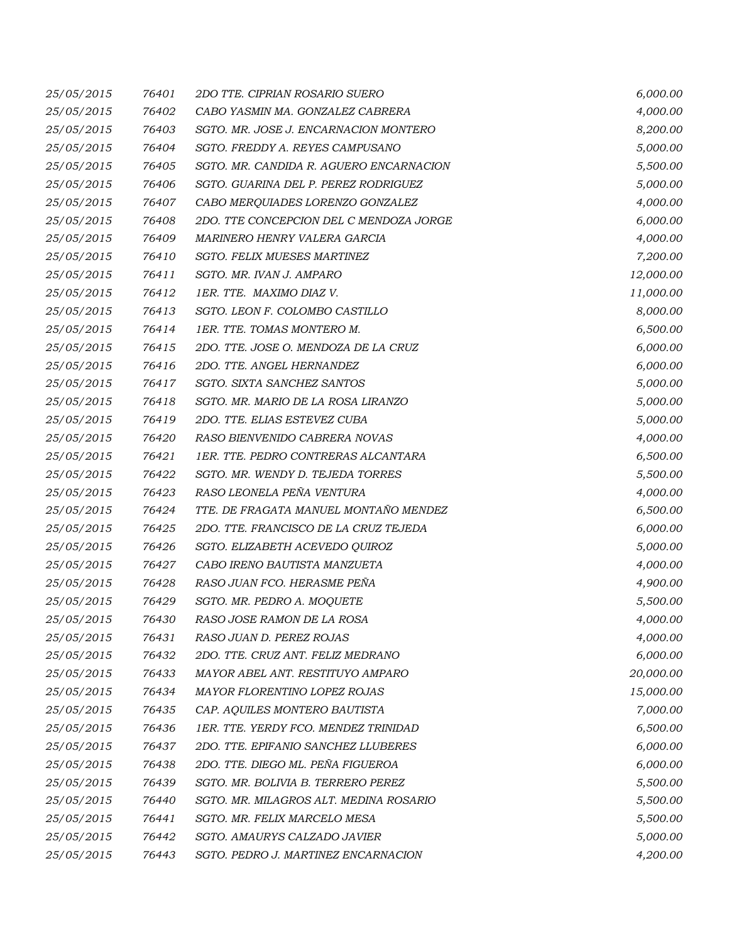| 25/05/2015 | 76401 | 2DO TTE. CIPRIAN ROSARIO SUERO          | 6,000.00  |
|------------|-------|-----------------------------------------|-----------|
| 25/05/2015 | 76402 | CABO YASMIN MA. GONZALEZ CABRERA        | 4,000.00  |
| 25/05/2015 | 76403 | SGTO. MR. JOSE J. ENCARNACION MONTERO   | 8,200.00  |
| 25/05/2015 | 76404 | SGTO. FREDDY A. REYES CAMPUSANO         | 5,000.00  |
| 25/05/2015 | 76405 | SGTO. MR. CANDIDA R. AGUERO ENCARNACION | 5,500.00  |
| 25/05/2015 | 76406 | SGTO. GUARINA DEL P. PEREZ RODRIGUEZ    | 5,000.00  |
| 25/05/2015 | 76407 | CABO MERQUIADES LORENZO GONZALEZ        | 4,000.00  |
| 25/05/2015 | 76408 | 2DO. TTE CONCEPCION DEL C MENDOZA JORGE | 6,000.00  |
| 25/05/2015 | 76409 | MARINERO HENRY VALERA GARCIA            | 4,000.00  |
| 25/05/2015 | 76410 | SGTO. FELIX MUESES MARTINEZ             | 7,200.00  |
| 25/05/2015 | 76411 | SGTO. MR. IVAN J. AMPARO                | 12,000.00 |
| 25/05/2015 | 76412 | 1ER. TTE. MAXIMO DIAZ V.                | 11,000.00 |
| 25/05/2015 | 76413 | SGTO. LEON F. COLOMBO CASTILLO          | 8,000.00  |
| 25/05/2015 | 76414 | 1ER. TTE. TOMAS MONTERO M.              | 6,500.00  |
| 25/05/2015 | 76415 | 2DO. TTE. JOSE O. MENDOZA DE LA CRUZ    | 6,000.00  |
| 25/05/2015 | 76416 | 2DO. TTE. ANGEL HERNANDEZ               | 6,000.00  |
| 25/05/2015 | 76417 | SGTO. SIXTA SANCHEZ SANTOS              | 5,000.00  |
| 25/05/2015 | 76418 | SGTO. MR. MARIO DE LA ROSA LIRANZO      | 5,000.00  |
| 25/05/2015 | 76419 | 2DO. TTE. ELIAS ESTEVEZ CUBA            | 5,000.00  |
| 25/05/2015 | 76420 | RASO BIENVENIDO CABRERA NOVAS           | 4,000.00  |
| 25/05/2015 | 76421 | 1ER. TTE. PEDRO CONTRERAS ALCANTARA     | 6,500.00  |
| 25/05/2015 | 76422 | SGTO. MR. WENDY D. TEJEDA TORRES        | 5,500.00  |
| 25/05/2015 | 76423 | RASO LEONELA PEÑA VENTURA               | 4,000.00  |
| 25/05/2015 | 76424 | TTE. DE FRAGATA MANUEL MONTAÑO MENDEZ   | 6,500.00  |
| 25/05/2015 | 76425 | 2DO. TTE. FRANCISCO DE LA CRUZ TEJEDA   | 6,000.00  |
| 25/05/2015 | 76426 | SGTO. ELIZABETH ACEVEDO QUIROZ          | 5,000.00  |
| 25/05/2015 | 76427 | CABO IRENO BAUTISTA MANZUETA            | 4,000.00  |
| 25/05/2015 | 76428 | RASO JUAN FCO. HERASME PEÑA             | 4,900.00  |
| 25/05/2015 | 76429 | SGTO. MR. PEDRO A. MOQUETE              | 5,500.00  |
| 25/05/2015 | 76430 | RASO JOSE RAMON DE LA ROSA              | 4,000.00  |
| 25/05/2015 | 76431 | RASO JUAN D. PEREZ ROJAS                | 4,000.00  |
| 25/05/2015 | 76432 | 2DO. TTE. CRUZ ANT. FELIZ MEDRANO       | 6,000.00  |
| 25/05/2015 | 76433 | MAYOR ABEL ANT. RESTITUYO AMPARO        | 20,000.00 |
| 25/05/2015 | 76434 | <b>MAYOR FLORENTINO LOPEZ ROJAS</b>     | 15,000.00 |
| 25/05/2015 | 76435 | CAP. AQUILES MONTERO BAUTISTA           | 7,000.00  |
| 25/05/2015 | 76436 | 1ER. TTE. YERDY FCO. MENDEZ TRINIDAD    | 6,500.00  |
| 25/05/2015 | 76437 | 2DO. TTE. EPIFANIO SANCHEZ LLUBERES     | 6,000.00  |
| 25/05/2015 | 76438 | 2DO. TTE. DIEGO ML. PEÑA FIGUEROA       | 6,000.00  |
| 25/05/2015 | 76439 | SGTO. MR. BOLIVIA B. TERRERO PEREZ      | 5,500.00  |
| 25/05/2015 | 76440 | SGTO. MR. MILAGROS ALT. MEDINA ROSARIO  | 5,500.00  |
| 25/05/2015 | 76441 | SGTO. MR. FELIX MARCELO MESA            | 5,500.00  |
| 25/05/2015 | 76442 | SGTO. AMAURYS CALZADO JAVIER            | 5,000.00  |
| 25/05/2015 | 76443 | SGTO. PEDRO J. MARTINEZ ENCARNACION     | 4,200.00  |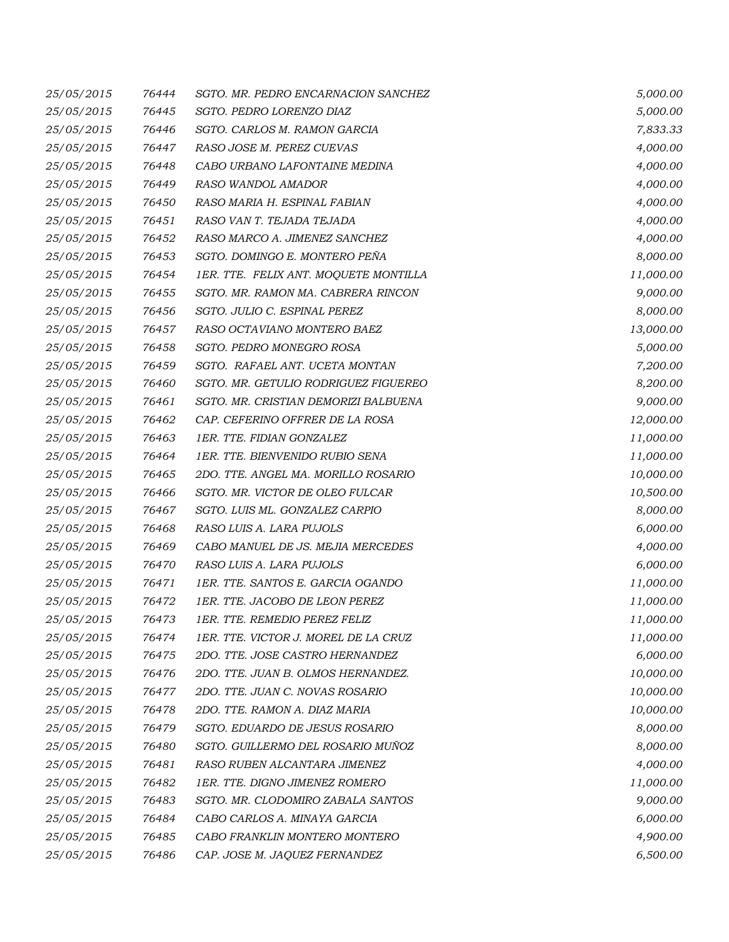| 25/05/2015 | 76444 | SGTO. MR. PEDRO ENCARNACION SANCHEZ   | 5,000.00  |
|------------|-------|---------------------------------------|-----------|
| 25/05/2015 | 76445 | SGTO. PEDRO LORENZO DIAZ              | 5,000.00  |
| 25/05/2015 | 76446 | SGTO. CARLOS M. RAMON GARCIA          | 7,833.33  |
| 25/05/2015 | 76447 | RASO JOSE M. PEREZ CUEVAS             | 4,000.00  |
| 25/05/2015 | 76448 | CABO URBANO LAFONTAINE MEDINA         | 4,000.00  |
| 25/05/2015 | 76449 | RASO WANDOL AMADOR                    | 4,000.00  |
| 25/05/2015 | 76450 | RASO MARIA H. ESPINAL FABIAN          | 4,000.00  |
| 25/05/2015 | 76451 | RASO VAN T. TEJADA TEJADA             | 4,000.00  |
| 25/05/2015 | 76452 | RASO MARCO A. JIMENEZ SANCHEZ         | 4,000.00  |
| 25/05/2015 | 76453 | SGTO. DOMINGO E. MONTERO PEÑA         | 8,000.00  |
| 25/05/2015 | 76454 | 1ER. TTE. FELIX ANT. MOQUETE MONTILLA | 11,000.00 |
| 25/05/2015 | 76455 | SGTO. MR. RAMON MA. CABRERA RINCON    | 9,000.00  |
| 25/05/2015 | 76456 | SGTO. JULIO C. ESPINAL PEREZ          | 8,000.00  |
| 25/05/2015 | 76457 | RASO OCTAVIANO MONTERO BAEZ           | 13,000.00 |
| 25/05/2015 | 76458 | SGTO. PEDRO MONEGRO ROSA              | 5,000.00  |
| 25/05/2015 | 76459 | SGTO. RAFAEL ANT. UCETA MONTAN        | 7,200.00  |
| 25/05/2015 | 76460 | SGTO. MR. GETULIO RODRIGUEZ FIGUEREO  | 8,200.00  |
| 25/05/2015 | 76461 | SGTO. MR. CRISTIAN DEMORIZI BALBUENA  | 9,000.00  |
| 25/05/2015 | 76462 | CAP. CEFERINO OFFRER DE LA ROSA       | 12,000.00 |
| 25/05/2015 | 76463 | 1ER. TTE. FIDIAN GONZALEZ             | 11,000.00 |
| 25/05/2015 | 76464 | 1ER. TTE. BIENVENIDO RUBIO SENA       | 11,000.00 |
| 25/05/2015 | 76465 | 2DO. TTE. ANGEL MA. MORILLO ROSARIO   | 10,000.00 |
| 25/05/2015 | 76466 | SGTO. MR. VICTOR DE OLEO FULCAR       | 10,500.00 |
| 25/05/2015 | 76467 | SGTO. LUIS ML. GONZALEZ CARPIO        | 8,000.00  |
| 25/05/2015 | 76468 | RASO LUIS A. LARA PUJOLS              | 6,000.00  |
| 25/05/2015 | 76469 | CABO MANUEL DE JS. MEJIA MERCEDES     | 4,000.00  |
| 25/05/2015 | 76470 | RASO LUIS A. LARA PUJOLS              | 6,000.00  |
| 25/05/2015 | 76471 | 1ER. TTE. SANTOS E. GARCIA OGANDO     | 11,000.00 |
| 25/05/2015 | 76472 | 1ER. TTE. JACOBO DE LEON PEREZ        | 11,000.00 |
| 25/05/2015 | 76473 | 1ER. TTE. REMEDIO PEREZ FELIZ         | 11,000.00 |
| 25/05/2015 | 76474 | 1ER. TTE. VICTOR J. MOREL DE LA CRUZ  | 11,000.00 |
| 25/05/2015 | 76475 | 2DO. TTE. JOSE CASTRO HERNANDEZ       | 6,000.00  |
| 25/05/2015 | 76476 | 2DO. TTE. JUAN B. OLMOS HERNANDEZ.    | 10,000.00 |
| 25/05/2015 | 76477 | 2DO. TTE. JUAN C. NOVAS ROSARIO       | 10,000.00 |
| 25/05/2015 | 76478 | 2DO. TTE. RAMON A. DIAZ MARIA         | 10,000.00 |
| 25/05/2015 | 76479 | SGTO. EDUARDO DE JESUS ROSARIO        | 8,000.00  |
| 25/05/2015 | 76480 | SGTO. GUILLERMO DEL ROSARIO MUÑOZ     | 8,000.00  |
| 25/05/2015 | 76481 | RASO RUBEN ALCANTARA JIMENEZ          | 4,000.00  |
| 25/05/2015 | 76482 | 1ER. TTE. DIGNO JIMENEZ ROMERO        | 11,000.00 |
| 25/05/2015 | 76483 | SGTO. MR. CLODOMIRO ZABALA SANTOS     | 9,000.00  |
| 25/05/2015 | 76484 | CABO CARLOS A. MINAYA GARCIA          | 6,000.00  |
| 25/05/2015 | 76485 | CABO FRANKLIN MONTERO MONTERO         | 4,900.00  |
| 25/05/2015 | 76486 | CAP. JOSE M. JAQUEZ FERNANDEZ         | 6,500.00  |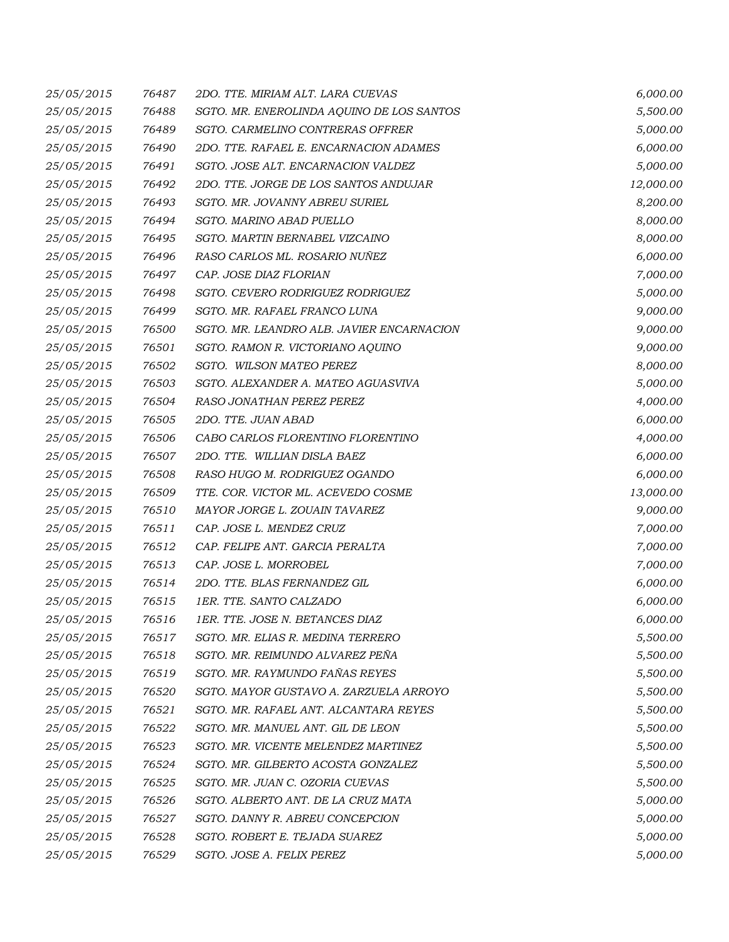| 25/05/2015 | 76487 | 2DO. TTE. MIRIAM ALT. LARA CUEVAS         | 6,000.00  |
|------------|-------|-------------------------------------------|-----------|
| 25/05/2015 | 76488 | SGTO. MR. ENEROLINDA AQUINO DE LOS SANTOS | 5,500.00  |
| 25/05/2015 | 76489 | SGTO. CARMELINO CONTRERAS OFFRER          | 5,000.00  |
| 25/05/2015 | 76490 | 2DO. TTE. RAFAEL E. ENCARNACION ADAMES    | 6,000.00  |
| 25/05/2015 | 76491 | SGTO. JOSE ALT. ENCARNACION VALDEZ        | 5,000.00  |
| 25/05/2015 | 76492 | 2DO. TTE. JORGE DE LOS SANTOS ANDUJAR     | 12,000.00 |
| 25/05/2015 | 76493 | SGTO. MR. JOVANNY ABREU SURIEL            | 8,200.00  |
| 25/05/2015 | 76494 | <b>SGTO. MARINO ABAD PUELLO</b>           | 8,000.00  |
| 25/05/2015 | 76495 | SGTO. MARTIN BERNABEL VIZCAINO            | 8,000.00  |
| 25/05/2015 | 76496 | RASO CARLOS ML. ROSARIO NUÑEZ             | 6,000.00  |
| 25/05/2015 | 76497 | CAP. JOSE DIAZ FLORIAN                    | 7,000.00  |
| 25/05/2015 | 76498 | SGTO. CEVERO RODRIGUEZ RODRIGUEZ          | 5,000.00  |
| 25/05/2015 | 76499 | SGTO. MR. RAFAEL FRANCO LUNA              | 9,000.00  |
| 25/05/2015 | 76500 | SGTO. MR. LEANDRO ALB. JAVIER ENCARNACION | 9,000.00  |
| 25/05/2015 | 76501 | SGTO. RAMON R. VICTORIANO AQUINO          | 9,000.00  |
| 25/05/2015 | 76502 | SGTO. WILSON MATEO PEREZ                  | 8,000.00  |
| 25/05/2015 | 76503 | SGTO. ALEXANDER A. MATEO AGUASVIVA        | 5,000.00  |
| 25/05/2015 | 76504 | RASO JONATHAN PEREZ PEREZ                 | 4,000.00  |
| 25/05/2015 | 76505 | 2DO. TTE, JUAN ABAD                       | 6,000.00  |
| 25/05/2015 | 76506 | CABO CARLOS FLORENTINO FLORENTINO         | 4,000.00  |
| 25/05/2015 | 76507 | 2DO. TTE. WILLIAN DISLA BAEZ              | 6,000.00  |
| 25/05/2015 | 76508 | RASO HUGO M. RODRIGUEZ OGANDO             | 6,000.00  |
| 25/05/2015 | 76509 | TTE. COR. VICTOR ML. ACEVEDO COSME        | 13,000.00 |
| 25/05/2015 | 76510 | MAYOR JORGE L. ZOUAIN TAVAREZ             | 9,000.00  |
| 25/05/2015 | 76511 | CAP. JOSE L. MENDEZ CRUZ                  | 7,000.00  |
| 25/05/2015 | 76512 | CAP. FELIPE ANT. GARCIA PERALTA           | 7,000.00  |
| 25/05/2015 | 76513 | CAP. JOSE L. MORROBEL                     | 7,000.00  |
| 25/05/2015 | 76514 | 2DO. TTE. BLAS FERNANDEZ GIL              | 6,000.00  |
| 25/05/2015 | 76515 | 1ER. TTE. SANTO CALZADO                   | 6,000.00  |
| 25/05/2015 |       | 76516 1ER. TTE. JOSE N. BETANCES DIAZ     | 6,000.00  |
| 25/05/2015 | 76517 | SGTO. MR. ELIAS R. MEDINA TERRERO         | 5,500.00  |
| 25/05/2015 | 76518 | SGTO. MR. REIMUNDO ALVAREZ PEÑA           | 5,500.00  |
| 25/05/2015 | 76519 | SGTO. MR. RAYMUNDO FAÑAS REYES            | 5,500.00  |
| 25/05/2015 | 76520 | SGTO. MAYOR GUSTAVO A. ZARZUELA ARROYO    | 5,500.00  |
| 25/05/2015 | 76521 | SGTO. MR. RAFAEL ANT. ALCANTARA REYES     | 5,500.00  |
| 25/05/2015 | 76522 | SGTO. MR. MANUEL ANT. GIL DE LEON         | 5,500.00  |
| 25/05/2015 | 76523 | SGTO. MR. VICENTE MELENDEZ MARTINEZ       | 5,500.00  |
| 25/05/2015 | 76524 | SGTO. MR. GILBERTO ACOSTA GONZALEZ        | 5,500.00  |
| 25/05/2015 | 76525 | SGTO. MR. JUAN C. OZORIA CUEVAS           | 5,500.00  |
| 25/05/2015 | 76526 | SGTO. ALBERTO ANT. DE LA CRUZ MATA        | 5,000.00  |
| 25/05/2015 | 76527 | SGTO. DANNY R. ABREU CONCEPCION           | 5,000.00  |
| 25/05/2015 | 76528 | SGTO. ROBERT E. TEJADA SUAREZ             | 5,000.00  |
| 25/05/2015 | 76529 | SGTO. JOSE A. FELIX PEREZ                 | 5,000.00  |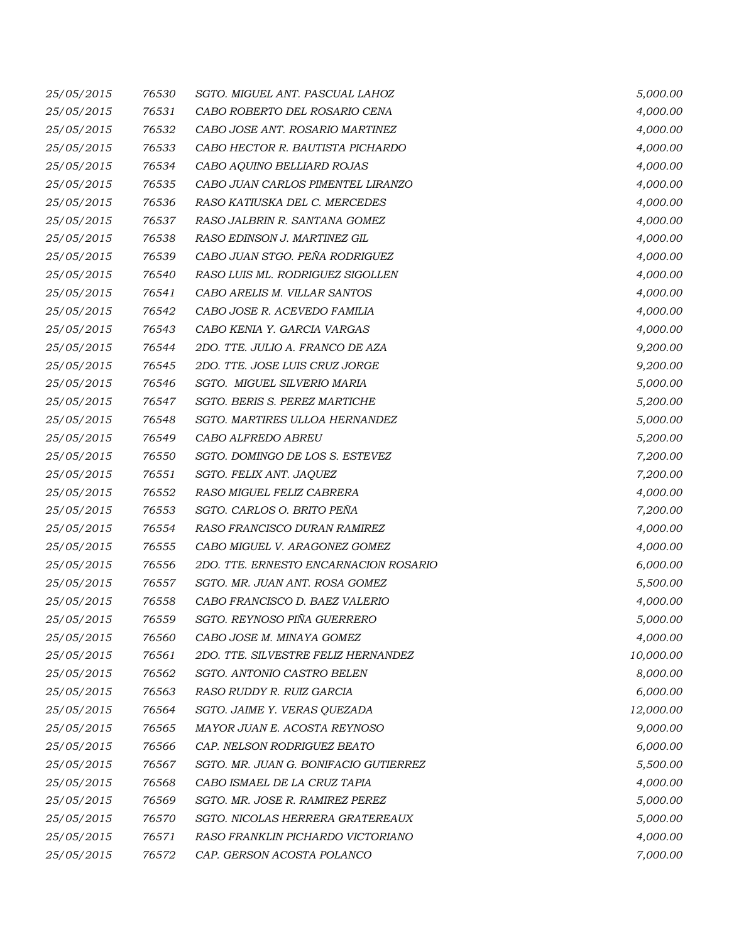| 25/05/2015 | 76530 | SGTO. MIGUEL ANT. PASCUAL LAHOZ       | 5,000.00  |
|------------|-------|---------------------------------------|-----------|
| 25/05/2015 | 76531 | CABO ROBERTO DEL ROSARIO CENA         | 4,000.00  |
| 25/05/2015 | 76532 | CABO JOSE ANT. ROSARIO MARTINEZ       | 4,000.00  |
| 25/05/2015 | 76533 | CABO HECTOR R. BAUTISTA PICHARDO      | 4,000.00  |
| 25/05/2015 | 76534 | CABO AQUINO BELLIARD ROJAS            | 4,000.00  |
| 25/05/2015 | 76535 | CABO JUAN CARLOS PIMENTEL LIRANZO     | 4,000.00  |
| 25/05/2015 | 76536 | RASO KATIUSKA DEL C. MERCEDES         | 4,000.00  |
| 25/05/2015 | 76537 | RASO JALBRIN R. SANTANA GOMEZ         | 4,000.00  |
| 25/05/2015 | 76538 | RASO EDINSON J. MARTINEZ GIL          | 4,000.00  |
| 25/05/2015 | 76539 | CABO JUAN STGO. PEÑA RODRIGUEZ        | 4,000.00  |
| 25/05/2015 | 76540 | RASO LUIS ML. RODRIGUEZ SIGOLLEN      | 4,000.00  |
| 25/05/2015 | 76541 | CABO ARELIS M. VILLAR SANTOS          | 4,000.00  |
| 25/05/2015 | 76542 | CABO JOSE R. ACEVEDO FAMILIA          | 4,000.00  |
| 25/05/2015 | 76543 | CABO KENIA Y. GARCIA VARGAS           | 4,000.00  |
| 25/05/2015 | 76544 | 2DO. TTE. JULIO A. FRANCO DE AZA      | 9,200.00  |
| 25/05/2015 | 76545 | 2DO. TTE. JOSE LUIS CRUZ JORGE        | 9,200.00  |
| 25/05/2015 | 76546 | SGTO. MIGUEL SILVERIO MARIA           | 5,000.00  |
| 25/05/2015 | 76547 | SGTO. BERIS S. PEREZ MARTICHE         | 5,200.00  |
| 25/05/2015 | 76548 | SGTO. MARTIRES ULLOA HERNANDEZ        | 5,000.00  |
| 25/05/2015 | 76549 | CABO ALFREDO ABREU                    | 5,200.00  |
| 25/05/2015 | 76550 | SGTO. DOMINGO DE LOS S. ESTEVEZ       | 7,200.00  |
| 25/05/2015 | 76551 | SGTO. FELIX ANT. JAQUEZ               | 7,200.00  |
| 25/05/2015 | 76552 | RASO MIGUEL FELIZ CABRERA             | 4,000.00  |
| 25/05/2015 | 76553 | SGTO. CARLOS O. BRITO PEÑA            | 7,200.00  |
| 25/05/2015 | 76554 | RASO FRANCISCO DURAN RAMIREZ          | 4,000.00  |
| 25/05/2015 | 76555 | CABO MIGUEL V. ARAGONEZ GOMEZ         | 4,000.00  |
| 25/05/2015 | 76556 | 2DO. TTE. ERNESTO ENCARNACION ROSARIO | 6,000.00  |
| 25/05/2015 | 76557 | SGTO. MR. JUAN ANT. ROSA GOMEZ        | 5,500.00  |
| 25/05/2015 | 76558 | CABO FRANCISCO D. BAEZ VALERIO        | 4,000.00  |
| 25/05/2015 | 76559 | SGTO. REYNOSO PIÑA GUERRERO           | 5,000.00  |
| 25/05/2015 | 76560 | CABO JOSE M. MINAYA GOMEZ             | 4,000.00  |
| 25/05/2015 | 76561 | 2DO. TTE. SILVESTRE FELIZ HERNANDEZ   | 10,000.00 |
| 25/05/2015 | 76562 | SGTO. ANTONIO CASTRO BELEN            | 8,000.00  |
| 25/05/2015 | 76563 | RASO RUDDY R. RUIZ GARCIA             | 6,000.00  |
| 25/05/2015 | 76564 | SGTO. JAIME Y. VERAS QUEZADA          | 12,000.00 |
| 25/05/2015 | 76565 | MAYOR JUAN E. ACOSTA REYNOSO          | 9,000.00  |
| 25/05/2015 | 76566 | CAP. NELSON RODRIGUEZ BEATO           | 6,000.00  |
| 25/05/2015 | 76567 | SGTO. MR. JUAN G. BONIFACIO GUTIERREZ | 5,500.00  |
| 25/05/2015 | 76568 | CABO ISMAEL DE LA CRUZ TAPIA          | 4,000.00  |
| 25/05/2015 | 76569 | SGTO. MR. JOSE R. RAMIREZ PEREZ       | 5,000.00  |
| 25/05/2015 | 76570 | SGTO. NICOLAS HERRERA GRATEREAUX      | 5,000.00  |
| 25/05/2015 | 76571 | RASO FRANKLIN PICHARDO VICTORIANO     | 4,000.00  |
| 25/05/2015 | 76572 | CAP. GERSON ACOSTA POLANCO            | 7,000.00  |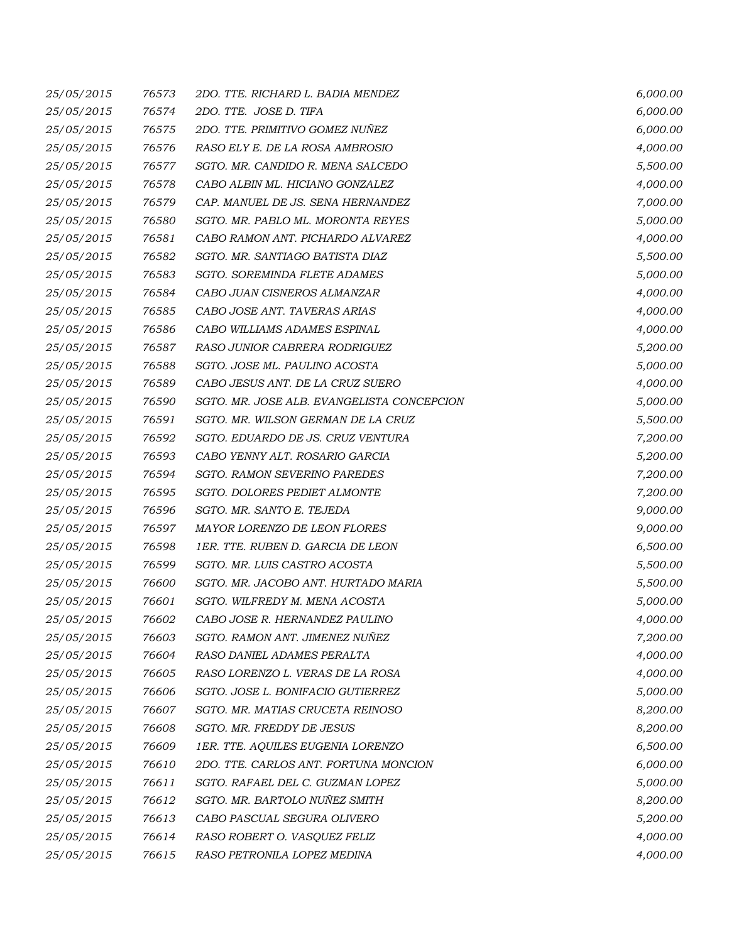| 25/05/2015 | 76573 | 2DO. TTE. RICHARD L. BADIA MENDEZ          | 6,000.00 |
|------------|-------|--------------------------------------------|----------|
| 25/05/2015 | 76574 | 2DO. TTE. JOSE D. TIFA                     | 6,000.00 |
| 25/05/2015 | 76575 | 2DO. TTE. PRIMITIVO GOMEZ NUÑEZ            | 6,000.00 |
| 25/05/2015 | 76576 | RASO ELY E. DE LA ROSA AMBROSIO            | 4,000.00 |
| 25/05/2015 | 76577 | SGTO. MR. CANDIDO R. MENA SALCEDO          | 5,500.00 |
| 25/05/2015 | 76578 | CABO ALBIN ML. HICIANO GONZALEZ            | 4,000.00 |
| 25/05/2015 | 76579 | CAP. MANUEL DE JS. SENA HERNANDEZ          | 7,000.00 |
| 25/05/2015 | 76580 | SGTO. MR. PABLO ML. MORONTA REYES          | 5,000.00 |
| 25/05/2015 | 76581 | CABO RAMON ANT. PICHARDO ALVAREZ           | 4,000.00 |
| 25/05/2015 | 76582 | SGTO. MR. SANTIAGO BATISTA DIAZ            | 5,500.00 |
| 25/05/2015 | 76583 | SGTO. SOREMINDA FLETE ADAMES               | 5,000.00 |
| 25/05/2015 | 76584 | CABO JUAN CISNEROS ALMANZAR                | 4,000.00 |
| 25/05/2015 | 76585 | CABO JOSE ANT. TAVERAS ARIAS               | 4,000.00 |
| 25/05/2015 | 76586 | CABO WILLIAMS ADAMES ESPINAL               | 4,000.00 |
| 25/05/2015 | 76587 | RASO JUNIOR CABRERA RODRIGUEZ              | 5,200.00 |
| 25/05/2015 | 76588 | SGTO. JOSE ML. PAULINO ACOSTA              | 5,000.00 |
| 25/05/2015 | 76589 | CABO JESUS ANT. DE LA CRUZ SUERO           | 4,000.00 |
| 25/05/2015 | 76590 | SGTO. MR. JOSE ALB. EVANGELISTA CONCEPCION | 5,000.00 |
| 25/05/2015 | 76591 | SGTO. MR. WILSON GERMAN DE LA CRUZ         | 5,500.00 |
| 25/05/2015 | 76592 | SGTO. EDUARDO DE JS. CRUZ VENTURA          | 7,200.00 |
| 25/05/2015 | 76593 | CABO YENNY ALT. ROSARIO GARCIA             | 5,200.00 |
| 25/05/2015 | 76594 | SGTO. RAMON SEVERINO PAREDES               | 7,200.00 |
| 25/05/2015 | 76595 | <b>SGTO. DOLORES PEDIET ALMONTE</b>        | 7,200.00 |
| 25/05/2015 | 76596 | SGTO. MR. SANTO E. TEJEDA                  | 9,000.00 |
| 25/05/2015 | 76597 | MAYOR LORENZO DE LEON FLORES               | 9,000.00 |
| 25/05/2015 | 76598 | 1ER. TTE. RUBEN D. GARCIA DE LEON          | 6,500.00 |
| 25/05/2015 | 76599 | SGTO. MR. LUIS CASTRO ACOSTA               | 5,500.00 |
| 25/05/2015 | 76600 | SGTO. MR. JACOBO ANT. HURTADO MARIA        | 5,500.00 |
| 25/05/2015 | 76601 | SGTO. WILFREDY M. MENA ACOSTA              | 5,000.00 |
| 25/05/2015 | 76602 | CABO JOSE R. HERNANDEZ PAULINO             | 4,000.00 |
| 25/05/2015 | 76603 | SGTO. RAMON ANT. JIMENEZ NUÑEZ             | 7,200.00 |
| 25/05/2015 | 76604 | RASO DANIEL ADAMES PERALTA                 | 4,000.00 |
| 25/05/2015 | 76605 | RASO LORENZO L. VERAS DE LA ROSA           | 4,000.00 |
| 25/05/2015 | 76606 | SGTO. JOSE L. BONIFACIO GUTIERREZ          | 5,000.00 |
| 25/05/2015 | 76607 | SGTO. MR. MATIAS CRUCETA REINOSO           | 8,200.00 |
| 25/05/2015 | 76608 | SGTO. MR. FREDDY DE JESUS                  | 8,200.00 |
| 25/05/2015 | 76609 | 1ER. TTE. AQUILES EUGENIA LORENZO          | 6,500.00 |
| 25/05/2015 | 76610 | 2DO. TTE. CARLOS ANT. FORTUNA MONCION      | 6,000.00 |
| 25/05/2015 | 76611 | SGTO. RAFAEL DEL C. GUZMAN LOPEZ           | 5,000.00 |
| 25/05/2015 | 76612 | SGTO. MR. BARTOLO NUÑEZ SMITH              | 8,200.00 |
| 25/05/2015 | 76613 | CABO PASCUAL SEGURA OLIVERO                | 5,200.00 |
| 25/05/2015 | 76614 | RASO ROBERT O. VASQUEZ FELIZ               | 4,000.00 |
| 25/05/2015 | 76615 | RASO PETRONILA LOPEZ MEDINA                | 4,000.00 |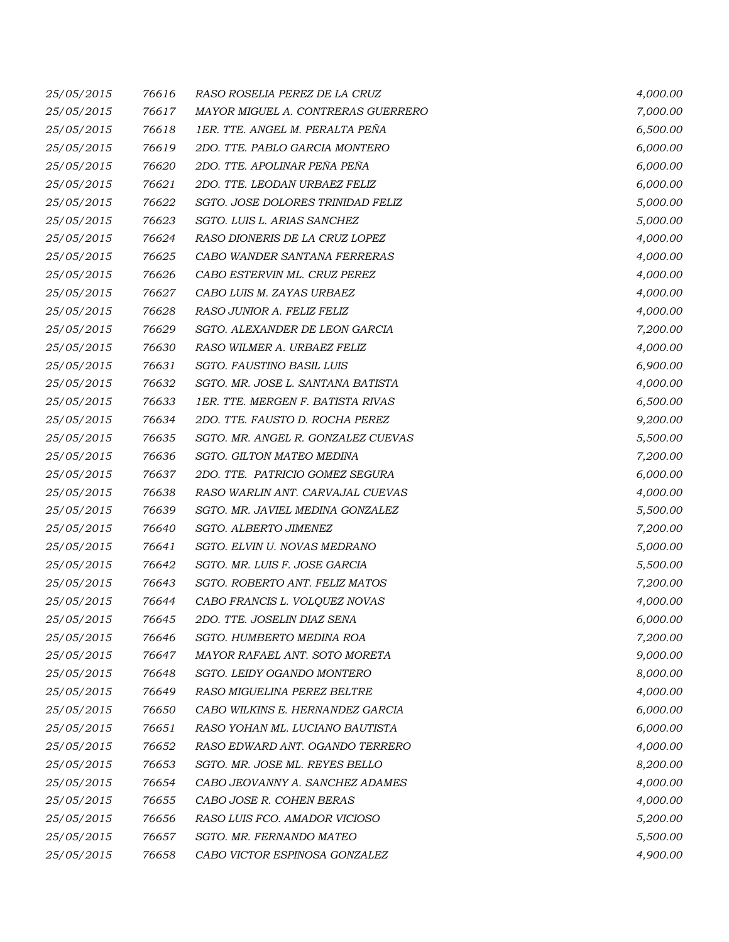| 25/05/2015 | 76616 | RASO ROSELIA PEREZ DE LA CRUZ      | 4,000.00 |
|------------|-------|------------------------------------|----------|
| 25/05/2015 | 76617 | MAYOR MIGUEL A. CONTRERAS GUERRERO | 7,000.00 |
| 25/05/2015 | 76618 | 1ER. TTE. ANGEL M. PERALTA PEÑA    | 6,500.00 |
| 25/05/2015 | 76619 | 2DO. TTE. PABLO GARCIA MONTERO     | 6,000.00 |
| 25/05/2015 | 76620 | 2DO. TTE. APOLINAR PEÑA PEÑA       | 6,000.00 |
| 25/05/2015 | 76621 | 2DO. TTE. LEODAN URBAEZ FELIZ      | 6,000.00 |
| 25/05/2015 | 76622 | SGTO. JOSE DOLORES TRINIDAD FELIZ  | 5,000.00 |
| 25/05/2015 | 76623 | SGTO. LUIS L. ARIAS SANCHEZ        | 5,000.00 |
| 25/05/2015 | 76624 | RASO DIONERIS DE LA CRUZ LOPEZ     | 4,000.00 |
| 25/05/2015 | 76625 | CABO WANDER SANTANA FERRERAS       | 4,000.00 |
| 25/05/2015 | 76626 | CABO ESTERVIN ML. CRUZ PEREZ       | 4,000.00 |
| 25/05/2015 | 76627 | CABO LUIS M. ZAYAS URBAEZ          | 4,000.00 |
| 25/05/2015 | 76628 | RASO JUNIOR A. FELIZ FELIZ         | 4,000.00 |
| 25/05/2015 | 76629 | SGTO. ALEXANDER DE LEON GARCIA     | 7,200.00 |
| 25/05/2015 | 76630 | RASO WILMER A. URBAEZ FELIZ        | 4,000.00 |
| 25/05/2015 | 76631 | <b>SGTO. FAUSTINO BASIL LUIS</b>   | 6,900.00 |
| 25/05/2015 | 76632 | SGTO. MR. JOSE L. SANTANA BATISTA  | 4,000.00 |
| 25/05/2015 | 76633 | 1ER. TTE. MERGEN F. BATISTA RIVAS  | 6,500.00 |
| 25/05/2015 | 76634 | 2DO. TTE. FAUSTO D. ROCHA PEREZ    | 9,200.00 |
| 25/05/2015 | 76635 | SGTO. MR. ANGEL R. GONZALEZ CUEVAS | 5,500.00 |
| 25/05/2015 | 76636 | SGTO. GILTON MATEO MEDINA          | 7,200.00 |
| 25/05/2015 | 76637 | 2DO. TTE. PATRICIO GOMEZ SEGURA    | 6,000.00 |
| 25/05/2015 | 76638 | RASO WARLIN ANT. CARVAJAL CUEVAS   | 4,000.00 |
| 25/05/2015 | 76639 | SGTO. MR. JAVIEL MEDINA GONZALEZ   | 5,500.00 |
| 25/05/2015 | 76640 | SGTO. ALBERTO JIMENEZ              | 7,200.00 |
| 25/05/2015 | 76641 | SGTO. ELVIN U. NOVAS MEDRANO       | 5,000.00 |
| 25/05/2015 | 76642 | SGTO. MR. LUIS F. JOSE GARCIA      | 5,500.00 |
| 25/05/2015 | 76643 | SGTO. ROBERTO ANT. FELIZ MATOS     | 7,200.00 |
| 25/05/2015 | 76644 | CABO FRANCIS L. VOLQUEZ NOVAS      | 4,000.00 |
| 25/05/2015 | 76645 | 2DO. TTE. JOSELIN DIAZ SENA        | 6,000.00 |
| 25/05/2015 | 76646 | SGTO. HUMBERTO MEDINA ROA          | 7,200.00 |
| 25/05/2015 | 76647 | MAYOR RAFAEL ANT. SOTO MORETA      | 9,000.00 |
| 25/05/2015 | 76648 | SGTO. LEIDY OGANDO MONTERO         | 8,000.00 |
| 25/05/2015 | 76649 | RASO MIGUELINA PEREZ BELTRE        | 4,000.00 |
| 25/05/2015 | 76650 | CABO WILKINS E. HERNANDEZ GARCIA   | 6,000.00 |
| 25/05/2015 | 76651 | RASO YOHAN ML. LUCIANO BAUTISTA    | 6,000.00 |
| 25/05/2015 | 76652 | RASO EDWARD ANT. OGANDO TERRERO    | 4,000.00 |
| 25/05/2015 | 76653 | SGTO. MR. JOSE ML. REYES BELLO     | 8,200.00 |
| 25/05/2015 | 76654 | CABO JEOVANNY A. SANCHEZ ADAMES    | 4,000.00 |
| 25/05/2015 | 76655 | CABO JOSE R. COHEN BERAS           | 4,000.00 |
| 25/05/2015 | 76656 | RASO LUIS FCO. AMADOR VICIOSO      | 5,200.00 |
| 25/05/2015 | 76657 | SGTO. MR. FERNANDO MATEO           | 5,500.00 |
| 25/05/2015 | 76658 | CABO VICTOR ESPINOSA GONZALEZ      | 4,900.00 |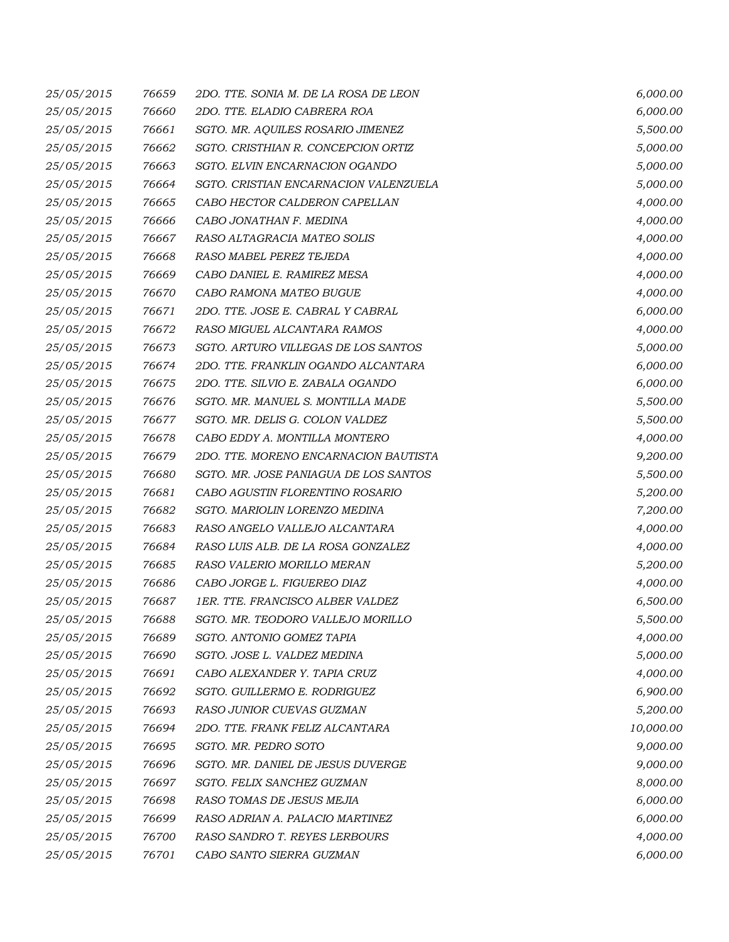| 25/05/2015 | 76659 | 2DO. TTE. SONIA M. DE LA ROSA DE LEON | 6,000.00  |
|------------|-------|---------------------------------------|-----------|
| 25/05/2015 | 76660 | 2DO. TTE. ELADIO CABRERA ROA          | 6,000.00  |
| 25/05/2015 | 76661 | SGTO. MR. AQUILES ROSARIO JIMENEZ     | 5,500.00  |
| 25/05/2015 | 76662 | SGTO. CRISTHIAN R. CONCEPCION ORTIZ   | 5,000.00  |
| 25/05/2015 | 76663 | SGTO. ELVIN ENCARNACION OGANDO        | 5,000.00  |
| 25/05/2015 | 76664 | SGTO. CRISTIAN ENCARNACION VALENZUELA | 5,000.00  |
| 25/05/2015 | 76665 | CABO HECTOR CALDERON CAPELLAN         | 4,000.00  |
| 25/05/2015 | 76666 | CABO JONATHAN F. MEDINA               | 4,000.00  |
| 25/05/2015 | 76667 | RASO ALTAGRACIA MATEO SOLIS           | 4,000.00  |
| 25/05/2015 | 76668 | RASO MABEL PEREZ TEJEDA               | 4,000.00  |
| 25/05/2015 | 76669 | CABO DANIEL E. RAMIREZ MESA           | 4,000.00  |
| 25/05/2015 | 76670 | CABO RAMONA MATEO BUGUE               | 4,000.00  |
| 25/05/2015 | 76671 | 2DO. TTE. JOSE E. CABRAL Y CABRAL     | 6,000.00  |
| 25/05/2015 | 76672 | RASO MIGUEL ALCANTARA RAMOS           | 4,000.00  |
| 25/05/2015 | 76673 | SGTO. ARTURO VILLEGAS DE LOS SANTOS   | 5,000.00  |
| 25/05/2015 | 76674 | 2DO. TTE. FRANKLIN OGANDO ALCANTARA   | 6,000.00  |
| 25/05/2015 | 76675 | 2DO. TTE. SILVIO E. ZABALA OGANDO     | 6,000.00  |
| 25/05/2015 | 76676 | SGTO. MR. MANUEL S. MONTILLA MADE     | 5,500.00  |
| 25/05/2015 | 76677 | SGTO. MR. DELIS G. COLON VALDEZ       | 5,500.00  |
| 25/05/2015 | 76678 | CABO EDDY A. MONTILLA MONTERO         | 4,000.00  |
| 25/05/2015 | 76679 | 2DO. TTE. MORENO ENCARNACION BAUTISTA | 9,200.00  |
| 25/05/2015 | 76680 | SGTO. MR. JOSE PANIAGUA DE LOS SANTOS | 5,500.00  |
| 25/05/2015 | 76681 | CABO AGUSTIN FLORENTINO ROSARIO       | 5,200.00  |
| 25/05/2015 | 76682 | SGTO. MARIOLIN LORENZO MEDINA         | 7,200.00  |
| 25/05/2015 | 76683 | RASO ANGELO VALLEJO ALCANTARA         | 4,000.00  |
| 25/05/2015 | 76684 | RASO LUIS ALB. DE LA ROSA GONZALEZ    | 4,000.00  |
| 25/05/2015 | 76685 | RASO VALERIO MORILLO MERAN            | 5,200.00  |
| 25/05/2015 | 76686 | CABO JORGE L. FIGUEREO DIAZ           | 4,000.00  |
| 25/05/2015 | 76687 | 1ER. TTE. FRANCISCO ALBER VALDEZ      | 6,500.00  |
| 25/05/2015 | 76688 | SGTO. MR. TEODORO VALLEJO MORILLO     | 5,500.00  |
| 25/05/2015 | 76689 | SGTO. ANTONIO GOMEZ TAPIA             | 4,000.00  |
| 25/05/2015 | 76690 | SGTO. JOSE L. VALDEZ MEDINA           | 5,000.00  |
| 25/05/2015 | 76691 | CABO ALEXANDER Y. TAPIA CRUZ          | 4,000.00  |
| 25/05/2015 | 76692 | SGTO. GUILLERMO E. RODRIGUEZ          | 6,900.00  |
| 25/05/2015 | 76693 | RASO JUNIOR CUEVAS GUZMAN             | 5,200.00  |
| 25/05/2015 | 76694 | 2DO. TTE. FRANK FELIZ ALCANTARA       | 10,000.00 |
| 25/05/2015 | 76695 | SGTO. MR. PEDRO SOTO                  | 9,000.00  |
| 25/05/2015 | 76696 | SGTO. MR. DANIEL DE JESUS DUVERGE     | 9,000.00  |
| 25/05/2015 | 76697 | SGTO. FELIX SANCHEZ GUZMAN            | 8,000.00  |
| 25/05/2015 | 76698 | RASO TOMAS DE JESUS MEJIA             | 6,000.00  |
| 25/05/2015 | 76699 | RASO ADRIAN A. PALACIO MARTINEZ       | 6,000.00  |
| 25/05/2015 | 76700 | RASO SANDRO T. REYES LERBOURS         | 4,000.00  |
| 25/05/2015 | 76701 | CABO SANTO SIERRA GUZMAN              | 6,000.00  |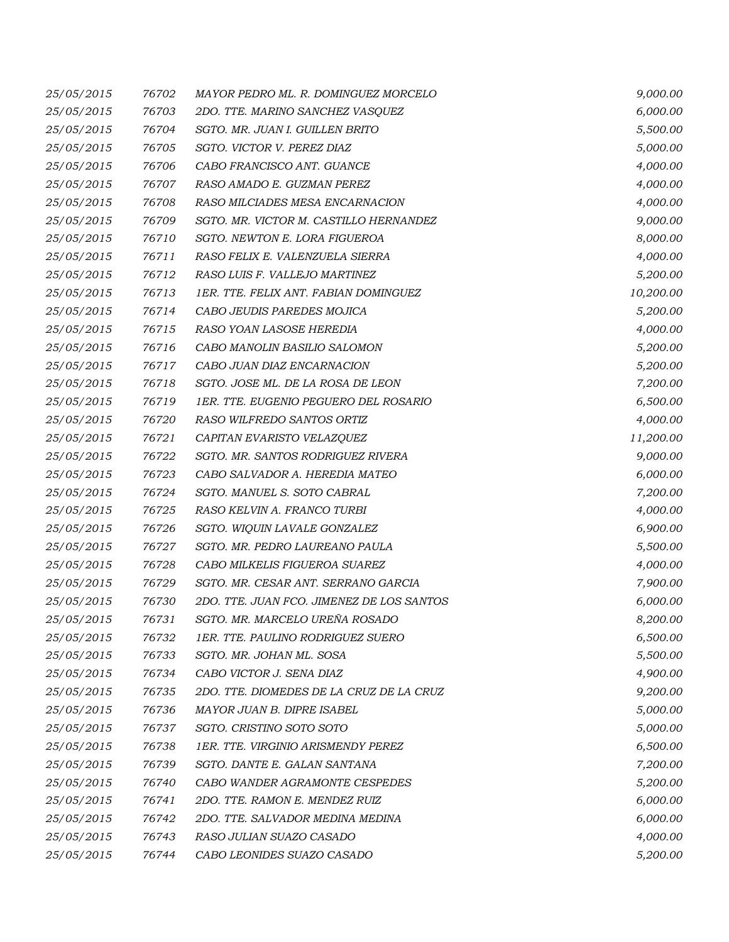| 25/05/2015 | 76702 | MAYOR PEDRO ML. R. DOMINGUEZ MORCELO      | 9,000.00  |
|------------|-------|-------------------------------------------|-----------|
| 25/05/2015 | 76703 | 2DO. TTE. MARINO SANCHEZ VASQUEZ          | 6,000.00  |
| 25/05/2015 | 76704 | SGTO. MR. JUAN I. GUILLEN BRITO           | 5,500.00  |
| 25/05/2015 | 76705 | SGTO. VICTOR V. PEREZ DIAZ                | 5,000.00  |
| 25/05/2015 | 76706 | CABO FRANCISCO ANT. GUANCE                | 4,000.00  |
| 25/05/2015 | 76707 | RASO AMADO E. GUZMAN PEREZ                | 4,000.00  |
| 25/05/2015 | 76708 | RASO MILCIADES MESA ENCARNACION           | 4,000.00  |
| 25/05/2015 | 76709 | SGTO. MR. VICTOR M. CASTILLO HERNANDEZ    | 9,000.00  |
| 25/05/2015 | 76710 | SGTO. NEWTON E. LORA FIGUEROA             | 8,000.00  |
| 25/05/2015 | 76711 | RASO FELIX E. VALENZUELA SIERRA           | 4,000.00  |
| 25/05/2015 | 76712 | RASO LUIS F. VALLEJO MARTINEZ             | 5,200.00  |
| 25/05/2015 | 76713 | 1ER. TTE. FELIX ANT. FABIAN DOMINGUEZ     | 10,200.00 |
| 25/05/2015 | 76714 | CABO JEUDIS PAREDES MOJICA                | 5,200.00  |
| 25/05/2015 | 76715 | RASO YOAN LASOSE HEREDIA                  | 4,000.00  |
| 25/05/2015 | 76716 | CABO MANOLIN BASILIO SALOMON              | 5,200.00  |
| 25/05/2015 | 76717 | CABO JUAN DIAZ ENCARNACION                | 5,200.00  |
| 25/05/2015 | 76718 | SGTO. JOSE ML. DE LA ROSA DE LEON         | 7,200.00  |
| 25/05/2015 | 76719 | 1ER. TTE. EUGENIO PEGUERO DEL ROSARIO     | 6,500.00  |
| 25/05/2015 | 76720 | RASO WILFREDO SANTOS ORTIZ                | 4,000.00  |
| 25/05/2015 | 76721 | CAPITAN EVARISTO VELAZQUEZ                | 11,200.00 |
| 25/05/2015 | 76722 | SGTO. MR. SANTOS RODRIGUEZ RIVERA         | 9,000.00  |
| 25/05/2015 | 76723 | CABO SALVADOR A. HEREDIA MATEO            | 6,000.00  |
| 25/05/2015 | 76724 | SGTO. MANUEL S. SOTO CABRAL               | 7,200.00  |
| 25/05/2015 | 76725 | RASO KELVIN A. FRANCO TURBI               | 4,000.00  |
| 25/05/2015 | 76726 | SGTO. WIQUIN LAVALE GONZALEZ              | 6,900.00  |
| 25/05/2015 | 76727 | SGTO. MR. PEDRO LAUREANO PAULA            | 5,500.00  |
| 25/05/2015 | 76728 | CABO MILKELIS FIGUEROA SUAREZ             | 4,000.00  |
| 25/05/2015 | 76729 | SGTO. MR. CESAR ANT. SERRANO GARCIA       | 7,900.00  |
| 25/05/2015 | 76730 | 2DO. TTE. JUAN FCO. JIMENEZ DE LOS SANTOS | 6,000.00  |
| 25/05/2015 | 76731 | SGTO. MR. MARCELO UREÑA ROSADO            | 8,200.00  |
| 25/05/2015 | 76732 | 1ER. TTE. PAULINO RODRIGUEZ SUERO         | 6,500.00  |
| 25/05/2015 | 76733 | SGTO. MR. JOHAN ML. SOSA                  | 5,500.00  |
| 25/05/2015 | 76734 | CABO VICTOR J. SENA DIAZ                  | 4,900.00  |
| 25/05/2015 | 76735 | 2DO. TTE. DIOMEDES DE LA CRUZ DE LA CRUZ  | 9,200.00  |
| 25/05/2015 | 76736 | MAYOR JUAN B. DIPRE ISABEL                | 5,000.00  |
| 25/05/2015 | 76737 | SGTO. CRISTINO SOTO SOTO                  | 5,000.00  |
| 25/05/2015 | 76738 | 1ER. TTE. VIRGINIO ARISMENDY PEREZ        | 6,500.00  |
| 25/05/2015 | 76739 | SGTO. DANTE E. GALAN SANTANA              | 7,200.00  |
| 25/05/2015 | 76740 | CABO WANDER AGRAMONTE CESPEDES            | 5,200.00  |
| 25/05/2015 | 76741 | 2DO. TTE. RAMON E. MENDEZ RUIZ            | 6,000.00  |
| 25/05/2015 | 76742 | 2DO. TTE. SALVADOR MEDINA MEDINA          | 6,000.00  |
| 25/05/2015 | 76743 | RASO JULIAN SUAZO CASADO                  | 4,000.00  |
| 25/05/2015 | 76744 | CABO LEONIDES SUAZO CASADO                | 5,200.00  |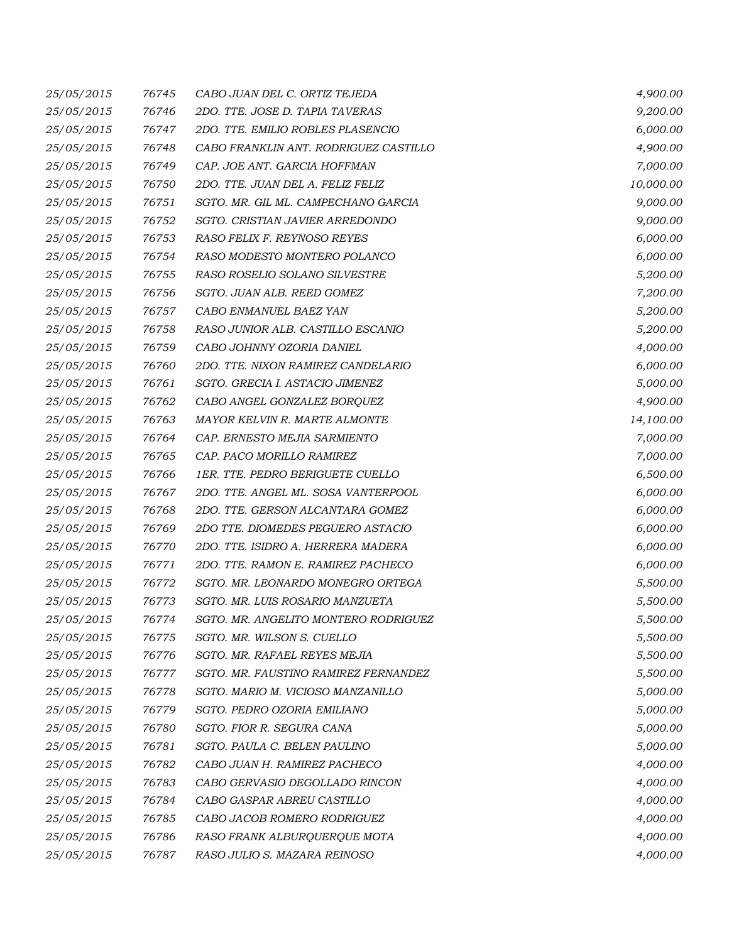| 25/05/2015 | 76745 | CABO JUAN DEL C. ORTIZ TEJEDA         | 4,900.00  |
|------------|-------|---------------------------------------|-----------|
| 25/05/2015 | 76746 | 2DO. TTE. JOSE D. TAPIA TAVERAS       | 9,200.00  |
| 25/05/2015 | 76747 | 2DO. TTE. EMILIO ROBLES PLASENCIO     | 6,000.00  |
| 25/05/2015 | 76748 | CABO FRANKLIN ANT. RODRIGUEZ CASTILLO | 4,900.00  |
| 25/05/2015 | 76749 | CAP. JOE ANT. GARCIA HOFFMAN          | 7,000.00  |
| 25/05/2015 | 76750 | 2DO. TTE. JUAN DEL A. FELIZ FELIZ     | 10,000.00 |
| 25/05/2015 | 76751 | SGTO. MR. GIL ML. CAMPECHANO GARCIA   | 9,000.00  |
| 25/05/2015 | 76752 | SGTO. CRISTIAN JAVIER ARREDONDO       | 9,000.00  |
| 25/05/2015 | 76753 | RASO FELIX F. REYNOSO REYES           | 6,000.00  |
| 25/05/2015 | 76754 | RASO MODESTO MONTERO POLANCO          | 6,000.00  |
| 25/05/2015 | 76755 | RASO ROSELIO SOLANO SILVESTRE         | 5,200.00  |
| 25/05/2015 | 76756 | SGTO. JUAN ALB. REED GOMEZ            | 7,200.00  |
| 25/05/2015 | 76757 | CABO ENMANUEL BAEZ YAN                | 5,200.00  |
| 25/05/2015 | 76758 | RASO JUNIOR ALB. CASTILLO ESCANIO     | 5,200.00  |
| 25/05/2015 | 76759 | CABO JOHNNY OZORIA DANIEL             | 4,000.00  |
| 25/05/2015 | 76760 | 2DO. TTE. NIXON RAMIREZ CANDELARIO    | 6,000.00  |
| 25/05/2015 | 76761 | SGTO. GRECIA I. ASTACIO JIMENEZ       | 5,000.00  |
| 25/05/2015 | 76762 | CABO ANGEL GONZALEZ BORQUEZ           | 4,900.00  |
| 25/05/2015 | 76763 | MAYOR KELVIN R. MARTE ALMONTE         | 14,100.00 |
| 25/05/2015 | 76764 | CAP. ERNESTO MEJIA SARMIENTO          | 7,000.00  |
| 25/05/2015 | 76765 | CAP. PACO MORILLO RAMIREZ             | 7,000.00  |
| 25/05/2015 | 76766 | 1ER. TTE. PEDRO BERIGUETE CUELLO      | 6,500.00  |
| 25/05/2015 | 76767 | 2DO. TTE. ANGEL ML. SOSA VANTERPOOL   | 6,000.00  |
| 25/05/2015 | 76768 | 2DO. TTE. GERSON ALCANTARA GOMEZ      | 6,000.00  |
| 25/05/2015 | 76769 | 2DO TTE. DIOMEDES PEGUERO ASTACIO     | 6,000.00  |
| 25/05/2015 | 76770 | 2DO. TTE. ISIDRO A. HERRERA MADERA    | 6,000.00  |
| 25/05/2015 | 76771 | 2DO. TTE. RAMON E. RAMIREZ PACHECO    | 6,000.00  |
| 25/05/2015 | 76772 | SGTO. MR. LEONARDO MONEGRO ORTEGA     | 5,500.00  |
| 25/05/2015 | 76773 | SGTO. MR. LUIS ROSARIO MANZUETA       | 5,500.00  |
| 25/05/2015 | 76774 | SGTO. MR. ANGELITO MONTERO RODRIGUEZ  | 5,500.00  |
| 25/05/2015 | 76775 | SGTO. MR. WILSON S. CUELLO            | 5,500.00  |
| 25/05/2015 | 76776 | SGTO. MR. RAFAEL REYES MEJIA          | 5,500.00  |
| 25/05/2015 | 76777 | SGTO. MR. FAUSTINO RAMIREZ FERNANDEZ  | 5,500.00  |
| 25/05/2015 | 76778 | SGTO. MARIO M. VICIOSO MANZANILLO     | 5,000.00  |
| 25/05/2015 | 76779 | SGTO. PEDRO OZORIA EMILIANO           | 5,000.00  |
| 25/05/2015 | 76780 | SGTO. FIOR R. SEGURA CANA             | 5,000.00  |
| 25/05/2015 | 76781 | SGTO. PAULA C. BELEN PAULINO          | 5,000.00  |
| 25/05/2015 | 76782 | CABO JUAN H. RAMIREZ PACHECO          | 4,000.00  |
| 25/05/2015 | 76783 | CABO GERVASIO DEGOLLADO RINCON        | 4,000.00  |
| 25/05/2015 | 76784 | CABO GASPAR ABREU CASTILLO            | 4,000.00  |
| 25/05/2015 | 76785 | CABO JACOB ROMERO RODRIGUEZ           | 4,000.00  |
| 25/05/2015 | 76786 | RASO FRANK ALBURQUERQUE MOTA          | 4,000.00  |
| 25/05/2015 | 76787 | RASO JULIO S. MAZARA REINOSO          | 4,000.00  |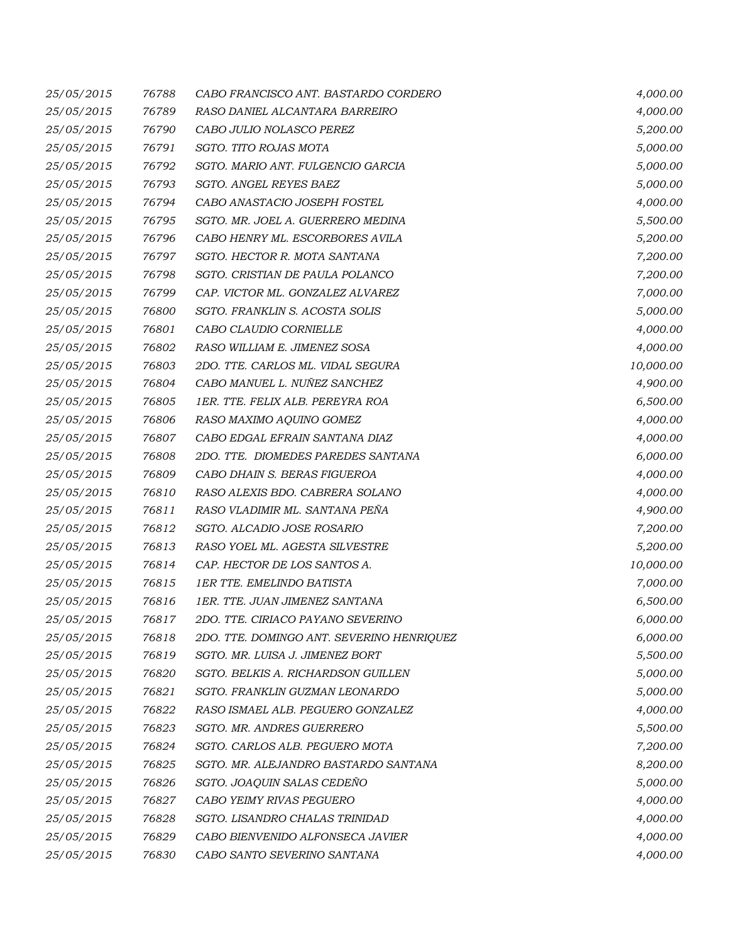| 25/05/2015 | 76788 | CABO FRANCISCO ANT. BASTARDO CORDERO      | 4,000.00  |
|------------|-------|-------------------------------------------|-----------|
| 25/05/2015 | 76789 | RASO DANIEL ALCANTARA BARREIRO            | 4,000.00  |
| 25/05/2015 | 76790 | CABO JULIO NOLASCO PEREZ                  | 5,200.00  |
| 25/05/2015 | 76791 | SGTO. TITO ROJAS MOTA                     | 5,000.00  |
| 25/05/2015 | 76792 | SGTO. MARIO ANT. FULGENCIO GARCIA         | 5,000.00  |
| 25/05/2015 | 76793 | SGTO. ANGEL REYES BAEZ                    | 5,000.00  |
| 25/05/2015 | 76794 | CABO ANASTACIO JOSEPH FOSTEL              | 4,000.00  |
| 25/05/2015 | 76795 | SGTO. MR. JOEL A. GUERRERO MEDINA         | 5,500.00  |
| 25/05/2015 | 76796 | CABO HENRY ML. ESCORBORES AVILA           | 5,200.00  |
| 25/05/2015 | 76797 | SGTO. HECTOR R. MOTA SANTANA              | 7,200.00  |
| 25/05/2015 | 76798 | SGTO. CRISTIAN DE PAULA POLANCO           | 7,200.00  |
| 25/05/2015 | 76799 | CAP. VICTOR ML. GONZALEZ ALVAREZ          | 7,000.00  |
| 25/05/2015 | 76800 | SGTO. FRANKLIN S. ACOSTA SOLIS            | 5,000.00  |
| 25/05/2015 | 76801 | CABO CLAUDIO CORNIELLE                    | 4,000.00  |
| 25/05/2015 | 76802 | RASO WILLIAM E. JIMENEZ SOSA              | 4,000.00  |
| 25/05/2015 | 76803 | 2DO. TTE. CARLOS ML. VIDAL SEGURA         | 10,000.00 |
| 25/05/2015 | 76804 | CABO MANUEL L. NUÑEZ SANCHEZ              | 4,900.00  |
| 25/05/2015 | 76805 | 1ER. TTE. FELIX ALB. PEREYRA ROA          | 6,500.00  |
| 25/05/2015 | 76806 | RASO MAXIMO AQUINO GOMEZ                  | 4,000.00  |
| 25/05/2015 | 76807 | CABO EDGAL EFRAIN SANTANA DIAZ            | 4,000.00  |
| 25/05/2015 | 76808 | 2DO. TTE. DIOMEDES PAREDES SANTANA        | 6,000.00  |
| 25/05/2015 | 76809 | CABO DHAIN S. BERAS FIGUEROA              | 4,000.00  |
| 25/05/2015 | 76810 | RASO ALEXIS BDO. CABRERA SOLANO           | 4,000.00  |
| 25/05/2015 | 76811 | RASO VLADIMIR ML. SANTANA PEÑA            | 4,900.00  |
| 25/05/2015 | 76812 | SGTO. ALCADIO JOSE ROSARIO                | 7,200.00  |
| 25/05/2015 | 76813 | RASO YOEL ML. AGESTA SILVESTRE            | 5,200.00  |
| 25/05/2015 | 76814 | CAP. HECTOR DE LOS SANTOS A.              | 10,000.00 |
| 25/05/2015 | 76815 | <b>1ER TTE. EMELINDO BATISTA</b>          | 7,000.00  |
| 25/05/2015 | 76816 | 1ER. TTE. JUAN JIMENEZ SANTANA            | 6,500.00  |
| 25/05/2015 | 76817 | 2DO. TTE. CIRIACO PAYANO SEVERINO         | 6,000.00  |
| 25/05/2015 | 76818 | 2DO. TTE. DOMINGO ANT. SEVERINO HENRIQUEZ | 6,000.00  |
| 25/05/2015 | 76819 | SGTO. MR. LUISA J. JIMENEZ BORT           | 5,500.00  |
| 25/05/2015 | 76820 | SGTO. BELKIS A. RICHARDSON GUILLEN        | 5,000.00  |
| 25/05/2015 | 76821 | SGTO. FRANKLIN GUZMAN LEONARDO            | 5,000.00  |
| 25/05/2015 | 76822 | RASO ISMAEL ALB. PEGUERO GONZALEZ         | 4,000.00  |
| 25/05/2015 | 76823 | SGTO. MR. ANDRES GUERRERO                 | 5,500.00  |
| 25/05/2015 | 76824 | SGTO. CARLOS ALB. PEGUERO MOTA            | 7,200.00  |
| 25/05/2015 | 76825 | SGTO. MR. ALEJANDRO BASTARDO SANTANA      | 8,200.00  |
| 25/05/2015 | 76826 | SGTO. JOAQUIN SALAS CEDEÑO                | 5,000.00  |
| 25/05/2015 | 76827 | CABO YEIMY RIVAS PEGUERO                  | 4,000.00  |
| 25/05/2015 | 76828 | SGTO. LISANDRO CHALAS TRINIDAD            | 4,000.00  |
| 25/05/2015 | 76829 | CABO BIENVENIDO ALFONSECA JAVIER          | 4,000.00  |
| 25/05/2015 | 76830 | CABO SANTO SEVERINO SANTANA               | 4,000.00  |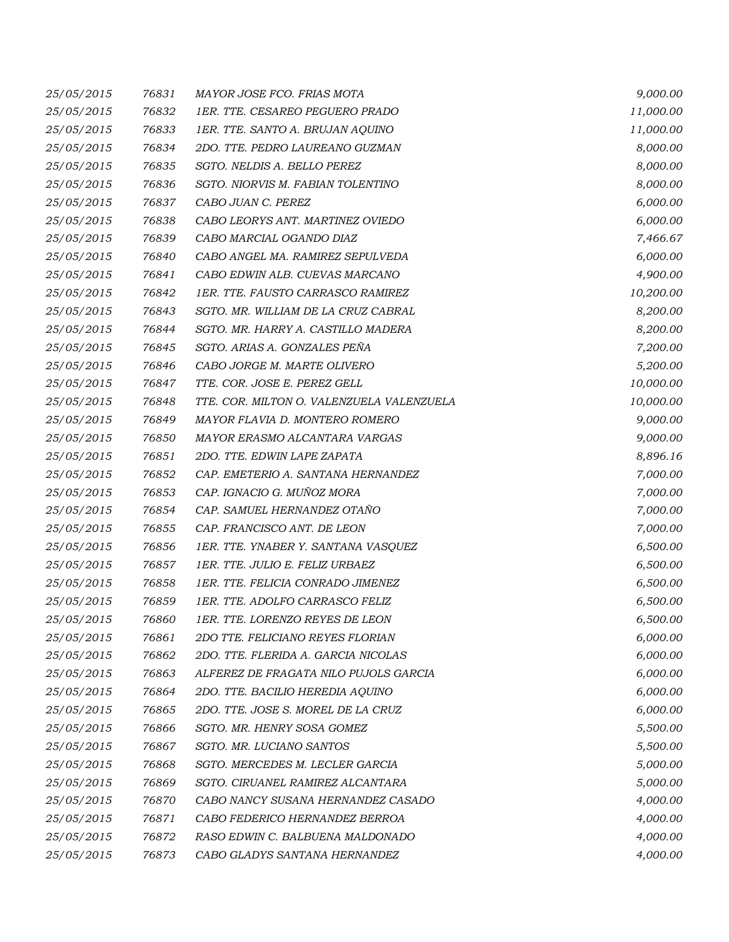| 25/05/2015 | 76831 | MAYOR JOSE FCO. FRIAS MOTA                | 9,000.00  |
|------------|-------|-------------------------------------------|-----------|
| 25/05/2015 | 76832 | 1ER. TTE. CESAREO PEGUERO PRADO           | 11,000.00 |
| 25/05/2015 | 76833 | 1ER. TTE. SANTO A. BRUJAN AQUINO          | 11,000.00 |
| 25/05/2015 | 76834 | 2DO. TTE. PEDRO LAUREANO GUZMAN           | 8,000.00  |
| 25/05/2015 | 76835 | SGTO. NELDIS A. BELLO PEREZ               | 8,000.00  |
| 25/05/2015 | 76836 | SGTO. NIORVIS M. FABIAN TOLENTINO         | 8,000.00  |
| 25/05/2015 | 76837 | CABO JUAN C. PEREZ                        | 6,000.00  |
| 25/05/2015 | 76838 | CABO LEORYS ANT. MARTINEZ OVIEDO          | 6,000.00  |
| 25/05/2015 | 76839 | CABO MARCIAL OGANDO DIAZ                  | 7,466.67  |
| 25/05/2015 | 76840 | CABO ANGEL MA. RAMIREZ SEPULVEDA          | 6,000.00  |
| 25/05/2015 | 76841 | CABO EDWIN ALB. CUEVAS MARCANO            | 4,900.00  |
| 25/05/2015 | 76842 | 1ER. TTE. FAUSTO CARRASCO RAMIREZ         | 10,200.00 |
| 25/05/2015 | 76843 | SGTO. MR. WILLIAM DE LA CRUZ CABRAL       | 8,200.00  |
| 25/05/2015 | 76844 | SGTO. MR. HARRY A. CASTILLO MADERA        | 8,200.00  |
| 25/05/2015 | 76845 | SGTO. ARIAS A. GONZALES PEÑA              | 7,200.00  |
| 25/05/2015 | 76846 | CABO JORGE M. MARTE OLIVERO               | 5,200.00  |
| 25/05/2015 | 76847 | TTE. COR. JOSE E. PEREZ GELL              | 10,000.00 |
| 25/05/2015 | 76848 | TTE. COR. MILTON O. VALENZUELA VALENZUELA | 10,000.00 |
| 25/05/2015 | 76849 | MAYOR FLAVIA D. MONTERO ROMERO            | 9,000.00  |
| 25/05/2015 | 76850 | MAYOR ERASMO ALCANTARA VARGAS             | 9,000.00  |
| 25/05/2015 | 76851 | 2DO. TTE. EDWIN LAPE ZAPATA               | 8,896.16  |
| 25/05/2015 | 76852 | CAP. EMETERIO A. SANTANA HERNANDEZ        | 7,000.00  |
| 25/05/2015 | 76853 | CAP. IGNACIO G. MUÑOZ MORA                | 7,000.00  |
| 25/05/2015 | 76854 | CAP. SAMUEL HERNANDEZ OTAÑO               | 7,000.00  |
| 25/05/2015 | 76855 | CAP. FRANCISCO ANT. DE LEON               | 7,000.00  |
| 25/05/2015 | 76856 | 1ER. TTE. YNABER Y. SANTANA VASQUEZ       | 6,500.00  |
| 25/05/2015 | 76857 | 1ER. TTE. JULIO E. FELIZ URBAEZ           | 6,500.00  |
| 25/05/2015 | 76858 | 1ER. TTE. FELICIA CONRADO JIMENEZ         | 6,500.00  |
| 25/05/2015 | 76859 | 1ER. TTE. ADOLFO CARRASCO FELIZ           | 6,500.00  |
| 25/05/2015 | 76860 | 1ER. TTE. LORENZO REYES DE LEON           | 6,500.00  |
| 25/05/2015 | 76861 | 2DO TTE, FELICIANO REYES FLORIAN          | 6,000.00  |
| 25/05/2015 | 76862 | 2DO. TTE. FLERIDA A. GARCIA NICOLAS       | 6,000.00  |
| 25/05/2015 | 76863 | ALFEREZ DE FRAGATA NILO PUJOLS GARCIA     | 6,000.00  |
| 25/05/2015 | 76864 | 2DO. TTE. BACILIO HEREDIA AQUINO          | 6,000.00  |
| 25/05/2015 | 76865 | 2DO. TTE. JOSE S. MOREL DE LA CRUZ        | 6,000.00  |
| 25/05/2015 | 76866 | SGTO. MR. HENRY SOSA GOMEZ                | 5,500.00  |
| 25/05/2015 | 76867 | SGTO. MR. LUCIANO SANTOS                  | 5,500.00  |
| 25/05/2015 | 76868 | SGTO. MERCEDES M. LECLER GARCIA           | 5,000.00  |
| 25/05/2015 | 76869 | SGTO. CIRUANEL RAMIREZ ALCANTARA          | 5,000.00  |
| 25/05/2015 | 76870 | CABO NANCY SUSANA HERNANDEZ CASADO        | 4,000.00  |
| 25/05/2015 | 76871 | CABO FEDERICO HERNANDEZ BERROA            | 4,000.00  |
| 25/05/2015 | 76872 | RASO EDWIN C. BALBUENA MALDONADO          | 4,000.00  |
| 25/05/2015 | 76873 | CABO GLADYS SANTANA HERNANDEZ             | 4,000.00  |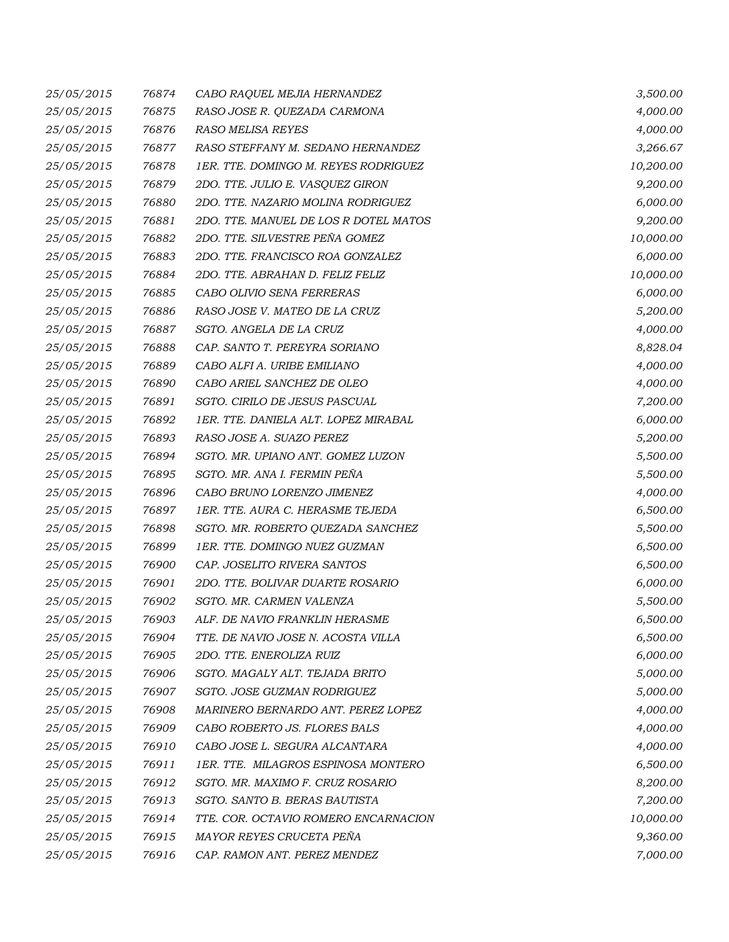| 25/05/2015 | 76874 | CABO RAQUEL MEJIA HERNANDEZ           | 3,500.00  |
|------------|-------|---------------------------------------|-----------|
| 25/05/2015 | 76875 | RASO JOSE R. QUEZADA CARMONA          | 4,000.00  |
| 25/05/2015 | 76876 | <b>RASO MELISA REYES</b>              | 4,000.00  |
| 25/05/2015 | 76877 | RASO STEFFANY M. SEDANO HERNANDEZ     | 3,266.67  |
| 25/05/2015 | 76878 | 1ER. TTE. DOMINGO M. REYES RODRIGUEZ  | 10,200.00 |
| 25/05/2015 | 76879 | 2DO. TTE. JULIO E. VASQUEZ GIRON      | 9,200.00  |
| 25/05/2015 | 76880 | 2DO. TTE. NAZARIO MOLINA RODRIGUEZ    | 6,000.00  |
| 25/05/2015 | 76881 | 2DO. TTE. MANUEL DE LOS R DOTEL MATOS | 9,200.00  |
| 25/05/2015 | 76882 | 2DO. TTE. SILVESTRE PEÑA GOMEZ        | 10,000.00 |
| 25/05/2015 | 76883 | 2DO. TTE. FRANCISCO ROA GONZALEZ      | 6,000.00  |
| 25/05/2015 | 76884 | 2DO. TTE. ABRAHAN D. FELIZ FELIZ      | 10,000.00 |
| 25/05/2015 | 76885 | CABO OLIVIO SENA FERRERAS             | 6,000.00  |
| 25/05/2015 | 76886 | RASO JOSE V. MATEO DE LA CRUZ         | 5,200.00  |
| 25/05/2015 | 76887 | SGTO. ANGELA DE LA CRUZ               | 4,000.00  |
| 25/05/2015 | 76888 | CAP. SANTO T. PEREYRA SORIANO         | 8,828.04  |
| 25/05/2015 | 76889 | CABO ALFI A. URIBE EMILIANO           | 4,000.00  |
| 25/05/2015 | 76890 | CABO ARIEL SANCHEZ DE OLEO            | 4,000.00  |
| 25/05/2015 | 76891 | SGTO. CIRILO DE JESUS PASCUAL         | 7,200.00  |
| 25/05/2015 | 76892 | 1ER. TTE. DANIELA ALT. LOPEZ MIRABAL  | 6,000.00  |
| 25/05/2015 | 76893 | RASO JOSE A. SUAZO PEREZ              | 5,200.00  |
| 25/05/2015 | 76894 | SGTO. MR. UPIANO ANT. GOMEZ LUZON     | 5,500.00  |
| 25/05/2015 | 76895 | SGTO. MR. ANA I. FERMIN PEÑA          | 5,500.00  |
| 25/05/2015 | 76896 | CABO BRUNO LORENZO JIMENEZ            | 4,000.00  |
| 25/05/2015 | 76897 | 1ER. TTE. AURA C. HERASME TEJEDA      | 6,500.00  |
| 25/05/2015 | 76898 | SGTO. MR. ROBERTO QUEZADA SANCHEZ     | 5,500.00  |
| 25/05/2015 | 76899 | 1ER. TTE. DOMINGO NUEZ GUZMAN         | 6,500.00  |
| 25/05/2015 | 76900 | CAP. JOSELITO RIVERA SANTOS           | 6,500.00  |
| 25/05/2015 | 76901 | 2DO. TTE. BOLIVAR DUARTE ROSARIO      | 6,000.00  |
| 25/05/2015 | 76902 | SGTO. MR. CARMEN VALENZA              | 5,500.00  |
| 25/05/2015 | 76903 | ALF. DE NAVIO FRANKLIN HERASME        | 6,500.00  |
| 25/05/2015 | 76904 | TTE. DE NAVIO JOSE N. ACOSTA VILLA    | 6,500.00  |
| 25/05/2015 | 76905 | 2DO. TTE. ENEROLIZA RUIZ              | 6,000.00  |
| 25/05/2015 | 76906 | SGTO. MAGALY ALT. TEJADA BRITO        | 5,000.00  |
| 25/05/2015 | 76907 | SGTO. JOSE GUZMAN RODRIGUEZ           | 5,000.00  |
| 25/05/2015 | 76908 | MARINERO BERNARDO ANT. PEREZ LOPEZ    | 4,000.00  |
| 25/05/2015 | 76909 | CABO ROBERTO JS. FLORES BALS          | 4,000.00  |
| 25/05/2015 | 76910 | CABO JOSE L. SEGURA ALCANTARA         | 4,000.00  |
| 25/05/2015 | 76911 | 1ER. TTE. MILAGROS ESPINOSA MONTERO   | 6,500.00  |
| 25/05/2015 | 76912 | SGTO. MR. MAXIMO F. CRUZ ROSARIO      | 8,200.00  |
| 25/05/2015 | 76913 | SGTO. SANTO B. BERAS BAUTISTA         | 7,200.00  |
| 25/05/2015 | 76914 | TTE. COR. OCTAVIO ROMERO ENCARNACION  | 10,000.00 |
| 25/05/2015 | 76915 | MAYOR REYES CRUCETA PEÑA              | 9,360.00  |
| 25/05/2015 | 76916 | CAP. RAMON ANT. PEREZ MENDEZ          | 7,000.00  |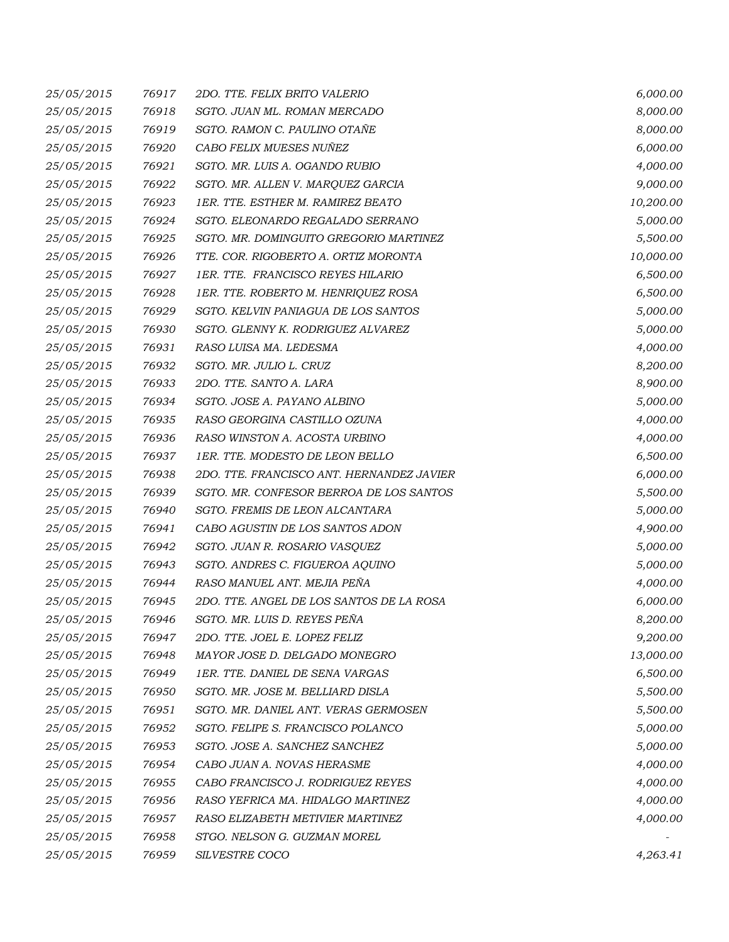| 25/05/2015 | 76917 | 2DO. TTE. FELIX BRITO VALERIO             | 6,000.00  |
|------------|-------|-------------------------------------------|-----------|
| 25/05/2015 | 76918 | SGTO. JUAN ML. ROMAN MERCADO              | 8,000.00  |
| 25/05/2015 | 76919 | SGTO. RAMON C. PAULINO OTAÑE              | 8,000.00  |
| 25/05/2015 | 76920 | CABO FELIX MUESES NUÑEZ                   | 6,000.00  |
| 25/05/2015 | 76921 | SGTO. MR. LUIS A. OGANDO RUBIO            | 4,000.00  |
| 25/05/2015 | 76922 | SGTO. MR. ALLEN V. MARQUEZ GARCIA         | 9,000.00  |
| 25/05/2015 | 76923 | 1ER. TTE. ESTHER M. RAMIREZ BEATO         | 10,200.00 |
| 25/05/2015 | 76924 | SGTO. ELEONARDO REGALADO SERRANO          | 5,000.00  |
| 25/05/2015 | 76925 | SGTO. MR. DOMINGUITO GREGORIO MARTINEZ    | 5,500.00  |
| 25/05/2015 | 76926 | TTE. COR. RIGOBERTO A. ORTIZ MORONTA      | 10,000.00 |
| 25/05/2015 | 76927 | 1ER. TTE. FRANCISCO REYES HILARIO         | 6,500.00  |
| 25/05/2015 | 76928 | 1ER. TTE. ROBERTO M. HENRIQUEZ ROSA       | 6,500.00  |
| 25/05/2015 | 76929 | SGTO. KELVIN PANIAGUA DE LOS SANTOS       | 5,000.00  |
| 25/05/2015 | 76930 | SGTO. GLENNY K. RODRIGUEZ ALVAREZ         | 5,000.00  |
| 25/05/2015 | 76931 | RASO LUISA MA. LEDESMA                    | 4,000.00  |
| 25/05/2015 | 76932 | SGTO. MR. JULIO L. CRUZ                   | 8,200.00  |
| 25/05/2015 | 76933 | 2DO. TTE. SANTO A. LARA                   | 8,900.00  |
| 25/05/2015 | 76934 | SGTO. JOSE A. PAYANO ALBINO               | 5,000.00  |
| 25/05/2015 | 76935 | RASO GEORGINA CASTILLO OZUNA              | 4,000.00  |
| 25/05/2015 | 76936 | RASO WINSTON A. ACOSTA URBINO             | 4,000.00  |
| 25/05/2015 | 76937 | 1ER. TTE. MODESTO DE LEON BELLO           | 6,500.00  |
| 25/05/2015 | 76938 | 2DO. TTE. FRANCISCO ANT. HERNANDEZ JAVIER | 6,000.00  |
| 25/05/2015 | 76939 | SGTO. MR. CONFESOR BERROA DE LOS SANTOS   | 5,500.00  |
| 25/05/2015 | 76940 | SGTO. FREMIS DE LEON ALCANTARA            | 5,000.00  |
| 25/05/2015 | 76941 | CABO AGUSTIN DE LOS SANTOS ADON           | 4,900.00  |
| 25/05/2015 | 76942 | SGTO. JUAN R. ROSARIO VASQUEZ             | 5,000.00  |
| 25/05/2015 | 76943 | SGTO. ANDRES C. FIGUEROA AQUINO           | 5,000.00  |
| 25/05/2015 | 76944 | RASO MANUEL ANT. MEJIA PEÑA               | 4,000.00  |
| 25/05/2015 | 76945 | 2DO. TTE. ANGEL DE LOS SANTOS DE LA ROSA  | 6,000.00  |
| 25/05/2015 | 76946 | SGTO. MR. LUIS D. REYES PEÑA              | 8,200.00  |
| 25/05/2015 | 76947 | 2DO. TTE. JOEL E. LOPEZ FELIZ             | 9,200.00  |
| 25/05/2015 | 76948 | MAYOR JOSE D. DELGADO MONEGRO             | 13,000.00 |
| 25/05/2015 | 76949 | 1ER. TTE. DANIEL DE SENA VARGAS           | 6,500.00  |
| 25/05/2015 | 76950 | SGTO. MR. JOSE M. BELLIARD DISLA          | 5,500.00  |
| 25/05/2015 | 76951 | SGTO. MR. DANIEL ANT. VERAS GERMOSEN      | 5,500.00  |
| 25/05/2015 | 76952 | SGTO. FELIPE S. FRANCISCO POLANCO         | 5,000.00  |
| 25/05/2015 | 76953 | SGTO. JOSE A. SANCHEZ SANCHEZ             | 5,000.00  |
| 25/05/2015 | 76954 | CABO JUAN A. NOVAS HERASME                | 4,000.00  |
| 25/05/2015 | 76955 | CABO FRANCISCO J. RODRIGUEZ REYES         | 4,000.00  |
| 25/05/2015 | 76956 | RASO YEFRICA MA. HIDALGO MARTINEZ         | 4,000.00  |
| 25/05/2015 | 76957 | RASO ELIZABETH METIVIER MARTINEZ          | 4,000.00  |
| 25/05/2015 | 76958 | STGO. NELSON G. GUZMAN MOREL              |           |
| 25/05/2015 | 76959 | SILVESTRE COCO                            | 4,263.41  |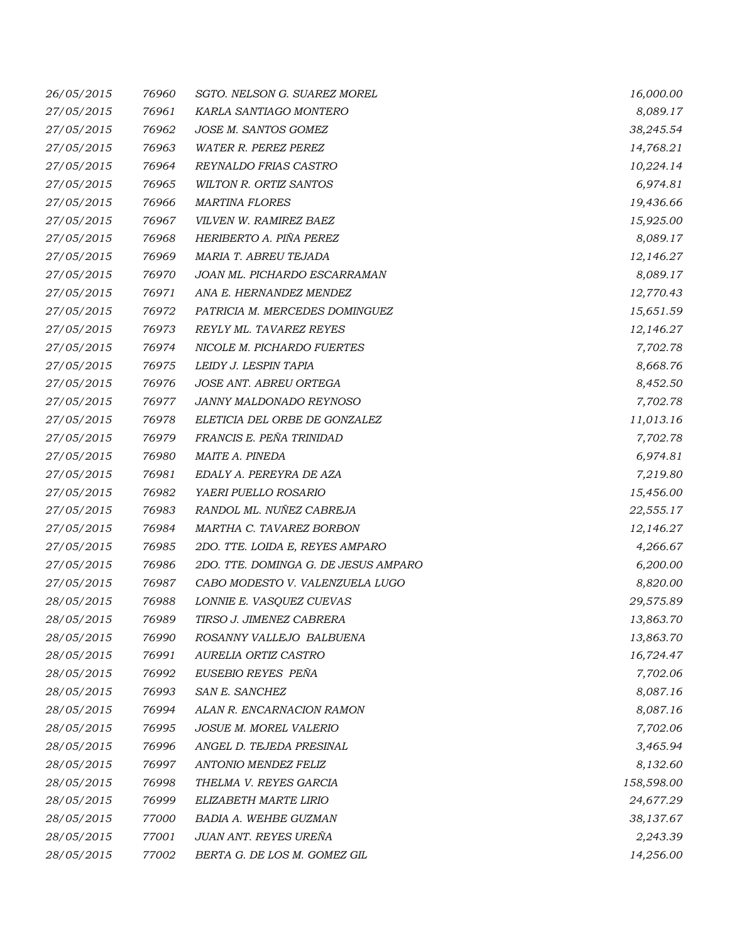| 26/05/2015 | 76960 | SGTO. NELSON G. SUAREZ MOREL         | 16,000.00  |
|------------|-------|--------------------------------------|------------|
| 27/05/2015 | 76961 | KARLA SANTIAGO MONTERO               | 8,089.17   |
| 27/05/2015 | 76962 | <b>JOSE M. SANTOS GOMEZ</b>          | 38,245.54  |
| 27/05/2015 | 76963 | <b>WATER R. PEREZ PEREZ</b>          | 14,768.21  |
| 27/05/2015 | 76964 | REYNALDO FRIAS CASTRO                | 10,224.14  |
| 27/05/2015 | 76965 | WILTON R. ORTIZ SANTOS               | 6,974.81   |
| 27/05/2015 | 76966 | <b>MARTINA FLORES</b>                | 19,436.66  |
| 27/05/2015 | 76967 | VILVEN W. RAMIREZ BAEZ               | 15,925.00  |
| 27/05/2015 | 76968 | HERIBERTO A. PIÑA PEREZ              | 8,089.17   |
| 27/05/2015 | 76969 | MARIA T. ABREU TEJADA                | 12,146.27  |
| 27/05/2015 | 76970 | JOAN ML. PICHARDO ESCARRAMAN         | 8,089.17   |
| 27/05/2015 | 76971 | ANA E. HERNANDEZ MENDEZ              | 12,770.43  |
| 27/05/2015 | 76972 | PATRICIA M. MERCEDES DOMINGUEZ       | 15,651.59  |
| 27/05/2015 | 76973 | REYLY ML. TAVAREZ REYES              | 12,146.27  |
| 27/05/2015 | 76974 | NICOLE M. PICHARDO FUERTES           | 7,702.78   |
| 27/05/2015 | 76975 | LEIDY J. LESPIN TAPIA                | 8,668.76   |
| 27/05/2015 | 76976 | JOSE ANT. ABREU ORTEGA               | 8,452.50   |
| 27/05/2015 | 76977 | JANNY MALDONADO REYNOSO              | 7,702.78   |
| 27/05/2015 | 76978 | ELETICIA DEL ORBE DE GONZALEZ        | 11,013.16  |
| 27/05/2015 | 76979 | FRANCIS E. PEÑA TRINIDAD             | 7,702.78   |
| 27/05/2015 | 76980 | MAITE A. PINEDA                      | 6,974.81   |
| 27/05/2015 | 76981 | EDALY A. PEREYRA DE AZA              | 7,219.80   |
| 27/05/2015 | 76982 | YAERI PUELLO ROSARIO                 | 15,456.00  |
| 27/05/2015 | 76983 | RANDOL ML. NUÑEZ CABREJA             | 22,555.17  |
| 27/05/2015 | 76984 | MARTHA C. TAVAREZ BORBON             | 12,146.27  |
| 27/05/2015 | 76985 | 2DO. TTE. LOIDA E, REYES AMPARO      | 4,266.67   |
| 27/05/2015 | 76986 | 2DO. TTE. DOMINGA G. DE JESUS AMPARO | 6,200.00   |
| 27/05/2015 | 76987 | CABO MODESTO V. VALENZUELA LUGO      | 8,820.00   |
| 28/05/2015 | 76988 | LONNIE E. VASQUEZ CUEVAS             | 29,575.89  |
| 28/05/2015 | 76989 | TIRSO J. JIMENEZ CABRERA             | 13,863.70  |
| 28/05/2015 | 76990 | ROSANNY VALLEJO BALBUENA             | 13,863.70  |
| 28/05/2015 | 76991 | AURELIA ORTIZ CASTRO                 | 16,724.47  |
| 28/05/2015 | 76992 | EUSEBIO REYES PEÑA                   | 7,702.06   |
| 28/05/2015 | 76993 | SAN E. SANCHEZ                       | 8,087.16   |
| 28/05/2015 | 76994 | ALAN R. ENCARNACION RAMON            | 8,087.16   |
| 28/05/2015 | 76995 | JOSUE M. MOREL VALERIO               | 7,702.06   |
| 28/05/2015 | 76996 | ANGEL D. TEJEDA PRESINAL             | 3,465.94   |
| 28/05/2015 | 76997 | ANTONIO MENDEZ FELIZ                 | 8,132.60   |
| 28/05/2015 | 76998 | THELMA V. REYES GARCIA               | 158,598.00 |
| 28/05/2015 | 76999 | ELIZABETH MARTE LIRIO                | 24,677.29  |
| 28/05/2015 | 77000 | <b>BADIA A. WEHBE GUZMAN</b>         | 38,137.67  |
| 28/05/2015 | 77001 | JUAN ANT. REYES UREÑA                | 2,243.39   |
| 28/05/2015 | 77002 | BERTA G. DE LOS M. GOMEZ GIL         | 14,256.00  |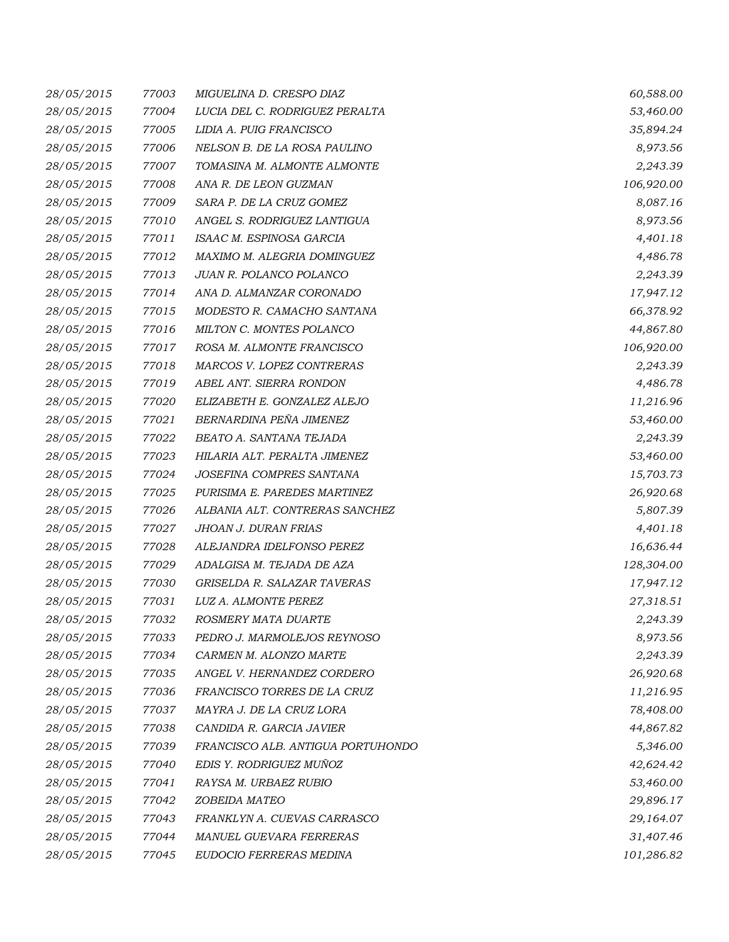| 28/05/2015 | 77003 | MIGUELINA D. CRESPO DIAZ          | 60,588.00  |
|------------|-------|-----------------------------------|------------|
| 28/05/2015 | 77004 | LUCIA DEL C. RODRIGUEZ PERALTA    | 53,460.00  |
| 28/05/2015 | 77005 | LIDIA A. PUIG FRANCISCO           | 35,894.24  |
| 28/05/2015 | 77006 | NELSON B. DE LA ROSA PAULINO      | 8,973.56   |
| 28/05/2015 | 77007 | TOMASINA M. ALMONTE ALMONTE       | 2,243.39   |
| 28/05/2015 | 77008 | ANA R. DE LEON GUZMAN             | 106,920.00 |
| 28/05/2015 | 77009 | SARA P. DE LA CRUZ GOMEZ          | 8,087.16   |
| 28/05/2015 | 77010 | ANGEL S. RODRIGUEZ LANTIGUA       | 8,973.56   |
| 28/05/2015 | 77011 | ISAAC M. ESPINOSA GARCIA          | 4,401.18   |
| 28/05/2015 | 77012 | MAXIMO M. ALEGRIA DOMINGUEZ       | 4,486.78   |
| 28/05/2015 | 77013 | JUAN R. POLANCO POLANCO           | 2,243.39   |
| 28/05/2015 | 77014 | ANA D. ALMANZAR CORONADO          | 17,947.12  |
| 28/05/2015 | 77015 | MODESTO R. CAMACHO SANTANA        | 66,378.92  |
| 28/05/2015 | 77016 | MILTON C. MONTES POLANCO          | 44,867.80  |
| 28/05/2015 | 77017 | ROSA M. ALMONTE FRANCISCO         | 106,920.00 |
| 28/05/2015 | 77018 | MARCOS V. LOPEZ CONTRERAS         | 2,243.39   |
| 28/05/2015 | 77019 | ABEL ANT. SIERRA RONDON           | 4,486.78   |
| 28/05/2015 | 77020 | ELIZABETH E. GONZALEZ ALEJO       | 11,216.96  |
| 28/05/2015 | 77021 | BERNARDINA PEÑA JIMENEZ           | 53,460.00  |
| 28/05/2015 | 77022 | BEATO A. SANTANA TEJADA           | 2,243.39   |
| 28/05/2015 | 77023 | HILARIA ALT. PERALTA JIMENEZ      | 53,460.00  |
| 28/05/2015 | 77024 | JOSEFINA COMPRES SANTANA          | 15,703.73  |
| 28/05/2015 | 77025 | PURISIMA E. PAREDES MARTINEZ      | 26,920.68  |
| 28/05/2015 | 77026 | ALBANIA ALT. CONTRERAS SANCHEZ    | 5,807.39   |
| 28/05/2015 | 77027 | JHOAN J. DURAN FRIAS              | 4,401.18   |
| 28/05/2015 | 77028 | ALEJANDRA IDELFONSO PEREZ         | 16,636.44  |
| 28/05/2015 | 77029 | ADALGISA M. TEJADA DE AZA         | 128,304.00 |
| 28/05/2015 | 77030 | GRISELDA R. SALAZAR TAVERAS       | 17,947.12  |
| 28/05/2015 | 77031 | LUZ A. ALMONTE PEREZ              | 27,318.51  |
| 28/05/2015 | 77032 | ROSMERY MATA DUARTE               | 2,243.39   |
| 28/05/2015 | 77033 | PEDRO J. MARMOLEJOS REYNOSO       | 8,973.56   |
| 28/05/2015 | 77034 | CARMEN M. ALONZO MARTE            | 2,243.39   |
| 28/05/2015 | 77035 | ANGEL V. HERNANDEZ CORDERO        | 26,920.68  |
| 28/05/2015 | 77036 | FRANCISCO TORRES DE LA CRUZ       | 11,216.95  |
| 28/05/2015 | 77037 | MAYRA J. DE LA CRUZ LORA          | 78,408.00  |
| 28/05/2015 | 77038 | CANDIDA R. GARCIA JAVIER          | 44,867.82  |
| 28/05/2015 | 77039 | FRANCISCO ALB. ANTIGUA PORTUHONDO | 5,346.00   |
| 28/05/2015 | 77040 | EDIS Y. RODRIGUEZ MUÑOZ           | 42,624.42  |
| 28/05/2015 | 77041 | RAYSA M. URBAEZ RUBIO             | 53,460.00  |
| 28/05/2015 | 77042 | ZOBEIDA MATEO                     | 29,896.17  |
| 28/05/2015 | 77043 | FRANKLYN A. CUEVAS CARRASCO       | 29,164.07  |
| 28/05/2015 | 77044 | MANUEL GUEVARA FERRERAS           | 31,407.46  |
| 28/05/2015 | 77045 | EUDOCIO FERRERAS MEDINA           | 101,286.82 |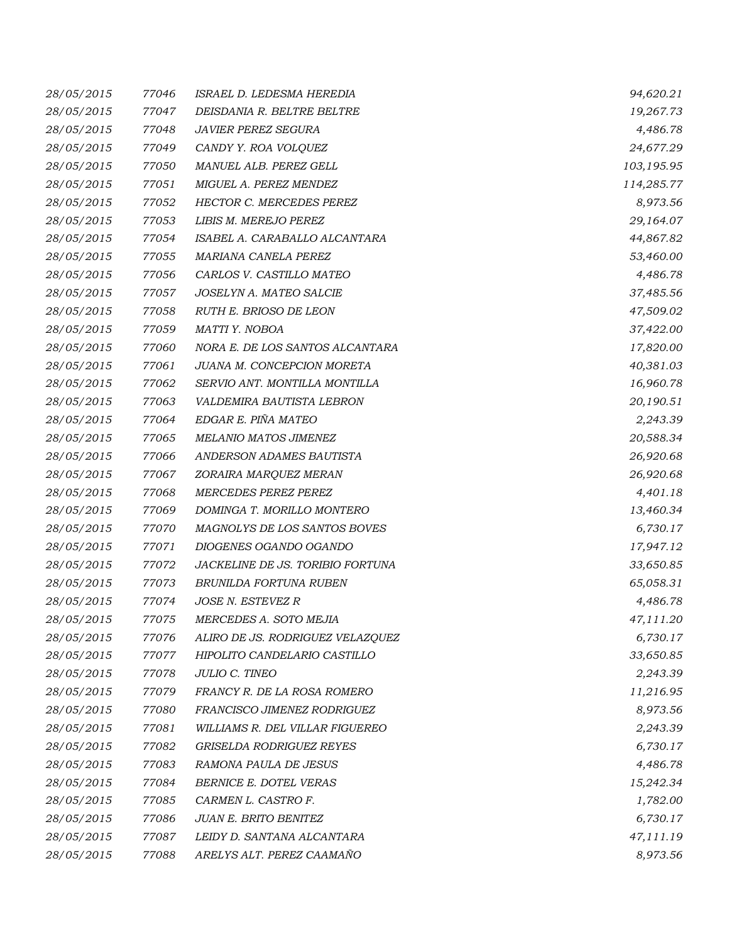| 28/05/2015 | 77046 | ISRAEL D. LEDESMA HEREDIA        | 94,620.21  |
|------------|-------|----------------------------------|------------|
| 28/05/2015 | 77047 | DEISDANIA R. BELTRE BELTRE       | 19,267.73  |
| 28/05/2015 | 77048 | <b>JAVIER PEREZ SEGURA</b>       | 4,486.78   |
| 28/05/2015 | 77049 | CANDY Y. ROA VOLQUEZ             | 24,677.29  |
| 28/05/2015 | 77050 | MANUEL ALB. PEREZ GELL           | 103,195.95 |
| 28/05/2015 | 77051 | MIGUEL A. PEREZ MENDEZ           | 114,285.77 |
| 28/05/2015 | 77052 | HECTOR C. MERCEDES PEREZ         | 8,973.56   |
| 28/05/2015 | 77053 | LIBIS M. MEREJO PEREZ            | 29,164.07  |
| 28/05/2015 | 77054 | ISABEL A. CARABALLO ALCANTARA    | 44,867.82  |
| 28/05/2015 | 77055 | MARIANA CANELA PEREZ             | 53,460.00  |
| 28/05/2015 | 77056 | CARLOS V. CASTILLO MATEO         | 4,486.78   |
| 28/05/2015 | 77057 | JOSELYN A. MATEO SALCIE          | 37,485.56  |
| 28/05/2015 | 77058 | RUTH E. BRIOSO DE LEON           | 47,509.02  |
| 28/05/2015 | 77059 | MATTI Y. NOBOA                   | 37,422.00  |
| 28/05/2015 | 77060 | NORA E. DE LOS SANTOS ALCANTARA  | 17,820.00  |
| 28/05/2015 | 77061 | JUANA M. CONCEPCION MORETA       | 40,381.03  |
| 28/05/2015 | 77062 | SERVIO ANT. MONTILLA MONTILLA    | 16,960.78  |
| 28/05/2015 | 77063 | VALDEMIRA BAUTISTA LEBRON        | 20,190.51  |
| 28/05/2015 | 77064 | EDGAR E. PIÑA MATEO              | 2,243.39   |
| 28/05/2015 | 77065 | MELANIO MATOS JIMENEZ            | 20,588.34  |
| 28/05/2015 | 77066 | ANDERSON ADAMES BAUTISTA         | 26,920.68  |
| 28/05/2015 | 77067 | ZORAIRA MARQUEZ MERAN            | 26,920.68  |
| 28/05/2015 | 77068 | <b>MERCEDES PEREZ PEREZ</b>      | 4,401.18   |
| 28/05/2015 | 77069 | DOMINGA T. MORILLO MONTERO       | 13,460.34  |
| 28/05/2015 | 77070 | MAGNOLYS DE LOS SANTOS BOVES     | 6,730.17   |
| 28/05/2015 | 77071 | DIOGENES OGANDO OGANDO           | 17,947.12  |
| 28/05/2015 | 77072 | JACKELINE DE JS. TORIBIO FORTUNA | 33,650.85  |
| 28/05/2015 | 77073 | BRUNILDA FORTUNA RUBEN           | 65,058.31  |
| 28/05/2015 | 77074 | JOSE N. ESTEVEZ R                | 4,486.78   |
| 28/05/2015 | 77075 | MERCEDES A. SOTO MEJIA           | 47,111.20  |
| 28/05/2015 | 77076 | ALIRO DE JS. RODRIGUEZ VELAZQUEZ | 6,730.17   |
| 28/05/2015 | 77077 | HIPOLITO CANDELARIO CASTILLO     | 33,650.85  |
| 28/05/2015 | 77078 | <b>JULIO C. TINEO</b>            | 2,243.39   |
| 28/05/2015 | 77079 | FRANCY R. DE LA ROSA ROMERO      | 11,216.95  |
| 28/05/2015 | 77080 | FRANCISCO JIMENEZ RODRIGUEZ      | 8,973.56   |
| 28/05/2015 | 77081 | WILLIAMS R. DEL VILLAR FIGUEREO  | 2,243.39   |
| 28/05/2015 | 77082 | <b>GRISELDA RODRIGUEZ REYES</b>  | 6,730.17   |
| 28/05/2015 | 77083 | RAMONA PAULA DE JESUS            | 4,486.78   |
| 28/05/2015 | 77084 | BERNICE E. DOTEL VERAS           | 15,242.34  |
| 28/05/2015 | 77085 | CARMEN L. CASTRO F.              | 1,782.00   |
| 28/05/2015 | 77086 | JUAN E. BRITO BENITEZ            | 6,730.17   |
| 28/05/2015 | 77087 | LEIDY D. SANTANA ALCANTARA       | 47,111.19  |
| 28/05/2015 | 77088 | ARELYS ALT. PEREZ CAAMAÑO        | 8,973.56   |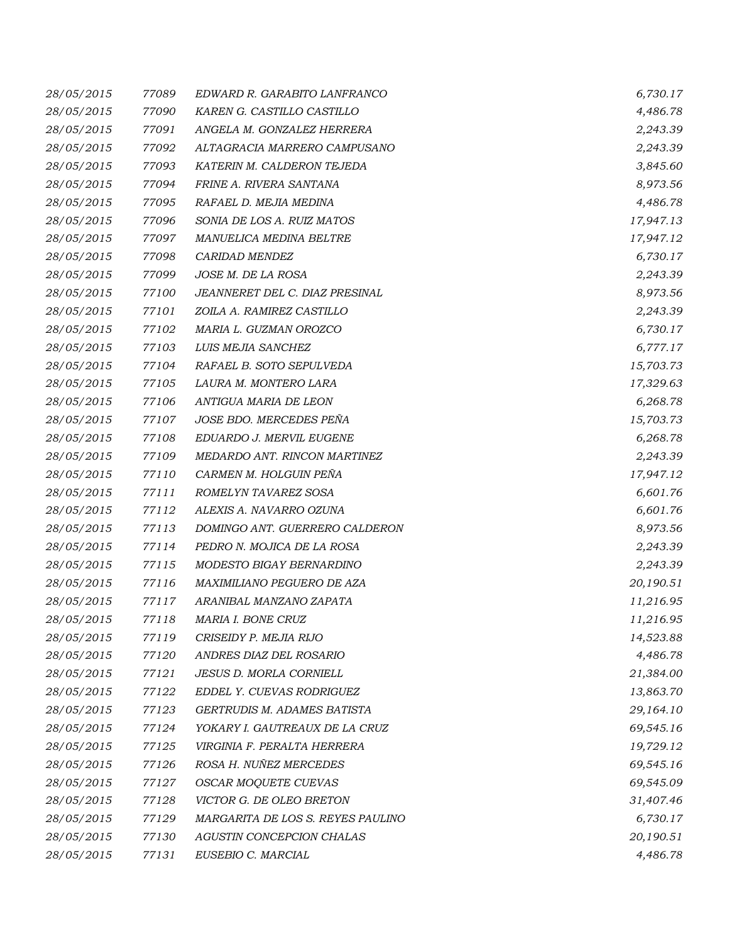| 28/05/2015 | 77089 | EDWARD R. GARABITO LANFRANCO      | 6,730.17  |
|------------|-------|-----------------------------------|-----------|
| 28/05/2015 | 77090 | KAREN G. CASTILLO CASTILLO        | 4,486.78  |
| 28/05/2015 | 77091 | ANGELA M. GONZALEZ HERRERA        | 2,243.39  |
| 28/05/2015 | 77092 | ALTAGRACIA MARRERO CAMPUSANO      | 2,243.39  |
| 28/05/2015 | 77093 | KATERIN M. CALDERON TEJEDA        | 3,845.60  |
| 28/05/2015 | 77094 | FRINE A. RIVERA SANTANA           | 8,973.56  |
| 28/05/2015 | 77095 | RAFAEL D. MEJIA MEDINA            | 4,486.78  |
| 28/05/2015 | 77096 | SONIA DE LOS A. RUIZ MATOS        | 17,947.13 |
| 28/05/2015 | 77097 | MANUELICA MEDINA BELTRE           | 17,947.12 |
| 28/05/2015 | 77098 | CARIDAD MENDEZ                    | 6,730.17  |
| 28/05/2015 | 77099 | JOSE M. DE LA ROSA                | 2,243.39  |
| 28/05/2015 | 77100 | JEANNERET DEL C. DIAZ PRESINAL    | 8,973.56  |
| 28/05/2015 | 77101 | ZOILA A. RAMIREZ CASTILLO         | 2,243.39  |
| 28/05/2015 | 77102 | MARIA L. GUZMAN OROZCO            | 6,730.17  |
| 28/05/2015 | 77103 | LUIS MEJIA SANCHEZ                | 6,777.17  |
| 28/05/2015 | 77104 | RAFAEL B. SOTO SEPULVEDA          | 15,703.73 |
| 28/05/2015 | 77105 | LAURA M. MONTERO LARA             | 17,329.63 |
| 28/05/2015 | 77106 | ANTIGUA MARIA DE LEON             | 6,268.78  |
| 28/05/2015 | 77107 | JOSE BDO. MERCEDES PEÑA           | 15,703.73 |
| 28/05/2015 | 77108 | EDUARDO J. MERVIL EUGENE          | 6,268.78  |
| 28/05/2015 | 77109 | MEDARDO ANT. RINCON MARTINEZ      | 2,243.39  |
| 28/05/2015 | 77110 | CARMEN M. HOLGUIN PEÑA            | 17,947.12 |
| 28/05/2015 | 77111 | ROMELYN TAVAREZ SOSA              | 6,601.76  |
| 28/05/2015 | 77112 | ALEXIS A. NAVARRO OZUNA           | 6,601.76  |
| 28/05/2015 | 77113 | DOMINGO ANT. GUERRERO CALDERON    | 8,973.56  |
| 28/05/2015 | 77114 | PEDRO N. MOJICA DE LA ROSA        | 2,243.39  |
| 28/05/2015 | 77115 | MODESTO BIGAY BERNARDINO          | 2,243.39  |
| 28/05/2015 | 77116 | MAXIMILIANO PEGUERO DE AZA        | 20,190.51 |
| 28/05/2015 | 77117 | ARANIBAL MANZANO ZAPATA           | 11,216.95 |
| 28/05/2015 | 77118 | MARIA I. BONE CRUZ                | 11,216.95 |
| 28/05/2015 | 77119 | CRISEIDY P. MEJIA RIJO            | 14,523.88 |
| 28/05/2015 | 77120 | ANDRES DIAZ DEL ROSARIO           | 4,486.78  |
| 28/05/2015 | 77121 | JESUS D. MORLA CORNIELL           | 21,384.00 |
| 28/05/2015 | 77122 | EDDEL Y. CUEVAS RODRIGUEZ         | 13,863.70 |
| 28/05/2015 | 77123 | GERTRUDIS M. ADAMES BATISTA       | 29,164.10 |
| 28/05/2015 | 77124 | YOKARY I. GAUTREAUX DE LA CRUZ    | 69,545.16 |
| 28/05/2015 | 77125 | VIRGINIA F. PERALTA HERRERA       | 19,729.12 |
| 28/05/2015 | 77126 | ROSA H. NUÑEZ MERCEDES            | 69,545.16 |
| 28/05/2015 | 77127 | OSCAR MOQUETE CUEVAS              | 69,545.09 |
| 28/05/2015 | 77128 | VICTOR G. DE OLEO BRETON          | 31,407.46 |
| 28/05/2015 | 77129 | MARGARITA DE LOS S. REYES PAULINO | 6,730.17  |
| 28/05/2015 | 77130 | AGUSTIN CONCEPCION CHALAS         | 20,190.51 |
| 28/05/2015 | 77131 | EUSEBIO C. MARCIAL                | 4,486.78  |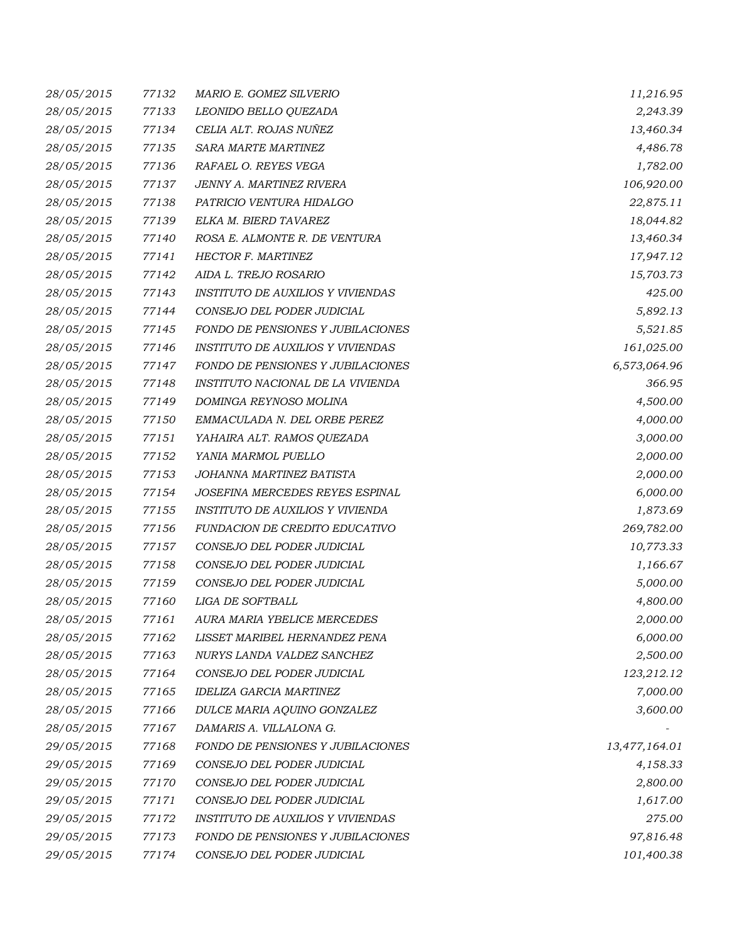| 28/05/2015 | 77132 | MARIO E. GOMEZ SILVERIO                  | 11,216.95     |
|------------|-------|------------------------------------------|---------------|
| 28/05/2015 | 77133 | LEONIDO BELLO QUEZADA                    | 2,243.39      |
| 28/05/2015 | 77134 | CELIA ALT. ROJAS NUÑEZ                   | 13,460.34     |
| 28/05/2015 | 77135 | SARA MARTE MARTINEZ                      | 4,486.78      |
| 28/05/2015 | 77136 | RAFAEL O. REYES VEGA                     | 1,782.00      |
| 28/05/2015 | 77137 | JENNY A. MARTINEZ RIVERA                 | 106,920.00    |
| 28/05/2015 | 77138 | PATRICIO VENTURA HIDALGO                 | 22,875.11     |
| 28/05/2015 | 77139 | ELKA M. BIERD TAVAREZ                    | 18,044.82     |
| 28/05/2015 | 77140 | ROSA E. ALMONTE R. DE VENTURA            | 13,460.34     |
| 28/05/2015 | 77141 | HECTOR F. MARTINEZ                       | 17,947.12     |
| 28/05/2015 | 77142 | AIDA L. TREJO ROSARIO                    | 15,703.73     |
| 28/05/2015 | 77143 | <b>INSTITUTO DE AUXILIOS Y VIVIENDAS</b> | 425.00        |
| 28/05/2015 | 77144 | CONSEJO DEL PODER JUDICIAL               | 5,892.13      |
| 28/05/2015 | 77145 | FONDO DE PENSIONES Y JUBILACIONES        | 5,521.85      |
| 28/05/2015 | 77146 | <b>INSTITUTO DE AUXILIOS Y VIVIENDAS</b> | 161,025.00    |
| 28/05/2015 | 77147 | FONDO DE PENSIONES Y JUBILACIONES        | 6,573,064.96  |
| 28/05/2015 | 77148 | INSTITUTO NACIONAL DE LA VIVIENDA        | 366.95        |
| 28/05/2015 | 77149 | DOMINGA REYNOSO MOLINA                   | 4,500.00      |
| 28/05/2015 | 77150 | EMMACULADA N. DEL ORBE PEREZ             | 4,000.00      |
| 28/05/2015 | 77151 | YAHAIRA ALT. RAMOS QUEZADA               | 3,000.00      |
| 28/05/2015 | 77152 | YANIA MARMOL PUELLO                      | 2,000.00      |
| 28/05/2015 | 77153 | JOHANNA MARTINEZ BATISTA                 | 2,000.00      |
| 28/05/2015 | 77154 | JOSEFINA MERCEDES REYES ESPINAL          | 6,000.00      |
| 28/05/2015 | 77155 | INSTITUTO DE AUXILIOS Y VIVIENDA         | 1,873.69      |
| 28/05/2015 | 77156 | FUNDACION DE CREDITO EDUCATIVO           | 269,782.00    |
| 28/05/2015 | 77157 | CONSEJO DEL PODER JUDICIAL               | 10,773.33     |
| 28/05/2015 | 77158 | CONSEJO DEL PODER JUDICIAL               | 1,166.67      |
| 28/05/2015 | 77159 | CONSEJO DEL PODER JUDICIAL               | 5,000.00      |
| 28/05/2015 | 77160 | LIGA DE SOFTBALL                         | 4,800.00      |
| 28/05/2015 | 77161 | AURA MARIA YBELICE MERCEDES              | 2,000.00      |
| 28/05/2015 | 77162 | LISSET MARIBEL HERNANDEZ PENA            | 6,000.00      |
| 28/05/2015 | 77163 | NURYS LANDA VALDEZ SANCHEZ               | 2,500.00      |
| 28/05/2015 | 77164 | CONSEJO DEL PODER JUDICIAL               | 123,212.12    |
| 28/05/2015 | 77165 | IDELIZA GARCIA MARTINEZ                  | 7,000.00      |
| 28/05/2015 | 77166 | DULCE MARIA AQUINO GONZALEZ              | 3,600.00      |
| 28/05/2015 | 77167 | DAMARIS A. VILLALONA G.                  |               |
| 29/05/2015 | 77168 | <b>FONDO DE PENSIONES Y JUBILACIONES</b> | 13,477,164.01 |
| 29/05/2015 | 77169 | CONSEJO DEL PODER JUDICIAL               | 4,158.33      |
| 29/05/2015 | 77170 | CONSEJO DEL PODER JUDICIAL               | 2,800.00      |
| 29/05/2015 | 77171 | CONSEJO DEL PODER JUDICIAL               | 1,617.00      |
| 29/05/2015 | 77172 | <b>INSTITUTO DE AUXILIOS Y VIVIENDAS</b> | 275.00        |
| 29/05/2015 | 77173 | FONDO DE PENSIONES Y JUBILACIONES        | 97,816.48     |
| 29/05/2015 | 77174 | CONSEJO DEL PODER JUDICIAL               | 101,400.38    |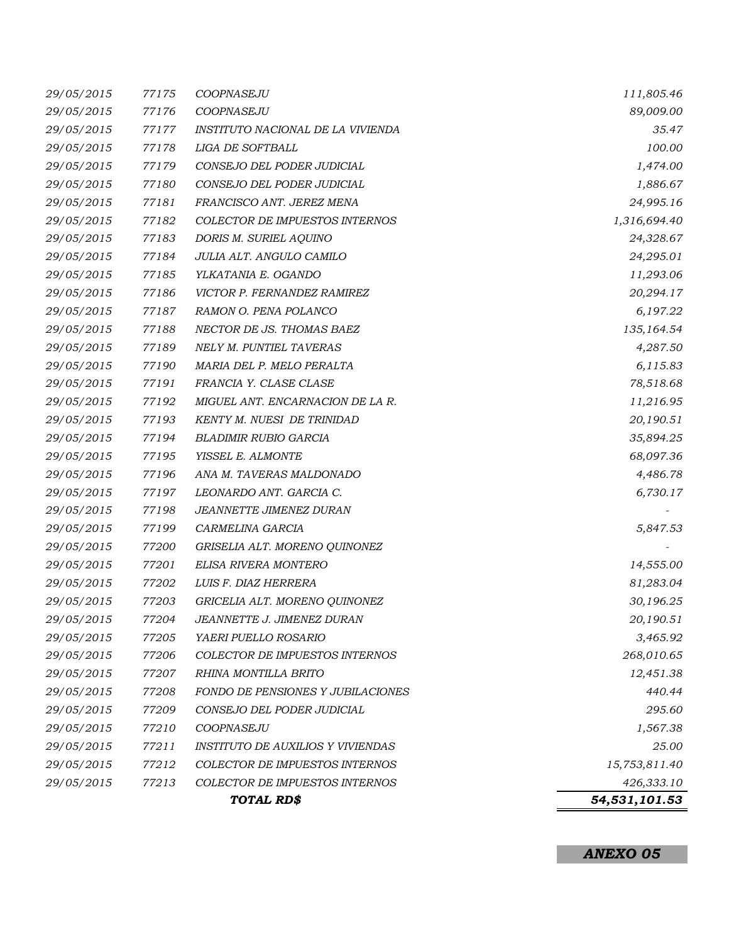|            | 54,531,101.53 |                                              |               |
|------------|---------------|----------------------------------------------|---------------|
| 29/05/2015 | 77213         | COLECTOR DE IMPUESTOS INTERNOS<br>TOTAL RD\$ | 426,333.10    |
| 29/05/2015 | 77212         | COLECTOR DE IMPUESTOS INTERNOS               | 15,753,811.40 |
| 29/05/2015 | 77211         | <b>INSTITUTO DE AUXILIOS Y VIVIENDAS</b>     | 25.00         |
| 29/05/2015 | 77210         | COOPNASEJU                                   | 1,567.38      |
| 29/05/2015 | 77209         | CONSEJO DEL PODER JUDICIAL                   | 295.60        |
| 29/05/2015 | 77208         | FONDO DE PENSIONES Y JUBILACIONES            | 440.44        |
| 29/05/2015 | 77207         | RHINA MONTILLA BRITO                         | 12,451.38     |
| 29/05/2015 | 77206         | COLECTOR DE IMPUESTOS INTERNOS               | 268,010.65    |
| 29/05/2015 | 77205         | YAERI PUELLO ROSARIO                         | 3,465.92      |
| 29/05/2015 | 77204         | JEANNETTE J. JIMENEZ DURAN .                 | 20,190.51     |
| 29/05/2015 | 77203         | GRICELIA ALT. MORENO QUINONEZ                | 30,196.25     |
| 29/05/2015 | 77202         | LUIS F. DIAZ HERRERA                         | 81,283.04     |
| 29/05/2015 | 77201         | ELISA RIVERA MONTERO                         | 14,555.00     |
| 29/05/2015 | 77200         | GRISELIA ALT. MORENO QUINONEZ                |               |
| 29/05/2015 | 77199         | CARMELINA GARCIA                             | 5,847.53      |
| 29/05/2015 | 77198         | JEANNETTE JIMENEZ DURAN                      |               |
| 29/05/2015 | 77197         | LEONARDO ANT. GARCIA C.                      | 6,730.17      |
| 29/05/2015 | 77196         | ANA M. TAVERAS MALDONADO                     | 4,486.78      |
| 29/05/2015 | 77195         | YISSEL E. ALMONTE                            | 68,097.36     |
| 29/05/2015 | 77194         | <b>BLADIMIR RUBIO GARCIA</b>                 | 35,894.25     |
| 29/05/2015 | 77193         | KENTY M. NUESI DE TRINIDAD                   | 20,190.51     |
| 29/05/2015 | 77192         | MIGUEL ANT. ENCARNACION DE LA R.             | 11,216.95     |
| 29/05/2015 | 77191         | FRANCIA Y. CLASE CLASE                       | 78,518.68     |
| 29/05/2015 | 77190         | MARIA DEL P. MELO PERALTA                    | 6,115.83      |
| 29/05/2015 | 77189         | NELY M. PUNTIEL TAVERAS                      | 4,287.50      |
| 29/05/2015 | 77188         | NECTOR DE JS. THOMAS BAEZ                    | 135,164.54    |
| 29/05/2015 | 77187         | RAMON O. PENA POLANCO                        | 6,197.22      |
| 29/05/2015 | 77186         | VICTOR P. FERNANDEZ RAMIREZ                  | 20,294.17     |
| 29/05/2015 | 77185         | YLKATANIA E. OGANDO                          | 11,293.06     |
| 29/05/2015 | 77184         | JULIA ALT. ANGULO CAMILO                     | 24,295.01     |
| 29/05/2015 | 77183         | DORIS M. SURIEL AQUINO                       | 24,328.67     |
| 29/05/2015 | 77182         | COLECTOR DE IMPUESTOS INTERNOS               | 1,316,694.40  |
| 29/05/2015 | 77181         | FRANCISCO ANT. JEREZ MENA                    | 24,995.16     |
| 29/05/2015 | 77180         | CONSEJO DEL PODER JUDICIAL                   | 1,886.67      |
| 29/05/2015 | 77179         | CONSEJO DEL PODER JUDICIAL                   | 1,474.00      |
| 29/05/2015 | 77178         | LIGA DE SOFTBALL                             | 100.00        |
| 29/05/2015 | 77177         | INSTITUTO NACIONAL DE LA VIVIENDA            | 35.47         |
| 29/05/2015 | 77176         | COOPNASEJU                                   | 89,009.00     |
| 29/05/2015 | 77175         | COOPNASEJU                                   | 111,805.46    |

*ANEXO 05*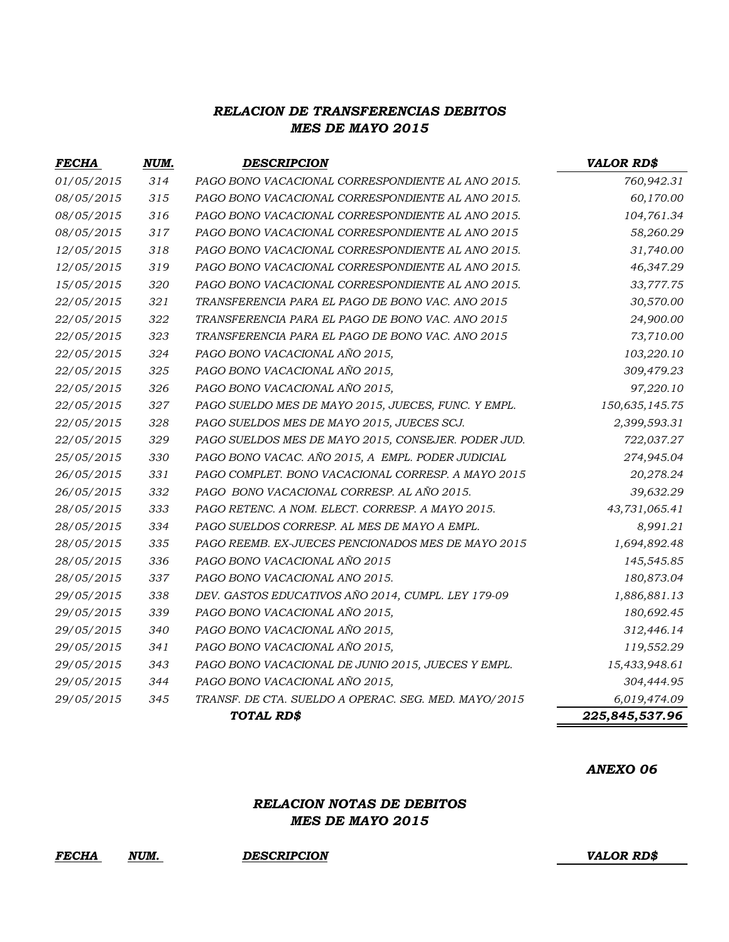## *RELACION DE TRANSFERENCIAS DEBITOS MES DE MAYO 2015*

| <b>FECHA</b> | NUM.           | <b>DESCRIPCION</b>                                   | <b>VALOR RD\$</b> |
|--------------|----------------|------------------------------------------------------|-------------------|
| 01/05/2015   | 314            | PAGO BONO VACACIONAL CORRESPONDIENTE AL ANO 2015.    | 760,942.31        |
| 08/05/2015   | 315            | PAGO BONO VACACIONAL CORRESPONDIENTE AL ANO 2015.    | 60,170.00         |
| 08/05/2015   | 316            | PAGO BONO VACACIONAL CORRESPONDIENTE AL ANO 2015.    | 104,761.34        |
| 08/05/2015   | 317            | PAGO BONO VACACIONAL CORRESPONDIENTE AL ANO 2015     | 58,260.29         |
| 12/05/2015   | 318            | PAGO BONO VACACIONAL CORRESPONDIENTE AL ANO 2015.    | 31,740.00         |
| 12/05/2015   | 319            | PAGO BONO VACACIONAL CORRESPONDIENTE AL ANO 2015.    | 46,347.29         |
| 15/05/2015   | 320            | PAGO BONO VACACIONAL CORRESPONDIENTE AL ANO 2015.    | 33,777.75         |
| 22/05/2015   | 321            | TRANSFERENCIA PARA EL PAGO DE BONO VAC. ANO 2015     | 30,570.00         |
| 22/05/2015   | 322            | TRANSFERENCIA PARA EL PAGO DE BONO VAC. ANO 2015     | 24,900.00         |
| 22/05/2015   | 323            | TRANSFERENCIA PARA EL PAGO DE BONO VAC. ANO 2015     | 73,710.00         |
| 22/05/2015   | 324            | PAGO BONO VACACIONAL AÑO 2015,                       | 103,220.10        |
| 22/05/2015   | 325            | PAGO BONO VACACIONAL AÑO 2015,                       | 309,479.23        |
| 22/05/2015   | 326            | PAGO BONO VACACIONAL AÑO 2015,                       | 97,220.10         |
| 22/05/2015   | 327            | PAGO SUELDO MES DE MAYO 2015, JUECES, FUNC. Y EMPL.  | 150,635,145.75    |
| 22/05/2015   | 328            | PAGO SUELDOS MES DE MAYO 2015, JUECES SCJ.           | 2,399,593.31      |
| 22/05/2015   | 329            | PAGO SUELDOS MES DE MAYO 2015, CONSEJER. PODER JUD.  | 722,037.27        |
| 25/05/2015   | 330            | PAGO BONO VACAC. AÑO 2015, A EMPL. PODER JUDICIAL    | 274,945.04        |
| 26/05/2015   | 331            | PAGO COMPLET. BONO VACACIONAL CORRESP. A MAYO 2015   | 20,278.24         |
| 26/05/2015   | 332            | PAGO BONO VACACIONAL CORRESP. AL AÑO 2015.           | 39,632.29         |
| 28/05/2015   | 333            | PAGO RETENC. A NOM. ELECT. CORRESP. A MAYO 2015.     | 43,731,065.41     |
| 28/05/2015   | 334            | PAGO SUELDOS CORRESP. AL MES DE MAYO A EMPL.         | 8,991.21          |
| 28/05/2015   | 335            | PAGO REEMB. EX-JUECES PENCIONADOS MES DE MAYO 2015   | 1,694,892.48      |
| 28/05/2015   | 336            | PAGO BONO VACACIONAL AÑO 2015                        | 145,545.85        |
| 28/05/2015   | 337            | PAGO BONO VACACIONAL ANO 2015.                       | 180,873.04        |
| 29/05/2015   | 338            | DEV. GASTOS EDUCATIVOS AÑO 2014, CUMPL. LEY 179-09   | 1,886,881.13      |
| 29/05/2015   | 339            | PAGO BONO VACACIONAL AÑO 2015,                       | 180,692.45        |
| 29/05/2015   | 340            | PAGO BONO VACACIONAL AÑO 2015,                       | 312,446.14        |
| 29/05/2015   | 341            | PAGO BONO VACACIONAL AÑO 2015,                       | 119,552.29        |
| 29/05/2015   | 343            | PAGO BONO VACACIONAL DE JUNIO 2015, JUECES Y EMPL.   | 15,433,948.61     |
| 29/05/2015   | 344            | PAGO BONO VACACIONAL AÑO 2015,                       | 304,444.95        |
| 29/05/2015   | 345            | TRANSF. DE CTA. SUELDO A OPERAC. SEG. MED. MAYO/2015 | 6,019,474.09      |
|              | 225,845,537.96 |                                                      |                   |

### *ANEXO 06*

## *RELACION NOTAS DE DEBITOS MES DE MAYO 2015*

*FECHA NUM. DESCRIPCION VALOR RD\$*